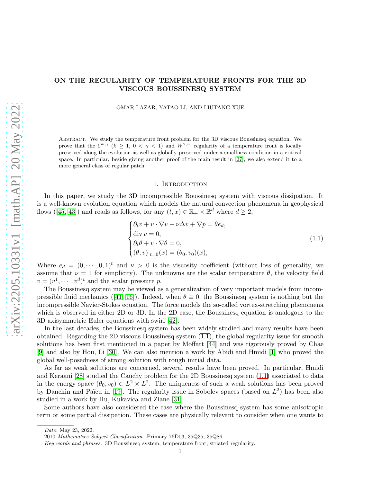## ON THE REGULARITY OF TEMPERATURE FRONTS FOR THE 3D VISCOUS BOUSSINESQ SYSTEM

OMAR LAZAR, YATAO LI, AND LIUTANG XUE

Abstract. We study the temperature front problem for the 3D viscous Boussinesq equation. We prove that the  $C^{k,\gamma}$   $(k \geq 1, 0 < \gamma < 1)$  and  $W^{2,\infty}$  regularity of a temperature front is locally preserved along the evolution as well as globally preserved under a smallness condition in a critical space. In particular, beside giving another proof of the main result in [\[27\]](#page-36-0), we also extend it to a more general class of regular patch.

#### 1. INTRODUCTION

In this paper, we study the 3D incompressible Boussinesq system with viscous dissipation. It is a well-known evolution equation which models the natural convection phenomena in geophysical flows([\[45,](#page-37-0) [43\]](#page-37-1)) and reads as follows, for any  $(t, x) \in \mathbb{R}_+ \times \mathbb{R}^d$  where  $d \geq 2$ ,

$$
\begin{cases}\n\partial_t v + v \cdot \nabla v - \nu \Delta v + \nabla p = \theta e_d, \\
\text{div } v = 0, \\
\partial_t \theta + v \cdot \nabla \theta = 0, \\
(\theta, v)|_{t=0}(x) = (\theta_0, v_0)(x),\n\end{cases}
$$
\n(1.1)

<span id="page-0-0"></span>Where  $e_d = (0, \dots, 0, 1)^t$  and  $\nu > 0$  is the viscosity coefficient (without loss of generality, we assume that  $\nu = 1$  for simplicity). The unknowns are the scalar temperature  $\theta$ , the velocity field  $v = (v^1, \dots, v^d)^t$  and the scalar pressure p.

The Boussinesq system may be viewed as a generalization of very important models from incom-pressiblefluid mechanics ([\[41,](#page-37-2) [16\]](#page-36-1)). Indeed, when  $\theta \equiv 0$ , the Boussinesq system is nothing but the incompressible Navier-Stokes equation. The force models the so-called vortex-stretching phenomena which is observed in either 2D or 3D. In the 2D case, the Boussinesq equation is analogous to the 3D axisymmetric Euler equations with swirl [\[42\]](#page-37-3).

In the last decades, the Boussinesq system has been widely studied and many results have been obtained. Regarding the 2D viscous Boussinesq system [\(1.1\)](#page-0-0), the global regularity issue for smooth solutions has been first mentioned in a paper by Moffatt [\[44\]](#page-37-4) and was rigorously proved by Chae [\[9\]](#page-35-0) and also by Hou, Li [\[30\]](#page-36-2). We can also mention a work by Abidi and Hmidi [\[1\]](#page-35-1) who proved the global well-posedness of strong solution with rough initial data.

As far as weak solutions are concerned, several results have been proved. In particular, Hmidi and Keraani [\[28\]](#page-36-3) studied the Cauchy problem for the 2D Boussinesq system [\(1.1\)](#page-0-0) associated to data in the energy space  $(\theta_0, v_0) \in L^2 \times L^2$ . The uniqueness of such a weak solutions has been proved by Danchin and Païcu in [\[19\]](#page-36-4). The regularity issue in Sobolev spaces (based on  $L^2$ ) has been also studied in a work by Hu, Kukavica and Ziane [\[31\]](#page-36-5).

Some authors have also considered the case where the Boussinesq system has some anisotropic term or some partial dissipation. These cases are physically relevant to consider when one wants to

Date: May 23, 2022.

<sup>2010</sup> Mathematics Subject Classification. Primary 76D03, 35Q35, 35Q86.

Key words and phrases. 3D Boussinesq system, temperature front, striated regularity.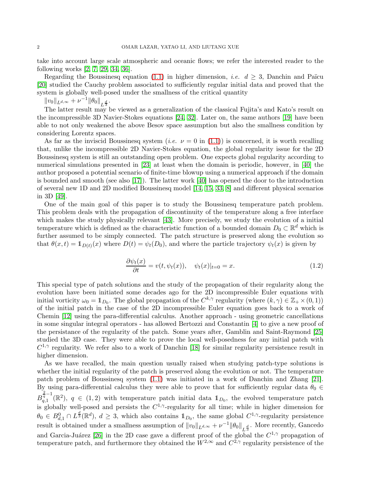take into account large scale atmospheric and oceanic flows; we refer the interested reader to the following works [\[2,](#page-35-2) [7,](#page-35-3) [29,](#page-36-6) [34,](#page-36-7) [36\]](#page-36-8).

Regarding the Boussinesq equation [\(1.1\)](#page-0-0) in higher dimension, *i.e.*  $d \geq 3$ , Danchin and Païcu [\[20\]](#page-36-9) studied the Cauchy problem associated to sufficiently regular initial data and proved that the system is globally well-posed under the smallness of the critical quantity

 $||v_0||_{L^{d,\infty}} + \nu^{-1} ||\theta_0||_{L^{\frac{d}{3}}}.$ 

The latter result may be viewed as a generalization of the classical Fujita's and Kato's result on the incompressible 3D Navier-Stokes equations [\[24,](#page-36-10) [32\]](#page-36-11). Later on, the same authors [\[19\]](#page-36-4) have been able to not only weakened the above Besov space assumption but also the smallness condition by considering Lorentz spaces.

As far as the inviscid Boussinesq system (*i.e.*  $\nu = 0$  in [\(1.1\)](#page-0-0)) is concerned, it is worth recalling that, unlike the incompressible 2D Navier-Stokes equation, the global regularity issue for the 2D Boussinesq system is still an outstanding open problem. One expects global regularity according to numerical simulations presented in [\[23\]](#page-36-12) at least when the domain is periodic, however, in [\[40\]](#page-37-5) the author proposed a potential scenario of finite-time blowup using a numerical approach if the domain is bounded and smooth (see also [\[17\]](#page-36-13)). The latter work [\[40\]](#page-37-5) has opened the door to the introduction of several new 1D and 2D modified Boussinesq model [\[14,](#page-36-14) [15,](#page-36-15) [33,](#page-36-16) [8\]](#page-35-4) and different physical scenarios in 3D [\[49\]](#page-37-6).

One of the main goal of this paper is to study the Boussinesq temperature patch problem. This problem deals with the propagation of discontinuity of the temperature along a free interface which makes the study physically relevant [\[43\]](#page-37-1). More precisely, we study the evolution of a initial temperature which is defined as the characteristic function of a bounded domain  $D_0 \subset \mathbb{R}^d$  which is further assumed to be simply connected. The patch structure is preserved along the evolution so that  $\theta(x,t) = \mathbb{1}_{D(t)}(x)$  where  $D(t) = \psi_t(D_0)$ , and where the particle trajectory  $\psi_t(x)$  is given by

<span id="page-1-0"></span>
$$
\frac{\partial \psi_t(x)}{\partial t} = v(t, \psi_t(x)), \quad \psi_t(x)|_{t=0} = x.
$$
\n(1.2)

This special type of patch solutions and the study of the propagation of their regularity along the evolution have been initiated some decades ago for the 2D incompressible Euler equations with initial vorticity  $\omega_0 = \mathbb{1}_{D_0}$ . The global propagation of the  $C^{k,\gamma}$  regularity (where  $(k,\gamma) \in \mathbb{Z}_+ \times (0,1)$ ) of the initial patch in the case of the 2D incompressible Euler equation goes back to a work of Chemin [\[12\]](#page-36-17) using the para-differential calculus. Another approach - using geometric cancellations in some singular integral operators - has allowed Bertozzi and Constantin [\[4\]](#page-35-5) to give a new proof of the persistance of the regularity of the patch. Some years after, Gamblin and Saint-Raymond [\[25\]](#page-36-18) studied the 3D case. They were able to prove the local well-posedness for any initial patch with  $C^{1,\gamma}$  regularity. We refer also to a work of Danchin [\[18\]](#page-36-19) for similar regularity persistence result in higher dimension.

As we have recalled, the main question usually raised when studying patch-type solutions is whether the initial regularity of the patch is preserved along the evolution or not. The temperature patch problem of Boussinesq system [\(1.1\)](#page-0-0) was initiated in a work of Danchin and Zhang [\[21\]](#page-36-20). By using para-differential calculus they were able to prove that for sufficiently regular data  $\theta_0 \in$  $B_{a,1}^{\frac{2}{q}-1}$  $\frac{q^{-1}}{q,1}(\mathbb{R}^2)$ ,  $q \in (1,2)$  with temperature patch initial data  $\mathbb{1}_{D_0}$ , the evolved temperature patch is globally well-posed and persists the  $C^{1,\gamma}$ -regularity for all time; while in higher dimension for  $\theta_0 \in B_{d,1}^0 \cap L^{\frac{d}{3}}(\mathbb{R}^d)$ ,  $d \geq 3$ , which also contains  $\mathbb{1}_{D_0}$ , the same global  $C^{1,\gamma}$ -regularity persistence result is obtained under a smallness assumption of  $||v_0||_{L^{d,\infty}} + \nu^{-1} ||\theta_0||_{L^{\frac{d}{3}}}$ . More recently, Gancedo and Garcia-Juárez [\[26\]](#page-36-21) in the 2D case gave a different proof of the global the  $C^{1,\gamma}$  propagation of temperature patch, and furthermore they obtained the  $W^{2,\infty}$  and  $C^{2,\gamma}$  regularity persistence of the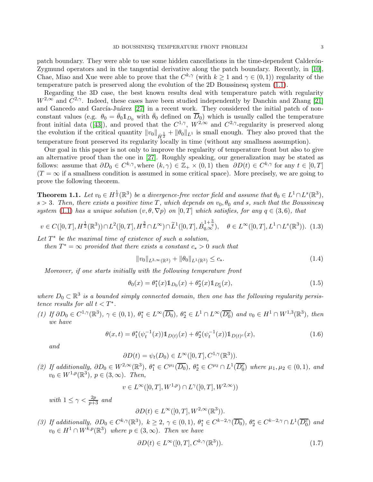patch boundary. They were able to use some hidden cancellations in the time-dependent Calderon-Zygmund operators and in the tangential derivative along the patch boundary. Recently, in [\[10\]](#page-35-6), Chae, Miao and Xue were able to prove that the  $C^{k,\gamma}$  (with  $k \geq 1$  and  $\gamma \in (0,1)$ ) regularity of the temperature patch is preserved along the evolution of the 2D Boussinesq system [\(1.1\)](#page-0-0).

Regarding the 3D case, the best known results deal with temperature patch with regularity  $W^{2,\infty}$  and  $C^{2,\gamma}$ . Indeed, these cases have been studied independently by Danchin and Zhang [\[21\]](#page-36-20) and Gancedo and García-Juárez [\[27\]](#page-36-0) in a recent work. They considered the initial patch of nonconstant values (e.g.  $\theta_0 = \bar{\theta}_0 \mathbb{1}_{D_0}$  with  $\bar{\theta}_0$  defined on  $\overline{D}_0$ ) which is usually called the temperature frontinitial data ([\[43\]](#page-37-1)), and proved that the  $C^{1,\gamma}$ ,  $W^{2,\infty}$  and  $C^{2,\gamma}$ -regularity is preserved along the evolution if the critical quantity  $||v_0||_{\dot{H}^{\frac{1}{2}}} + ||\theta_0||_{L^1}$  is small enough. They also proved that the temperature front preserved its regularity locally in time (without any smallness assumption).

Our goal in this paper is not only to improve the regularity of temperature front but also to give an alternative proof than the one in [\[27\]](#page-36-0). Roughly speaking, our generalization may be stated as follows: assume that  $\partial D_0 \in C^{k,\gamma}$ , where  $(k,\gamma) \in \mathbb{Z}_+ \times (0,1)$  then  $\partial D(t) \in C^{k,\gamma}$  for any  $t \in [0,T]$  $(T = \infty$  if a smallness condition is assumed in some critical space). More precisely, we are going to prove the following theorem.

<span id="page-2-1"></span>**Theorem 1.1.** Let  $v_0 \in H^{\frac{1}{2}}(\mathbb{R}^3)$  be a divergence-free vector field and assume that  $\theta_0 \in L^1 \cap L^s(\mathbb{R}^3)$ , s > 3. Then, there exists a positive time T, which depends on  $v_0, \theta_0$  and s, such that the Boussinesq system [\(1.1\)](#page-0-0) has a unique solution  $(v, \theta, \nabla p)$  on  $[0, T]$  which satisfies, for any  $q \in (3, 6)$ , that

<span id="page-2-2"></span>
$$
v \in C([0,T], H^{\frac{1}{2}}(\mathbb{R}^3)) \cap L^2([0,T], H^{\frac{3}{2}} \cap L^{\infty}) \cap \widetilde{L}^1([0,T], \dot{B}^{1+\frac{3}{q}}_{q,\infty}), \quad \theta \in L^{\infty}([0,T], L^1 \cap L^s(\mathbb{R}^3)).
$$
 (1.3)

Let  $T^*$  be the maximal time of existence of such a solution,

then  $T^* = \infty$  provided that there exists a constant  $c_* > 0$  such that

<span id="page-2-3"></span><span id="page-2-0"></span>
$$
||v_0||_{L^{3,\infty}(\mathbb{R}^3)} + ||\theta_0||_{L^1(\mathbb{R}^3)} \le c_*.
$$
\n(1.4)

Moreover, if one starts initially with the following temperature front

$$
\theta_0(x) = \theta_1^*(x) \mathbb{1}_{D_0}(x) + \theta_2^*(x) \mathbb{1}_{D_0^c}(x),\tag{1.5}
$$

where  $D_0 \subset \mathbb{R}^3$  is a bounded simply connected domain, then one has the following regularity persistence results for all  $t < T^*$ .

(1) If  $\partial D_0 \in C^{1,\gamma}(\mathbb{R}^3)$ ,  $\gamma \in (0,1)$ ,  $\theta_1^* \in L^{\infty}(\overline{D_0})$ ,  $\theta_2^* \in L^1 \cap L^{\infty}(\overline{D_0^c})$  and  $v_0 \in H^1 \cap W^{1,3}(\mathbb{R}^3)$ , then we have

$$
\theta(x,t) = \theta_1^*(\psi_t^{-1}(x)) \mathbb{1}_{D(t)}(x) + \theta_2^*(\psi_t^{-1}(x)) \mathbb{1}_{D(t)^c}(x),\tag{1.6}
$$

and

 $\partial D(t) = \psi_t(D_0) \in L^{\infty}([0, T], C^{1, \gamma}(\mathbb{R}^3)).$ 

(2) If additionally,  $\partial D_0 \in W^{2,\infty}(\mathbb{R}^3)$ ,  $\theta_1^* \in C^{\mu_1}(\overline{D_0})$ ,  $\theta_2^* \in C^{\mu_2} \cap L^1(\overline{D_0^c})$  where  $\mu_1, \mu_2 \in (0,1)$ , and  $v_0 \in W^{1,p}(\mathbb{R}^3), p \in (3,\infty)$ . Then,

$$
v \in L^{\infty}([0,T], W^{1,p}) \cap L^{\gamma}([0,T], W^{2,\infty}))
$$

with  $1 \leq \gamma < \frac{2p}{p+3}$  and

$$
\partial D(t) \in L^{\infty}([0,T], W^{2,\infty}(\mathbb{R}^3)).
$$

(3) If additionally,  $\partial D_0 \in C^{k,\gamma}(\mathbb{R}^3)$ ,  $k \geq 2$ ,  $\gamma \in (0,1)$ ,  $\theta_1^* \in C^{k-2,\gamma}(\overline{D_0})$ ,  $\theta_2^* \in C^{k-2,\gamma} \cap L^1(\overline{D_0^c})$  and  $v_0 \in H^1 \cap W^{k,p}(\mathbb{R}^3)$  where  $p \in (3,\infty)$ . Then we have

$$
\partial D(t) \in L^{\infty}([0, T], C^{k, \gamma}(\mathbb{R}^3)).
$$
\n(1.7)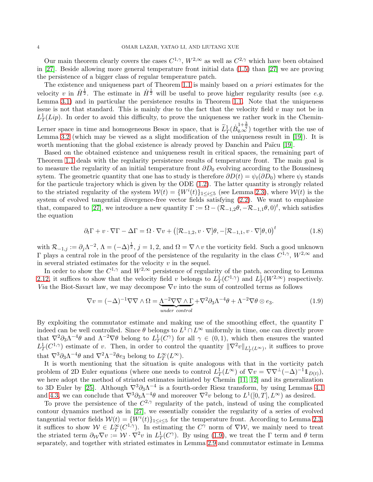Our main theorem clearly covers the cases  $C^{1,\gamma}$ ,  $W^{2,\infty}$  as well as  $C^{2,\gamma}$  which have been obtained in [\[27\]](#page-36-0). Beside allowing more general temperature front initial data [\(1.5\)](#page-2-0) than [\[27\]](#page-36-0) we are proving the persistence of a bigger class of regular temperature patch.

The existence and uniqueness part of Theorem [1.1](#page-2-1) is mainly based on a priori estimates for the velocity v in  $\dot{H}^{\frac{1}{2}}$ . The estimate in  $\dot{H}^{\frac{1}{2}}$  will be useful to prove higher regularity results (see e.g. Lemma [3.1\)](#page-13-0) and in particular the persistence results in Theorem [1.1.](#page-2-1) Note that the uniqueness issue is not that standard. This is mainly due to the fact that the velocity field  $v$  may not be in  $L_T^1(Lip)$ . In order to avoid this difficulty, to prove the uniqueness we rather work in the Chemin-

Lerner space in time and homogeneous Besov in space, that is  $\tilde{L}_T^1(\dot{B}_{q,\infty}^{1+\frac{3}{q}})$  together with the use of Lemma [3.2](#page-13-1) (which may be viewed as a slight modification of the uniqueness result in [\[19\]](#page-36-4)). It is worth mentioning that the global existence is already proved by Danchin and Païcu [\[19\]](#page-36-4).

Based on the obtained existence and uniqueness result in critical spaces, the remaining part of Theorem [1.1](#page-2-1) deals with the regularity persistence results of temperature front. The main goal is to measure the regularity of an initial temperature front  $\partial D_0$  evolving according to the Boussinesq sytem. The geometric quantity that one has to study is therefore  $\partial D(t) = \psi_t(\partial D_0)$  where  $\psi_t$  stands for the particule trajectory which is given by the ODE [\(1.2\)](#page-1-0). The latter quantity is strongly related to the striated regularity of the system  $W(t) = \{W^{i}(t)\}_{1 \leq i \leq 5}$  (see Lemma [2.3\)](#page-5-0), where  $W(t)$  is the system of evolved tangential divergence-free vector fields satisfying [\(2.2\)](#page-5-1). We want to emphasize that, compared to [\[27\]](#page-36-0), we introduce a new quantity  $\Gamma := \Omega - (\mathcal{R}_{-1,2}\theta, -\mathcal{R}_{-1,1}\theta, 0)^t$ , which satisfies the equation

$$
\partial_t \Gamma + v \cdot \nabla \Gamma - \Delta \Gamma = \Omega \cdot \nabla v + \left( [\mathcal{R}_{-1,2}, v \cdot \nabla] \theta, -[\mathcal{R}_{-1,1}, v \cdot \nabla] \theta, 0 \right)^t \tag{1.8}
$$

with  $\mathcal{R}_{-1,j} := \partial_j \Lambda^{-2}$ ,  $\Lambda = (-\Delta)^{\frac{1}{2}}$ ,  $j = 1, 2$ , and  $\Omega = \nabla \wedge v$  the vorticity field. Such a good unknown  $\Gamma$  plays a central role in the proof of the persistence of the regularity in the class  $C^{1,\gamma}$ ,  $W^{2,\infty}$  and in several striated estimates for the velocity  $v$  in the sequel.

In order to show the  $C^{1,\gamma}$  and  $W^{2,\infty}$  persistence of regularity of the patch, according to Lemma [2.12,](#page-10-0) it suffices to show that the velocity field v belongs to  $L^1_T(C^{1,\gamma})$  and  $L^1_T(W^{2,\infty})$  respectively. Via the Biot-Savart law, we may decompose  $\nabla v$  into the sum of controlled terms as follows

<span id="page-3-0"></span>
$$
\nabla v = (-\Delta)^{-1} \nabla \nabla \wedge \Omega = \underbrace{\Lambda^{-2} \nabla \nabla \wedge \Gamma}_{under \text{ control}} + \nabla^2 \partial_3 \Lambda^{-4} \theta + \Lambda^{-2} \nabla \theta \otimes e_3. \tag{1.9}
$$

By exploiting the commutator estimate and making use of the smoothing effect, the quantity  $\Gamma$ indeed can be well controlled. Since  $\theta$  belongs to  $L^1 \cap L^\infty$  uniformly in time, one can directly prove that  $\nabla^2 \partial_3 \Lambda^{-4} \theta$  and  $\Lambda^{-2} \nabla \theta$  belong to  $L^1_T(C^{\gamma})$  for all  $\gamma \in (0,1)$ , which then ensures the wanted  $L^1_T(C^{1,\gamma})$  estimate of v. Then, in order to control the quantity  $\|\nabla^2 v\|_{L^1_T(L^{\infty})}$ , it suffices to prove that  $\nabla^3 \partial_3 \Lambda^{-4} \theta$  and  $\nabla^2 \Lambda^{-2} \theta e_3$  belong to  $L_T^{\infty}(L^{\infty})$ .

It is worth mentioning that the situation is quite analogous with that in the vorticity patch problem of 2D Euler equations (where one needs to control  $L_T^1(L^{\infty})$  of  $\nabla v = \nabla \nabla^{\perp}(-\Delta)^{-1} \hat{\mathbb{1}}_{D(t)}$ ), we here adopt the method of striated estimates initiated by Chemin [\[11,](#page-36-22) [12\]](#page-36-17) and its generalization to 3D Euler by [\[25\]](#page-36-18). Although  $\nabla^3 \partial_3 \Lambda^{-4}$  is a fourth-order Riesz transform, by using Lemmas [4.1](#page-18-0) and [4.3,](#page-19-0) we can conclude that  $\nabla^3 \partial_3 \Lambda^{-4} \theta$  and moreover  $\nabla^2 v$  belong to  $L^1([0,T], L^\infty)$  as desired.

To prove the persistence of the  $C^{2,\gamma}$  regularity of the patch, instead of using the complicated contour dynamics method as in [\[27\]](#page-36-0), we essentially consider the regularity of a series of evolved tangential vector fields  $W(t) = \{W^{i}(t)\}_{1 \leq i \leq 5}$  for the temperature front. According to Lemma [2.3,](#page-5-0) it suffices to show  $W \in L^{\infty}_T(C^{1,\gamma})$ . In estimating the  $C^{\gamma}$  norm of  $\nabla W$ , we mainly need to treat the striated term  $\partial_{\mathcal{W}} \nabla v := \mathcal{W} \cdot \nabla^2 v$  in  $L^1_T(C^{\gamma})$ . By using [\(1.9\)](#page-3-0), we treat the  $\Gamma$  term and  $\theta$  term separately, and together with striated estimates in Lemma [2.9](#page-9-0) and commutator estimate in Lemma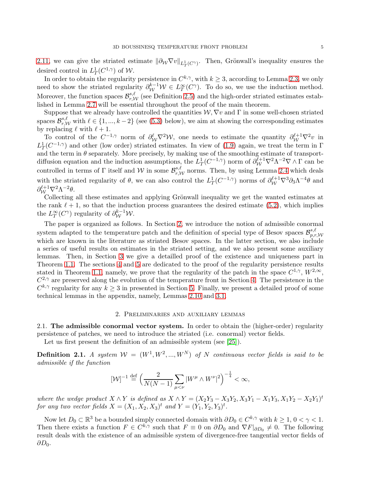[2.11,](#page-10-1) we can give the striated estimate  $\|\partial_W \nabla v\|_{L^1_T(C^{\gamma})}$ . Then, Grönwall's inequality ensures the desired control in  $L^1_T(C^{1,\gamma})$  of W.

In order to obtain the regularity persistence in  $C^{k,\gamma}$ , with  $k \geq 3$ , according to Lemma [2.3,](#page-5-0) we only need to show the striated regularity  $\partial_{\mathcal{W}}^{k-1} \mathcal{W} \in L^{\infty}_T(C^{\gamma})$ . To do so, we use the induction method. Moreover, the function spaces  $\mathcal{B}_{r,\mathcal{W}}^{s,\ell}$  (see Definition [2.5\)](#page-8-0) and the high-order striated estimates established in Lemma [2.7](#page-9-1) will be essential throughout the proof of the main theorem.

Suppose that we already have controlled the quantities  $W, \nabla v$  and  $\Gamma$  in some well-chosen striated spaces  $\mathcal{B}_{r,\mathcal{W}}^{s,\ell}$  with  $\ell \in \{1,...,k-2\}$  (see [\(5.3\)](#page-24-0) below), we aim at showing the corresponding estimates by replacing  $\ell$  with  $\ell + 1$ .

To control of the  $C^{-1,\gamma}$  norm of  $\partial_W^{\ell} \nabla^2 W$ , one needs to estimate the quantity  $\partial_W^{\ell+1} \nabla^2 v$  in  $L^1_T(C^{-1,\gamma})$  and other (low order) striated estimates. In view of [\(1.9\)](#page-3-0) again, we treat the term in Γ and the term in  $\theta$  separately. More precisely, by making use of the smoothing estimate of transportdiffusion equation and the induction assumptions, the  $L^1_T(C^{-1,\gamma})$  norm of  $\partial_W^{\ell+1} \nabla^2 \Lambda^{-2} \nabla \wedge \Gamma$  can be controlled in terms of  $\Gamma$  itself and W in some  $\mathcal{B}_{r,\mathcal{W}}^{s,\ell}$  norms. Then, by using Lemma [2.4](#page-7-0) which deals with the striated regularity of  $\theta$ , we can also control the  $L^1_T(C^{-1,\gamma})$  norms of  $\partial_{\mathcal{W}}^{\ell+1} \nabla^3 \partial_3 \Lambda^{-4} \theta$  and  $\partial_{\mathcal{W}}^{\ell+1} \nabla^2 \Lambda^{-2} \theta.$ 

Collecting all these estimates and applying Grönwall inequality we get the wanted estimates at the rank  $\ell + 1$ , so that the induction process guarantees the desired estimate [\(5.2\)](#page-24-1), which implies the  $L_T^{\infty}(C^{\gamma})$  regularity of  $\partial_{\mathcal{W}}^{k-1} \mathcal{W}$ .

The paper is organized as follows. In Section [2,](#page-4-0) we introduce the notion of admissible conormal system adapted to the temperature patch and the definition of special type of Besov spaces  $\mathcal{B}_{n,r}^{s,\ell}$  $_{p,r,\mathcal{W}}$ which are known in the literature as striated Besov spaces. In the latter section, we also include a series of useful results on estimates in the striated setting, and we also present some auxiliary lemmas. Then, in Section [3](#page-12-0) we give a detailled proof of the existence and uniqueness part in Theorem [1.1.](#page-2-1) The sections [4](#page-15-0) and [5](#page-24-2) are dedicated to the proof of the regularity persistence results stated in Theorem [1.1,](#page-2-1) namely, we prove that the regularity of the patch in the space  $C^{1,\gamma}$ ,  $W^{2,\infty}$ ,  $C^{2,\gamma}$  are preserved along the evolution of the temperature front in Section [4.](#page-15-0) The persistence in the  $C^{k,\gamma}$  regularity for any  $k \geq 3$  in presented in Section [5.](#page-24-2) Finally, we present a detailed proof of some technical lemmas in the appendix, namely, Lemmas [2.10](#page-10-2) and [3.1.](#page-13-0)

#### 2. Preliminaries and auxiliary lemmas

<span id="page-4-0"></span>2.1. The admissible conormal vector system. In order to obtain the (higher-order) regularity persistence of patches, we need to introduce the striated (i.e. conormal) vector fields.

Let us first present the definition of an admissible system (see [\[25\]](#page-36-18)).

<span id="page-4-1"></span>**Definition 2.1.** A system  $W = (W^1, W^2, ..., W^N)$  of N continuous vector fields is said to be admissible if the function

$$
[\mathcal{W}]^{-1} \stackrel{\text{def}}{=} \left(\frac{2}{N(N-1)} \sum_{\mu < \nu} |W^{\mu} \wedge W^{\nu}|^2\right)^{-\frac{1}{4}} < \infty,
$$

where the wedge product  $X \wedge Y$  is defined as  $X \wedge Y = (X_2Y_3 - X_3Y_2, X_3Y_1 - X_1Y_3, X_1Y_2 - X_2Y_1)^t$ for any two vector fields  $X = (X_1, X_2, X_3)^t$  and  $Y = (Y_1, Y_2, Y_3)^t$ .

Now let  $D_0 \subset \mathbb{R}^3$  be a bounded simply connected domain with  $\partial D_0 \in C^{k,\gamma}$  with  $k \geq 1, 0 < \gamma < 1$ . Then there exists a function  $F \in C^{k,\gamma}$  such that  $F \equiv 0$  on  $\partial D_0$  and  $\nabla F|_{\partial D_0} \neq 0$ . The following result deals with the existence of an admissible system of divergence-free tangential vector fields of  $\partial D_0$ .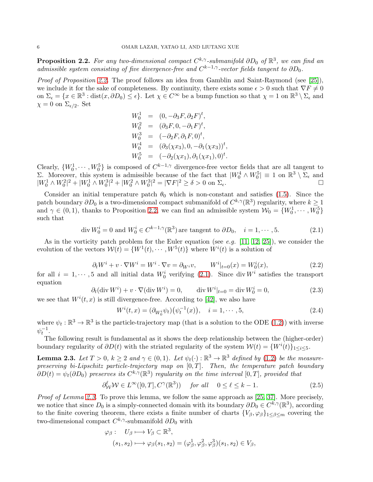<span id="page-5-2"></span>**Proposition 2.2.** For any two-dimensional compact  $C^{k,\gamma}$ -submanifold  $\partial D_0$  of  $\mathbb{R}^3$ , we can find an admissible system consisting of five divergence-free and  $C^{k-1,\gamma}$ -vector fields tangent to  $\partial D_0$ .

Proof of Proposition [2.2.](#page-5-2) The proof follows an idea from Gamblin and Saint-Raymond (see [\[25\]](#page-36-18)), we include it for the sake of completeness. By continuity, there exists some  $\epsilon > 0$  such that  $\nabla F \neq 0$ on  $\Sigma_{\epsilon} = \{x \in \mathbb{R}^3 : \text{dist}(x, \partial D_0) \leq \epsilon\}$ . Let  $\chi \in C^{\infty}$  be a bump function so that  $\chi = 1$  on  $\mathbb{R}^3 \setminus \Sigma_{\epsilon}$  and  $\chi = 0$  on  $\Sigma_{\epsilon/2}$ . Set

$$
W_0^1 = (0, -\partial_3 F, \partial_2 F)^t,
$$
  
\n
$$
W_0^2 = (\partial_3 F, 0, -\partial_1 F)^t,
$$
  
\n
$$
W_0^3 = (-\partial_2 F, \partial_1 F, 0)^t,
$$
  
\n
$$
W_0^4 = (\partial_3(\chi x_3), 0, -\partial_1(\chi x_3))^t
$$
  
\n
$$
W_0^5 = (-\partial_2(\chi x_1), \partial_1(\chi x_1), 0)^t
$$

Clearly,  $\{W_0^1, \dots, W_0^5\}$  is composed of  $C^{k-1,\gamma}$  divergence-free vector fields that are all tangent to Σ. Moreover, this system is admissible because of the fact that  $|W_0^4 \wedge W_0^5| \equiv 1$  on  $\mathbb{R}^3 \setminus \Sigma_{\epsilon}$  and  $|W_0^1 \wedge W_0^2|^2 + |W_0^1 \wedge W_0^3|^2 + |W_0^2 \wedge W_0^3|^2 = |\nabla F|^2 \ge \delta > 0$  on  $\Sigma_{\epsilon}$ .

Consider an initial temperature patch  $\theta_0$  which is non-constant and satisfies [\(1.5\)](#page-2-0). Since the patch boundary  $\partial D_0$  is a two-dimensional compact submanifold of  $C^{k,\gamma}(\mathbb{R}^3)$  regularity, where  $k \geq 1$ and  $\gamma \in (0,1)$ , thanks to Proposition [2.2,](#page-5-2) we can find an admissible system  $\mathcal{W}_0 = \{W_0^1, \cdots, W_0^5\}$ such that

$$
\operatorname{div} W_0^i = 0 \text{ and } W_0^i \in C^{k-1,\gamma}(\mathbb{R}^3) \text{ are tangent to } \partial D_0, \quad i = 1, \cdots, 5. \tag{2.1}
$$

<span id="page-5-3"></span>As in the vorticity patch problem for the Euler equation (see e.g.  $[11, 12, 25]$  $[11, 12, 25]$  $[11, 12, 25]$ ), we consider the evolution of the vectors  $W(t) = \{W^1(t), \cdots, W^5(t)\}\$  where  $W^i(t)$  is a solution of

<span id="page-5-1"></span>
$$
\partial_t W^i + v \cdot \nabla W^i = W^i \cdot \nabla v = \partial_{W^i} v, \qquad W^i|_{t=0}(x) = W_0^i(x), \tag{2.2}
$$

for all  $i = 1, \dots, 5$  and all initial data  $W_0^i$  verifying [\(2.1\)](#page-5-3). Since div  $W^i$  satisfies the transport equation

$$
\partial_t(\text{div } W^i) + v \cdot \nabla(\text{div } W^i) = 0, \qquad \text{div } W^i|_{t=0} = \text{div } W^i_0 = 0,
$$
\n(2.3)

we see that  $W^{i}(t, x)$  is still divergence-free. According to [\[42\]](#page-37-3), we also have

<span id="page-5-5"></span>
$$
W^{i}(t,x) = (\partial_{W^{i}_{0}} \psi_{t}) (\psi_{t}^{-1}(x)), \quad i = 1, \cdots, 5,
$$
\n(2.4)

,

<span id="page-5-4"></span>.

where  $\psi_t : \mathbb{R}^3 \to \mathbb{R}^3$  is the particle-trajectory map (that is a solution to the ODE [\(1.2\)](#page-1-0)) with inverse  $\psi_t^{-1}.$ 

The following result is fundamental as it shows the deep relationship between the (higher-order) boundary regularity of  $\partial D(t)$  with the striated regularity of the system  $\mathcal{W}(t) = \{W^i(t)\}_{1 \leq i \leq 5}$ .

<span id="page-5-0"></span>**Lemma 2.3.** Let  $T > 0$ ,  $k \geq 2$  and  $\gamma \in (0,1)$ . Let  $\psi_t(\cdot) : \mathbb{R}^3 \to \mathbb{R}^3$  defined by [\(1.2\)](#page-1-0) be the measurepreserving bi-Lipschitz particle-trajectory map on  $[0, T]$ . Then, the temperature patch boundary  $\partial D(t) = \psi_t(\partial D_0)$  preserves its  $C^{k,\gamma}(\mathbb{R}^3)$  regularity on the time interval  $[0,T]$ , provided that

$$
\partial_W^{\ell} \mathcal{W} \in L^{\infty}([0, T], C^{\gamma}(\mathbb{R}^3)) \quad \text{for all} \quad 0 \le \ell \le k - 1. \tag{2.5}
$$

Proof of Lemma [2.3.](#page-5-0) To prove this lemma, we follow the same approach as [\[25,](#page-36-18) [37\]](#page-36-23). More precisely, we notice that since  $D_0$  is a simply-connected domain with its boundary  $\partial D_0 \in C^{k,\gamma}(\mathbb{R}^3)$ , according to the finite covering theorem, there exists a finite number of charts  ${V_\beta, \varphi_\beta}_{1\leq \beta \leq m}$  covering the two-dimensional compact  $C^{k,\gamma}$ -submanifold  $\partial D_0$  with

$$
\varphi_{\beta}: U_{\beta} \longrightarrow V_{\beta} \subset \mathbb{R}^{3},
$$
  

$$
(s_{1}, s_{2}) \longrightarrow \varphi_{\beta}(s_{1}, s_{2}) = (\varphi_{\beta}^{1}, \varphi_{\beta}^{2}, \varphi_{\beta}^{3})(s_{1}, s_{2}) \in V_{\beta},
$$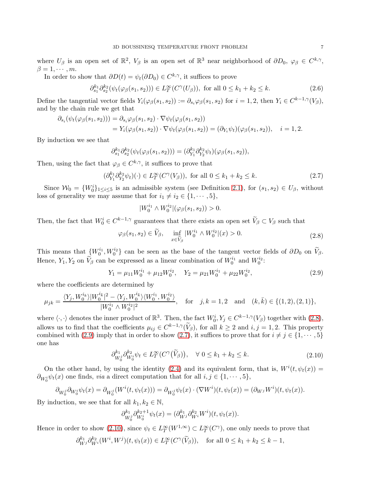where  $U_{\beta}$  is an open set of  $\mathbb{R}^2$ ,  $V_{\beta}$  is an open set of  $\mathbb{R}^3$  near neighborhood of  $\partial D_0$ ,  $\varphi_{\beta} \in C^{k,\gamma}$ ,  $\beta = 1, \cdots, m$ .

In order to show that  $\partial D(t) = \psi_t(\partial D_0) \in C^{k,\gamma}$ , it suffices to prove

$$
\partial_{s_1}^{k_1} \partial_{s_2}^{k_2} (\psi_t(\varphi_\beta(s_1, s_2))) \in L_T^\infty(C^\gamma(U_\beta)), \text{ for all } 0 \le k_1 + k_2 \le k. \tag{2.6}
$$

Define the tangential vector fields  $Y_i(\varphi_\beta(s_1, s_2)) := \partial_{s_i}\varphi_\beta(s_1, s_2)$  for  $i = 1, 2$ , then  $Y_i \in C^{k-1, \gamma}(V_\beta)$ , and by the chain rule we get that

$$
\partial_{s_i}(\psi_t(\varphi_{\beta}(s_1,s_2))) = \partial_{s_i}\varphi_{\beta}(s_1,s_2) \cdot \nabla \psi_t(\varphi_{\beta}(s_1,s_2))
$$
  
=  $Y_i(\varphi_{\beta}(s_1,s_2)) \cdot \nabla \psi_t(\varphi_{\beta}(s_1,s_2)) = (\partial_{Y_i}\psi_t)(\varphi_{\beta}(s_1,s_2)), \quad i = 1,2.$ 

By induction we see that

$$
\partial_{s_1}^{k_1} \partial_{s_2}^{k_2} (\psi_t(\varphi_\beta(s_1, s_2))) = (\partial_{Y_1}^{k_1} \partial_{Y_2}^{k_2} \psi_t)(\varphi_\beta(s_1, s_2)),
$$

Then, using the fact that  $\varphi_{\beta} \in C^{k,\gamma}$ , it suffices to prove that

$$
(\partial_{Y_1}^{k_1} \partial_{Y_2}^{k_2} \psi_t)(\cdot) \in L_T^{\infty}(C^{\gamma}(V_{\beta})), \text{ for all } 0 \le k_1 + k_2 \le k. \tag{2.7}
$$

Since  $W_0 = \{W_0^i\}_{1 \leq i \leq 5}$  is an admissible system (see Definition [2.1\)](#page-4-1), for  $(s_1, s_2) \in U_\beta$ , without loss of generality we may assume that for  $i_1 \neq i_2 \in \{1, \cdots, 5\}$ ,

<span id="page-6-2"></span>
$$
|W_0^{i_1} \wedge W_0^{i_2}|(\varphi_{\beta}(s_1, s_2)) > 0.
$$

Then, the fact that  $W_0^i \in C^{k-1,\gamma}$  guarantees that there exists an open set  $V_\beta \subset V_\beta$  such that

$$
\varphi_{\beta}(s_1, s_2) \in \widetilde{V}_{\beta}, \quad \inf_{x \in \widetilde{V}_{\beta}} |W_0^{i_1} \wedge W_0^{i_2}|(x) > 0. \tag{2.8}
$$

<span id="page-6-0"></span>This means that  $\{W_0^{i_1}, W_0^{i_2}\}$  can be seen as the base of the tangent vector fields of  $\partial D_0$  on  $\widetilde{V}_{\beta}$ . Hence,  $Y_1, Y_2$  on  $\widetilde{V}_{\beta}$  can be expressed as a linear combination of  $W_0^{i_1}$  and  $W_0^{i_2}$ :

$$
Y_1 = \mu_{11} W_0^{i_1} + \mu_{12} W_0^{i_2}, \quad Y_2 = \mu_{21} W_0^{i_1} + \mu_{22} W_0^{i_2}, \tag{2.9}
$$

<span id="page-6-1"></span>where the coefficients are determined by

$$
\mu_{jk} = \frac{\langle Y_j, W_0^{i_k} \rangle |W_0^{i_k}|^2 - \langle Y_j, W_0^{i_k} \rangle \langle W_0^{i_1}, W_0^{i_2} \rangle}{|W_0^{i_1} \wedge W_0^{i_2}|^2}, \quad \text{for} \quad j, k = 1, 2 \quad \text{and} \quad (k, \bar{k}) \in \{ (1, 2), (2, 1) \},
$$

where  $\langle \cdot, \cdot \rangle$  denotes the inner product of  $\mathbb{R}^3$ . Then, the fact  $W_0^i, Y_j \in C^{k-1,\gamma}(V_\beta)$  together with  $(2.8)$ , allows us to find that the coefficients  $\mu_{ij} \in C^{k-1,\gamma}(\tilde{V}_{\beta})$ , for all  $k \geq 2$  and  $i, j = 1, 2$ . This property combined with [\(2.9\)](#page-6-1) imply that in order to show [\(2.7\)](#page-6-2), it suffices to prove that for  $i \neq j \in \{1, \dots, 5\}$ one has

$$
\partial_{W_0^j}^{k_1} \partial_{W_0^i}^{k_2} \psi_t \in L_T^{\infty}(C^{\gamma}(\widetilde{V}_{\beta})), \quad \forall \ 0 \le k_1 + k_2 \le k. \tag{2.10}
$$

<span id="page-6-3"></span>On the other hand, by using the identity [\(2.4\)](#page-5-4) and its equivalent form, that is,  $W^{i}(t, \psi_{t}(x)) =$  $\partial_{W_0^i}\psi_t(x)$  one finds, *via* a direct computation that for all  $i, j \in \{1, \cdots, 5\}$ ,

$$
\partial_{W_0^j} \partial_{W_0^i} \psi_t(x) = \partial_{W_0^j} (W^i(t, \psi_t(x))) = \partial_{W_0^j} \psi_t(x) \cdot (\nabla W^i)(t, \psi_t(x)) = (\partial_{W^j} W^i)(t, \psi_t(x)).
$$

By induction, we see that for all  $k_1, k_2 \in \mathbb{N}$ ,

$$
\partial_{W_0^j}^{k_1} \partial_{W_0^i}^{k_2+1} \psi_t(x) = (\partial_{W^j}^{k_1} \partial_{W^i}^{k_2} W^i)(t, \psi_t(x)).
$$

Hence in order to show  $(2.10)$ , since  $\psi_t \in L_T^{\infty}(W^{1,\infty}) \subset L_T^{\infty}(C^{\gamma})$ , one only needs to prove that

$$
\partial_{W^j}^{k_1} \partial_{W^i}^{k_2} (W^i, W^j)(t, \psi_t(x)) \in L_T^{\infty}(C^{\gamma}(\widetilde{V}_{\beta})), \text{ for all } 0 \le k_1 + k_2 \le k - 1,
$$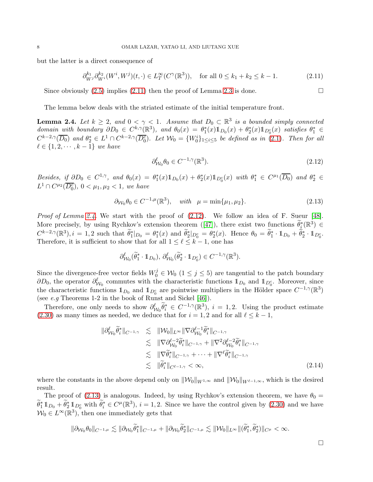but the latter is a direct consequence of

$$
\partial_{W^j}^{k_1} \partial_{W^i}^{k_2} (W^i, W^j)(t, \cdot) \in L_T^{\infty}(C^{\gamma}(\mathbb{R}^3)), \quad \text{for all } 0 \le k_1 + k_2 \le k - 1. \tag{2.11}
$$

Since obviously  $(2.5)$  implies  $(2.11)$  then the proof of Lemma [2.3](#page-5-0) is done.

The lemma below deals with the striated estimate of the initial temperature front.

<span id="page-7-0"></span>**Lemma 2.4.** Let  $k \geq 2$ , and  $0 < \gamma < 1$ . Assume that  $D_0 \subset \mathbb{R}^3$  is a bounded simply connected domain with boundary  $\partial D_0 \in C^{k,\gamma}(\mathbb{R}^3)$ , and  $\theta_0(x) = \theta_1^*(x) 1\!\!1_{D_0}(x) + \theta_2^*(x) 1\!\!1_{D_0^c}(x)$  satisfies  $\theta_1^* \in$  $C^{k-2,\gamma}(\overline{D_0})$  and  $\theta_2^* \in L^1 \cap C^{k-2,\gamma}(\overline{D_0^c})$ . Let  $\mathcal{W}_0 = \{W_0^i\}_{1 \leq i \leq 5}$  be defined as in [\(2.1\)](#page-5-3). Then for all  $\ell \in \{1, 2, \cdots, k-1\}$  we have

<span id="page-7-3"></span><span id="page-7-2"></span><span id="page-7-1"></span>
$$
\partial_{\mathcal{W}_0}^{\ell} \theta_0 \in C^{-1,\gamma}(\mathbb{R}^3). \tag{2.12}
$$

Besides, if  $\partial D_0 \in C^{1,\gamma}$ , and  $\theta_0(x) = \theta_1^*(x) \mathbb{1}_{D_0}(x) + \theta_2^*(x) \mathbb{1}_{D_0^c}(x)$  with  $\theta_1^* \in C^{\mu_1}(\overline{D_0})$  and  $\theta_2^* \in C^{1,\gamma}$  $L^1 \cap C^{\mu_2}(\overline{D_0^c}), 0 < \mu_1, \mu_2 < 1$ , we have

$$
\partial_{\mathcal{W}_0} \theta_0 \in C^{-1,\mu}(\mathbb{R}^3), \quad \text{with} \quad \mu = \min\{\mu_1, \mu_2\}. \tag{2.13}
$$

*Proof of Lemma [2.4.](#page-7-0)* We start with the proof of  $(2.12)$ . We follow an idea of F. Sueur [\[48\]](#page-37-7). Moreprecisely, by using Rychkov's extension theorem ([\[47\]](#page-37-8)), there exist two functions  $\widetilde{\theta}_{i}^{*}(\mathbb{R}^{3}) \in$  $C^{k-2,\gamma}(\mathbb{R}^3), i = 1,2$  such that  $\widetilde{\theta}_1^*|_{D_0} = \theta_1^*(x)$  and  $\widetilde{\theta}_2^*|_{D_0^c} = \theta_2^*(x)$ . Hence  $\theta_0 = \widetilde{\theta}_1^* \cdot \mathbb{1}_{D_0} + \widetilde{\theta}_2^* \cdot \mathbb{1}_{D_0^c}$ . Therefore, it is sufficient to show that for all  $1 \leq \ell \leq k-1$ , one has

$$
\partial_{\mathcal{W}_0}^{\ell}(\widetilde{\theta}_1^* \cdot \mathbb{1}_{D_0}), \, \partial_{\mathcal{W}_0}^{\ell}(\widetilde{\theta}_2^* \cdot \mathbb{1}_{D_0^c}) \in C^{-1,\gamma}(\mathbb{R}^3).
$$

Since the divergence-free vector fields  $W_0^j \in W_0$   $(1 \le j \le 5)$  are tangential to the patch boundary  $\partial D_0$ , the operator  $\partial_{W_0}^{\ell}$  commutes with the characteristic functions  $1_{D_0}$  and  $1_{D_0^c}$ . Moreover, since the characteristic functions  $1_{D_0}$  and  $1_{D_0^c}$  are pointwise multipliers in the Hölder space  $C^{-1,\gamma}(\mathbb{R}^3)$ (see e.g Theorems 1-2 in the book of Runst and Sickel [\[46\]](#page-37-9)).

Therefore, one only needs to show  $\partial_{W_0}^{\ell} \tilde{\theta}_i^* \in C^{-1,\gamma}(\mathbb{R}^3)$ ,  $i = 1,2$ . Using the product estimate [\(2.30\)](#page-10-3) as many times as needed, we deduce that for  $i = 1, 2$  and for all  $\ell \leq k - 1$ ,

<span id="page-7-4"></span>
$$
\|\partial_{\mathcal{W}_0}^{\ell}\tilde{\theta}_{i}^{*}\|_{C^{-1,\gamma}} \leq \|\mathcal{W}_0\|_{L^{\infty}} \|\nabla \partial_{\mathcal{W}_0}^{\ell-1}\tilde{\theta}_{i}^{*}\|_{C^{-1,\gamma}} \n\leq \|\nabla \partial_{\mathcal{W}_0}^{\ell-2}\tilde{\theta}_{i}^{*}\|_{C^{-1,\gamma}} + \|\nabla^2 \partial_{\mathcal{W}_0}^{\ell-2}\tilde{\theta}_{i}^{*}\|_{C^{-1,\gamma}} \n\leq \|\nabla \tilde{\theta}_{i}^{*}\|_{C^{-1,\gamma}} + \dots + \|\nabla^{\ell}\tilde{\theta}_{i}^{*}\|_{C^{-1,\gamma}} \n\leq \|\tilde{\theta}_{i}^{*}\|_{C^{\ell-1,\gamma}} < \infty,
$$
\n(2.14)

where the constants in the above depend only on  $\|\mathcal{W}_0\|_{W^{1,\infty}}$  and  $\|\mathcal{W}_0\|_{W^{\ell-1,\infty}}$ , which is the desired result.

The proof of [\(2.13\)](#page-7-3) is analogous. Indeed, by using Rychkov's extension theorem, we have  $\theta_0 =$  $\widetilde{\theta}_1^* 1\!\!1_{D_0} + \widetilde{\theta}_2^* 1\!\!1_{D_0^c}$  with  $\widetilde{\theta}_i^* \in C^{\mu}(\mathbb{R}^3)$ ,  $i = 1, 2$ . Since we have the control given by  $(2.30)$  and we have  $W_0 \in L^{\infty}(\mathbb{R}^3)$ , then one immediately gets that

$$
\|\partial_{\mathcal{W}_0}\theta_0\|_{C^{-1,\mu}}\lesssim \|\partial_{\mathcal{W}_0}\widetilde{\theta}_1^*\|_{C^{-1,\mu}}+\|\partial_{\mathcal{W}_0}\widetilde{\theta}_2^*\|_{C^{-1,\mu}}\lesssim \|\mathcal{W}_0\|_{L^\infty}\|(\widetilde{\theta}_1^*,\widetilde{\theta}_2^*)\|_{C^\mu}<\infty.
$$

 $\Box$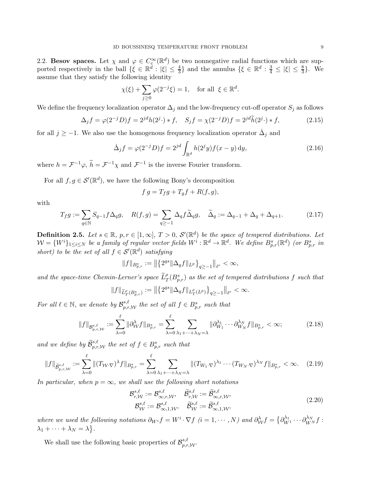2.2. Besov spaces. Let  $\chi$  and  $\varphi \in C_c^{\infty}(\mathbb{R}^d)$  be two nonnegative radial functions which are supported respectively in the ball  $\{\xi \in \mathbb{R}^d : |\xi| \leq \frac{4}{3}\}$  and the annulus  $\{\xi \in \mathbb{R}^d : \frac{3}{4} \leq |\xi| \leq \frac{8}{3}\}$ . We assume that they satisfy the following identity

$$
\chi(\xi) + \sum_{j \ge 0} \varphi(2^{-j}\xi) = 1, \quad \text{for all } \xi \in \mathbb{R}^d.
$$

We define the frequency localization operator  $\Delta_j$  and the low-frequency cut-off operator  $S_j$  as follows

$$
\Delta_j f = \varphi(2^{-j}D)f = 2^{jd}h(2^j \cdot) * f, \quad S_j f = \chi(2^{-j}D)f = 2^{jd}\widetilde{h}(2^j \cdot) * f,
$$
\n(2.15)

for all  $j \geq -1$ . We also use the homogenous frequency localization operator  $\dot{\Delta}_j$  and

$$
\dot{\Delta}_j f = \varphi(2^{-j}D)f = 2^{jd} \int_{\mathbb{R}^d} h(2^j y) f(x - y) \, dy,
$$
\n(2.16)

where  $h = \mathcal{F}^{-1}\varphi$ ,  $\tilde{h} = \mathcal{F}^{-1}\chi$  and  $\mathcal{F}^{-1}$  is the inverse Fourier transform.

For all  $f, g \in \mathcal{S}'(\mathbb{R}^d)$ , we have the following Bony's decomposition

<span id="page-8-1"></span>
$$
f g = T_f g + T_g f + R(f, g),
$$

with

$$
T_f g := \sum_{q \in \mathbb{N}} S_{q-1} f \Delta_q g, \quad R(f, g) = \sum_{q \ge -1} \Delta_q f \widetilde{\Delta}_q g, \quad \widetilde{\Delta}_q := \Delta_{q-1} + \Delta_q + \Delta_{q+1}.
$$
 (2.17)

<span id="page-8-0"></span>**Definition 2.5.** Let  $s \in \mathbb{R}$ ,  $p, r \in [1, \infty]$ ,  $T > 0$ ,  $\mathcal{S}'(\mathbb{R}^d)$  be the space of tempered distributions. Let  $\mathcal{W} = \{W^i\}_{1 \leq i \leq N}$  be a family of regular vector fields  $W^i : \mathbb{R}^d \to \mathbb{R}^d$ . We define  $B^s_{p,r}(\mathbb{R}^d)$  (or  $B^s_{p,r}$  in short) to be the set of all  $f \in \mathcal{S}'(\mathbb{R}^d)$  satisfying

$$
||f||_{B_{p,r}^s} := ||\left\{2^{qs}||\Delta_q f||_{L^p}\right\}_{q\geq -1}||_{\ell^r} < \infty,
$$

and the space-time Chemin-Lerner's space  $\tilde{L}_T^{\rho}(B_{p,r}^s)$  as the set of tempered distributions f such that

$$
\|f\|_{\widetilde{L}^{\rho}_{T}(B^{s}_{p,r})}:=\big\|\big\{2^{qs}\|\Delta_{q}f\|_{L^{\rho}_{T}(L^{p})}\big\}_{q\geq -1}\big\|_{\ell^{r}}<\infty.
$$

For all  $\ell \in \mathbb{N}$ , we denote by  $\mathcal{B}_{p,r,\mathcal{W}}^{s,\ell}$  the set of all  $f \in B_{p,r}^s$  such that

$$
||f||_{\mathcal{B}_{p,r,\mathcal{W}}^{s,\ell}} := \sum_{\lambda=0}^{\ell} ||\partial_{\mathcal{W}}^{\lambda} f||_{B_{p,r}^s} = \sum_{\lambda=0}^{\ell} \sum_{\lambda_1 + \dots + \lambda_N = \lambda} ||\partial_{W_1}^{\lambda_1} \cdots \partial_{W_N}^{\lambda_N} f||_{B_{p,r}^s} < \infty; \tag{2.18}
$$

and we define by  $\widetilde{\mathcal{B}}_{p,r,\mathcal{W}}^{s,\ell}$  the set of  $f \in B_{p,r}^s$  such that

$$
||f||_{\widetilde{\mathcal{B}}_{p,r,\mathcal{W}}^{s,\ell}} := \sum_{\lambda=0}^{\ell} ||(T_{\mathcal{W}}\cdot\nabla)^{\lambda}f||_{B_{p,r}^s} = \sum_{\lambda=0}^{\ell} \sum_{\lambda_1+\dots+\lambda_N=\lambda} ||(T_{W_1}\cdot\nabla)^{\lambda_1}\cdot\cdot\cdot(T_{W_N}\cdot\nabla)^{\lambda_N}f||_{B_{p,r}^s} < \infty. \tag{2.19}
$$

In particular, when  $p = \infty$ , we shall use the following short notations

<span id="page-8-2"></span>
$$
\mathcal{B}_{r,\mathcal{W}}^{s,\ell} := \mathcal{B}_{\infty,r,\mathcal{W}}^{s,\ell}, \quad \widetilde{\mathcal{B}}_{r,\mathcal{W}}^{s,\ell} := \widetilde{\mathcal{B}}_{\infty,r,\mathcal{W}}^{s,\ell}, \mathcal{B}_{\mathcal{W}}^{s,\ell} := \mathcal{B}_{\infty,1,\mathcal{W}}^{s,\ell}, \quad \widetilde{\mathcal{B}}_{\mathcal{W}}^{s,\ell} := \widetilde{\mathcal{B}}_{\infty,1,\mathcal{W}}^{s,\ell},
$$
\n(2.20)

where we used the following notations  $\partial_{W^i} f = W^i \cdot \nabla f$   $(i = 1, \dots, N)$  and  $\partial_{W}^{\lambda} f = \{ \partial_{W^1}^{\lambda_1} \cdots \partial_{W^N}^{\lambda_N} f :$  $\lambda_1 + \cdots + \lambda_N = \lambda$ .

We shall use the following basic properties of  $\mathcal{B}_{p,r,\mathcal{W}}^{s,\ell}$ .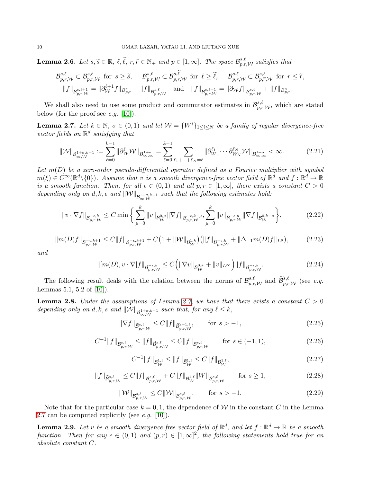<span id="page-9-4"></span>**Lemma 2.6.** Let  $s, \tilde{s} \in \mathbb{R}$ ,  $\ell, \tilde{\ell}$ ,  $r, \tilde{r} \in \mathbb{N}_+$  and  $p \in [1, \infty]$ . The space  $\mathcal{B}_{p,r,\mathcal{W}}^{s,\ell}$  satisfies that

$$
\mathcal{B}_{p,r,\mathcal{W}}^{s,\ell}\subset\mathcal{B}_{p,r,\mathcal{W}}^{\widetilde{s},\ell} \text{ for } s\geq \widetilde{s}, \quad \mathcal{B}_{p,r,\mathcal{W}}^{s,\ell}\subset\mathcal{B}_{p,r,\mathcal{W}}^{s,\widetilde{\ell}} \text{ for } \ell\geq \widetilde{\ell}, \quad \mathcal{B}_{p,r,\mathcal{W}}^{s,\ell}\subset\mathcal{B}_{p,\widetilde{r},\mathcal{W}}^{s,\ell} \text{ for } r\leq \widetilde{r},\\ \|f\|_{\mathcal{B}_{p,r,\mathcal{W}}^{s,\ell+1}}=\|\partial_{\mathcal{W}}^{\ell+1}f\|_{\mathcal{B}_{p,r}^{s}}+\|f\|_{\mathcal{B}_{p,r,\mathcal{W}}^{s,\ell}} \quad \text{and}\quad \|f\|_{\mathcal{B}_{p,r,\mathcal{W}}^{s,\ell+1}}=\|\partial_{\mathcal{W}}f\|_{\mathcal{B}_{p,r,\mathcal{W}}^{s,\ell}}+\|f\|_{\mathcal{B}_{p,r}^{s}}.
$$

We shall also need to use some product and commutator estimates in  $\mathcal{B}_{p,r,\mathcal{W}}^{s,\ell}$ , which are stated below (for the proof see  $e.g.$  [\[10\]](#page-35-6)).

<span id="page-9-1"></span>**Lemma 2.7.** Let  $k \in \mathbb{N}$ ,  $\sigma \in (0,1)$  and let  $\mathcal{W} = \{W^i\}_{1 \leq i \leq N}$  be a family of regular divergence-free vector fields on  $\mathbb{R}^d$  satisfying that

$$
\|\mathcal{W}\|_{\mathcal{B}^{1+\sigma,k-1}_{\infty,\mathcal{W}}} := \sum_{\ell=0}^{k-1} \|\partial_{\mathcal{W}}^{\ell} \mathcal{W}\|_{B^{1+\sigma}_{\infty,\infty}} = \sum_{\ell=0}^{k-1} \sum_{\ell_1+\dots+\ell_N=\ell} \|\partial_{W_1}^{\ell_1} \cdots \partial_{W_N}^{\ell_N} \mathcal{W}\|_{B^{1+\sigma}_{\infty,\infty}} < \infty. \tag{2.21}
$$

Let  $m(D)$  be a zero-order pseudo-differential operator defined as a Fourier multiplier with symbol  $m(\xi) \in C^{\infty}(\mathbb{R}^d \setminus \{0\})$ . Assume that v is a smooth divergence-free vector field of  $\mathbb{R}^d$  and  $f : \mathbb{R}^d \to \mathbb{R}$ is a smooth function. Then, for all  $\epsilon \in (0,1)$  and all  $p, r \in [1,\infty]$ , there exists a constant  $C > 0$ depending only on d, k,  $\epsilon$  and  $||\mathcal{W}||_{\mathcal{B}^{1+\sigma,k-1}_{\infty,\mathcal{W}}}$  such that the following estimates hold:

$$
\|v \cdot \nabla f\|_{\mathcal{B}_{p,r,\mathcal{W}}^{-\epsilon,k}} \leq C \min \left\{ \sum_{\mu=0}^{k} \|v\|_{\mathcal{B}_{\mathcal{W}}^{0,\mu}} \|\nabla f\|_{\mathcal{B}_{p,r,\mathcal{W}}^{-\epsilon,k-\mu}}, \sum_{\mu=0}^{k} \|v\|_{\mathcal{B}_{p,r,\mathcal{W}}^{-\epsilon,\mu}} \|\nabla f\|_{\mathcal{B}_{\mathcal{W}}^{0,k-\mu}} \right\},
$$
(2.22)

$$
||m(D)f||_{\mathcal{B}_{p,r,\mathcal{W}}^{-\epsilon,k+1}} \leq C||f||_{\mathcal{B}_{p,r,\mathcal{W}}^{-\epsilon,k+1}} + C\big(1+||\mathcal{W}||_{\mathcal{B}_{\mathcal{W}}^{1,k}}\big)\big(||f||_{\mathcal{B}_{p,r,\mathcal{W}}^{-\epsilon,k}} + ||\Delta_{-1}m(D)f||_{L^{p}}\big),\tag{2.23}
$$

and

$$
\| [m(D), v \cdot \nabla] f \|_{\mathcal{B}_{p,r,\mathcal{W}}^{-\epsilon,k}} \leq C \Big( \| \nabla v \|_{\mathcal{B}_{\mathcal{W}}^{0,k}} + \| v \|_{L^{\infty}} \Big) \| f \|_{\mathcal{B}_{p,r,\mathcal{W}}^{-\epsilon,k}}. \tag{2.24}
$$

The following result deals with the relation between the norms of  $\mathcal{B}_{p,r,\mathcal{W}}^{s,\ell}$  and  $\widetilde{\mathcal{B}}_{p,r,\mathcal{W}}^{s,\ell}$  (see e.g. Lemmas 5.1, 5.2 of [\[10\]](#page-35-6)).

<span id="page-9-2"></span>**Lemma 2.8.** Under the assumptions of Lemma [2.7,](#page-9-1) we have that there exists a constant  $C > 0$ depending only on d, k, s and  $\|\mathcal{W}\|_{\mathcal{B}^{1+\sigma,k-1}_{\infty,\mathcal{W}}}$  such that, for any  $\ell \leq k$ ,

<span id="page-9-3"></span>
$$
\|\nabla f\|_{\widetilde{\mathcal{B}}_{p,r,\mathcal{W}}^{s,\ell}} \le C \|f\|_{\widetilde{\mathcal{B}}_{p,r,\mathcal{W}}^{s+1,\ell}}, \qquad \text{for } s > -1,
$$
\n(2.25)

$$
C^{-1}||f||_{\mathcal{B}_{p,r,\mathcal{W}}^{s,\ell}} \le ||f||_{\widetilde{\mathcal{B}}_{p,r,\mathcal{W}}^{s,\ell}} \le C||f||_{\mathcal{B}_{p,r,\mathcal{W}}^{s,\ell}} \qquad \text{for } s \in (-1,1),
$$
\n(2.26)

$$
C^{-1}||f||_{\mathcal{B}^{1,\ell}_{\mathcal{W}}} \le ||f||_{\widetilde{\mathcal{B}}^{1,\ell}_{\mathcal{W}}} \le C||f||_{\mathcal{B}^{1,\ell}_{\mathcal{W}}},\tag{2.27}
$$

$$
||f||_{\widetilde{\mathcal{B}}^{s,\ell}_{p,r,\mathcal{W}}} \leq C||f||_{\mathcal{B}^{s,\ell}_{p,r,\mathcal{W}}} + C||f||_{\mathcal{B}^{1,\ell}_{\mathcal{W}}}||W||_{\mathcal{B}^{s,\ell}_{p,r,\mathcal{W}}} \qquad \text{for } s \geq 1,
$$
\n(2.28)

$$
\|\mathcal{W}\|_{\widetilde{\mathcal{B}}^{s,\ell}_{p,r,\mathcal{W}}} \le C \|\mathcal{W}\|_{\mathcal{B}^{s,\ell}_{p,r,\mathcal{W}}}, \qquad \text{for } s > -1. \tag{2.29}
$$

Note that for the particular case  $k = 0, 1$ , the dependence of W in the constant C in the Lemma [2.7](#page-9-1) can be computed explicitly (see *e.g.* [\[10\]](#page-35-6)).

<span id="page-9-0"></span>**Lemma 2.9.** Let v be a smooth divergence-free vector field of  $\mathbb{R}^d$ , and let  $f : \mathbb{R}^d \to \mathbb{R}$  be a smooth function. Then for any  $\epsilon \in (0,1)$  and  $(p,r) \in [1,\infty]^2$ , the following statements hold true for an absolute constant C.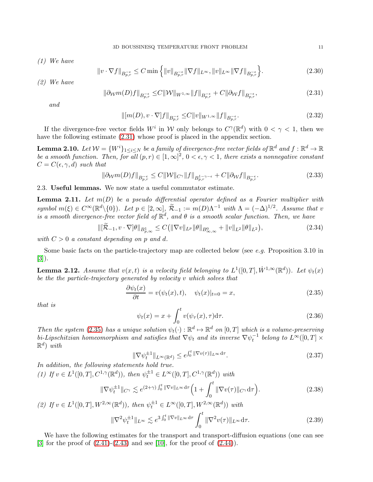(1) We have

<span id="page-10-3"></span>
$$
||v \cdot \nabla f||_{B_{p,r}^{-\epsilon}} \le C \min \left\{ ||v||_{B_{p,r}^{-\epsilon}} ||\nabla f||_{L^{\infty}}, ||v||_{L^{\infty}} ||\nabla f||_{B_{p,r}^{-\epsilon}} \right\}.
$$
 (2.30)

(2) We have

$$
\|\partial_{\mathcal{W}}m(D)f\|_{B_{p,r}^{-\epsilon}} \leq C\|\mathcal{W}\|_{W^{1,\infty}}\|f\|_{B_{p,r}^{-\epsilon}} + C\|\partial_{\mathcal{W}}f\|_{B_{p,r}^{-\epsilon}},\tag{2.31}
$$

and

<span id="page-10-7"></span><span id="page-10-4"></span>
$$
\| [m(D), v \cdot \nabla] f \|_{B_{p,r}^{-\epsilon}} \leq C \|v\|_{W^{1,\infty}} \|f\|_{B_{p,r}^{-\epsilon}}.
$$
\n(2.32)

If the divergence-free vector fields  $W^i$  in W only belongs to  $C^{\gamma}(\mathbb{R}^d)$  with  $0 < \gamma < 1$ , then we have the following estimate [\(2.31\)](#page-10-4) whose proof is placed in the appendix section.

<span id="page-10-2"></span>**Lemma 2.10.** Let  $\mathcal{W}=\{W^i\}_{1\leq i\leq N}$  be a family of divergence-free vector fields of  $\mathbb{R}^d$  and  $f:\mathbb{R}^d\to\mathbb{R}$ be a smooth function. Then, for all  $(p,r) \in [1,\infty]^2$ ,  $0 < \epsilon, \gamma < 1$ , there exists a nonnegative constant  $C = C(\epsilon, \gamma, d)$  such that

$$
\|\partial_W m(D)f\|_{B_{p,r}^{-\epsilon}} \le C\|\mathcal{W}\|_{C^\gamma}\|f\|_{B_{p,r}^{1-\gamma-\epsilon}} + C\|\partial_W f\|_{B_{p,r}^{-\epsilon}}.\tag{2.33}
$$

2.3. Useful lemmas. We now state a useful commutator estimate.

<span id="page-10-1"></span>**Lemma 2.11.** Let  $m(D)$  be a pseudo differential operator defined as a Fourier multiplier with symbol  $m(\xi) \in C^{\infty}(\mathbb{R}^d \setminus \{0\})$ . Let  $p \in [2,\infty]$ ,  $\widetilde{\mathcal{R}}_{-1} := m(D)\Lambda^{-1}$  with  $\Lambda = (-\Delta)^{1/2}$ . Assume that v is a smooth divergence-free vector field of  $\mathbb{R}^d$ , and  $\theta$  is a smooth scalar function. Then, we have

> $\|[\widetilde{\mathcal{R}}_{-1}, v \cdot \nabla]\theta\|_{B^1_{p,\infty}} \leq C(\|\nabla v\|_{L^p}\|\theta\|_{B^0_{\infty,\infty}} + \|v\|_{L^2}\|\theta\|_{L^2})$  $(2.34)$

with  $C > 0$  a constant depending on p and d.

Some basic facts on the particle-trajectory map are collected below (see  $e.g.$  Proposition 3.10 in [\[3\]](#page-35-7)).

<span id="page-10-0"></span>**Lemma 2.12.** Assume that  $v(x,t)$  is a velocity field belonging to  $L^1([0,T], \dot{W}^{1,\infty}(\mathbb{R}^d))$ . Let  $\psi_t(x)$ be the the particle-trajectory generated by velocity v which solves that

<span id="page-10-5"></span>
$$
\frac{\partial \psi_t(x)}{\partial t} = v(\psi_t(x), t), \quad \psi_t(x)|_{t=0} = x,
$$
\n(2.35)

that is

$$
\psi_t(x) = x + \int_0^t v(\psi_\tau(x), \tau) d\tau.
$$
\n(2.36)

Then the system [\(2.35\)](#page-10-5) has a unique solution  $\psi_t(\cdot): \mathbb{R}^d \mapsto \mathbb{R}^d$  on  $[0, T]$  which is a volume-preserving bi-Lipschitzian homeomorphism and satisfies that  $\nabla \psi_t$  and its inverse  $\nabla \psi_t^{-1}$  belong to  $L^{\infty}([0,T] \times$  $\mathbb{R}^d$ ) with

$$
\|\nabla \psi_t^{\pm 1}\|_{L^\infty(\mathbb{R}^d)} \le e^{\int_0^t \|\nabla v(\tau)\|_{L^\infty} d\tau}.
$$
\n(2.37)

In addition, the following statements hold true. (1) If  $v \in L^1([0,T], C^{1,\gamma}(\mathbb{R}^d))$ , then  $\psi_t^{\pm 1} \in L^{\infty}([0,T], C^{1,\gamma}(\mathbb{R}^d))$  with

<span id="page-10-6"></span>
$$
\|\nabla \psi_t^{\pm 1}\|_{C^{\gamma}} \lesssim e^{(2+\gamma)\int_0^t \|\nabla v\|_{L^{\infty}} d\tau} \Big(1 + \int_0^t \|\nabla v(\tau)\|_{C^{\gamma}} d\tau\Big). \tag{2.38}
$$

(2) If  $v \in L^1([0,T], W^{2,\infty}(\mathbb{R}^d))$ , then  $\psi_t^{\pm 1} \in L^{\infty}([0,T], W^{2,\infty}(\mathbb{R}^d))$  with

$$
\|\nabla^2 \psi_t^{\pm 1}\|_{L^\infty} \lesssim e^{3\int_0^t \|\nabla v\|_{L^\infty} d\tau} \int_0^t \|\nabla^2 v(\tau)\|_{L^\infty} d\tau. \tag{2.39}
$$

We have the following estimates for the transport and transport-diffusion equations (one can see [\[3\]](#page-35-7) for the proof of  $(2.41)-(2.43)$  $(2.41)-(2.43)$  and see [\[10\]](#page-35-6), for the proof of  $(2.44)$ ).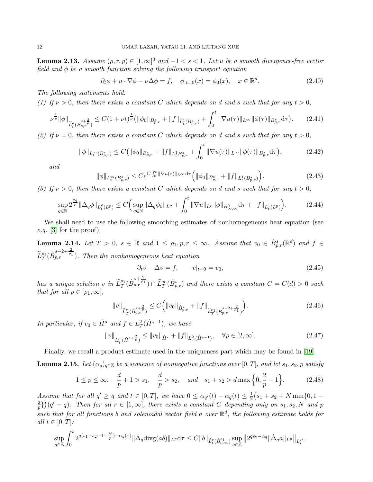**Lemma 2.13.** Assume  $(\rho, r, p) \in [1, \infty]^3$  and  $-1 < s < 1$ . Let u be a smooth divergence-free vector field and  $\phi$  be a smooth function solving the following transport equation

$$
\partial_t \phi + u \cdot \nabla \phi - \nu \Delta \phi = f, \quad \phi|_{t=0}(x) = \phi_0(x), \quad x \in \mathbb{R}^d. \tag{2.40}
$$

The following statements hold.

(1) If  $\nu > 0$ , then there exists a constant C which depends on d and s such that for any  $t > 0$ ,

<span id="page-11-0"></span>
$$
\nu^{\frac{1}{\rho}} \|\phi\|_{\widetilde{L}^{\rho}_{t}(B^{s+\frac{2}{\rho}}_{p,r})} \leq C(1+\nu t)^{\frac{1}{\rho}} \left( \|\phi_{0}\|_{B^{s}_{p,r}} + \|f\|_{\widetilde{L}^{1}_{t}(B^{s}_{p,r})} + \int_{0}^{t} \|\nabla u(\tau)\|_{L^{\infty}} \|\phi(\tau)\|_{B^{s}_{p,r}} d\tau \right). \tag{2.41}
$$

(2) If  $\nu = 0$ , then there exists a constant C which depends on d and s such that for any  $t > 0$ ,

<span id="page-11-6"></span>
$$
\|\phi\|_{L_t^{\infty}(B_{p,r}^s)} \le C \left( \|\phi_0\|_{B_{p,r}^s} + \|f\|_{L_t^1 B_{p,r}^s} + \int_0^t \|\nabla u(\tau)\|_{L^\infty} \|\phi(\tau)\|_{B_{p,r}^s} d\tau \right),\tag{2.42}
$$

and

<span id="page-11-1"></span>
$$
\|\phi\|_{L_t^{\infty}(B_{p,r}^s)} \le C e^{C \int_0^t \|\nabla u(\tau)\|_{L^{\infty}} d\tau} \Big( \|\phi_0\|_{B_{p,r}^s} + \|f\|_{L_t^1(B_{p,r}^s)} \Big). \tag{2.43}
$$

(3) If  $\nu > 0$ , then there exists a constant C which depends on d and s such that for any  $t > 0$ ,

<span id="page-11-2"></span>
$$
\sup_{q \in \mathbb{N}} 2^{\frac{2q}{\rho}} \|\Delta_q \phi\|_{L_t^{\rho}(L^p)} \le C \Big( \sup_{q \in \mathbb{N}} \|\Delta_q \phi_0\|_{L^p} + \int_0^t \|\nabla u\|_{L^p} \|\phi\|_{B^0_{\infty,\infty}} d\tau + \|f\|_{L_t^1(L^p)} \Big). \tag{2.44}
$$

We shall need to use the following smoothing estimates of nonhomogeneous heat equation (see e.g. [\[3\]](#page-35-7) for the proof).

<span id="page-11-8"></span>**Lemma 2.14.** Let  $T > 0$ ,  $s \in \mathbb{R}$  and  $1 \leq \rho_1, p, r \leq \infty$ . Assume that  $v_0 \in \dot{B}_{p,r}^s(\mathbb{R}^d)$  and  $f \in$  $\widetilde{L}_T^{\rho_1}(\dot{B}_{p,r}^{s-2+\frac{2}{\rho_1}})$ . Then the nonhomogeneous heat equation

<span id="page-11-7"></span><span id="page-11-5"></span><span id="page-11-3"></span>
$$
\partial_t v - \Delta v = f, \qquad v|_{t=0} = v_0,\tag{2.45}
$$

has a unique solution v in  $\tilde{L}_T^{\rho_1}(\dot{B}_{p,r}^{s+\frac{2}{\rho_1}}) \cap \tilde{L}_T^{\infty}(\dot{B}_{p,r}^{s})$  and there exists a constant  $C = C(d) > 0$  such that for all  $\rho \in [\rho_1, \infty]$ ,

$$
||v||_{\widetilde{L}^{\rho}_{T}(\dot{B}_{p,r}^{s+\frac{2}{\rho}})} \leq C\Big(||v_0||_{\dot{B}_{p,r}^s} + ||f||_{\widetilde{L}^{\rho_1}_{T}(\dot{B}_{p,r}^{s-2+\frac{2}{\rho_1}})}\Big).
$$
\n(2.46)

In particular, if  $v_0 \in \dot{H}^s$  and  $f \in L^2_T(\dot{H}^{s-1})$ , we have

$$
||v||_{L_T^{\rho}(\dot{H}^{s+\frac{2}{\rho}})} \le ||v_0||_{\dot{H}^s} + ||f||_{L_T^2(\dot{H}^{s-1})}, \quad \forall \rho \in [2, \infty].
$$
\n(2.47)

Finally, we recall a product estimate used in the uniqueness part which may be found in [\[19\]](#page-36-4).

<span id="page-11-4"></span>**Lemma 2.15.** Let  $(\alpha_q)_{q \in \mathbb{Z}}$  be a sequence of nonnegative functions over [0, T], and let  $s_1, s_2, p$  satisfy

$$
1 \le p \le \infty, \quad \frac{d}{p} + 1 > s_1, \quad \frac{d}{p} > s_2, \quad \text{and} \quad s_1 + s_2 > d \max\left\{0, \frac{2}{p} - 1\right\}.
$$
 (2.48)

Assume that for all  $q' \ge q$  and  $t \in [0,T]$ , we have  $0 \le \alpha_{q'}(t) - \alpha_q(t) \le \frac{1}{2}$  $\frac{1}{2}(s_1 + s_2 + N \min\{0, 1 - \}$ 2  $\left(\frac{2}{p}\right)(q'-q)$ . Then for all  $r \in [1,\infty]$ , there exists a constant C depending only on  $s_1, s_2, N$  and p such that for all functions b and solenoidal vector field a over  $\mathbb{R}^d$ , the following estimate holds for all  $t \in [0, T]$ :

$$
\sup_{q\in\mathbb{Z}}\int_0^t 2^{q(s_1+s_2-1-\frac{N}{p})-\alpha_q(\tau)} \|\dot{\Delta}_q \text{divg}(ab)\|_{L^p} d\tau \leq C \|b\|_{\widetilde{L}_t^r(\dot{B}_{p,\infty}^{s_1})} \sup_{q\in\mathbb{Z}} \|2^{qs_2-\alpha_q} \|\dot{\Delta}_q a\|_{L^p}\|_{L_t^{r'}}.
$$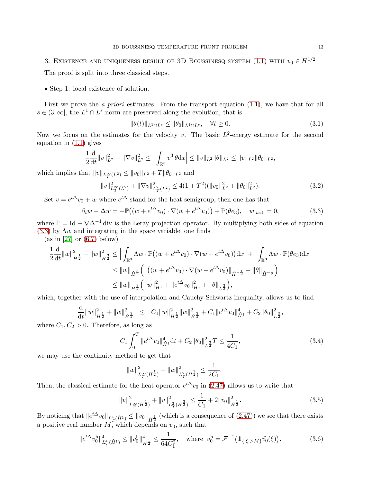# <span id="page-12-0"></span>3. EXISTENCE AND UNIQUENESS RESULT OF 3D BOUSSINESQ SYSTEM [\(1.1\)](#page-0-0) WITH  $v_0 \in H^{1/2}$

The proof is split into three classical steps.

• Step 1: local existence of solution.

First we prove the *a priori* estimates. From the transport equation [\(1.1\)](#page-0-0), we have that for all  $s \in (3,\infty]$ , the  $L^1 \cap L^s$  norm are preserved along the evolution, that is

<span id="page-12-3"></span><span id="page-12-1"></span>
$$
\|\theta(t)\|_{L^1 \cap L^s} \le \|\theta_0\|_{L^1 \cap L^s}, \quad \forall t \ge 0. \tag{3.1}
$$

Now we focus on the estimates for the velocity v. The basic  $L^2$ -energy estimate for the second equation in [\(1.1\)](#page-0-0) gives

$$
\frac{1}{2}\frac{\mathrm{d}}{\mathrm{d}t}||v||_{L^{2}}^{2} + ||\nabla v||_{L^{2}}^{2} \leq \left|\int_{\mathbb{R}^{3}} v^{3} \theta \mathrm{d}x\right| \leq ||v||_{L^{2}}||\theta||_{L^{2}} \leq ||v||_{L^{2}}||\theta_{0}||_{L^{2}},
$$

which implies that  $||v||_{L_T^{\infty}(L^2)} \le ||v_0||_{L^2} + T||\theta_0||_{L^2}$  and

<span id="page-12-4"></span>
$$
||v||_{L_T^{\infty}(L^2)}^2 + ||\nabla v||_{L_T^2(L^2)}^2 \le 4(1+T^2)(||v_0||_{L^2}^2 + ||\theta_0||_{L^2}^2). \tag{3.2}
$$

Set  $v = e^{t\Delta}v_0 + w$  where  $e^{t\Delta}$  stand for the heat semigroup, then one has that

$$
\partial_t w - \Delta w = -\mathbb{P}\left((w + e^{t\Delta}v_0) \cdot \nabla(w + e^{t\Delta}v_0)\right) + \mathbb{P}(\theta e_3), \quad w|_{t=0} = 0,\tag{3.3}
$$

where  $\mathbb{P} = \text{Id} - \nabla \Delta^{-1}$  div is the Leray projection operator. By multiplying both sides of equation  $(3.3)$  by  $\Lambda w$  and integrating in the space variable, one finds

 $(as in [27] or (6.7) below)$  $(as in [27] or (6.7) below)$  $(as in [27] or (6.7) below)$  $(as in [27] or (6.7) below)$  $(as in [27] or (6.7) below)$ 

$$
\frac{1}{2} \frac{d}{dt} ||w||_{\dot{H}^{\frac{1}{2}}}^{2} + ||w||_{\dot{H}^{\frac{3}{2}}}^{2} \leq \left| \int_{\mathbb{R}^{3}} \Lambda w \cdot \mathbb{P}((w + e^{t\Delta}v_{0}) \cdot \nabla(w + e^{t\Delta}v_{0})) dx \right| + \left| \int_{\mathbb{R}^{3}} \Lambda w \cdot \mathbb{P}(\theta e_{3}) dx \right|
$$
  
\n
$$
\leq ||w||_{\dot{H}^{\frac{3}{2}}} \left( ||((w + e^{t\Delta}v_{0}) \cdot \nabla(w + e^{t\Delta}v_{0})||_{\dot{H}^{-\frac{1}{2}}} + ||\theta||_{\dot{H}^{-\frac{1}{2}}} \right)
$$
  
\n
$$
\leq ||w||_{\dot{H}^{\frac{3}{2}}} \left( ||w||_{\dot{H}^{1}}^{2} + ||e^{t\Delta}v_{0}||_{\dot{H}^{1}}^{2} + ||\theta||_{L^{\frac{3}{2}}} \right),
$$

which, together with the use of interpolation and Cauchy-Schwartz inequality, allows us to find

$$
\frac{\mathrm{d}}{\mathrm{d} t} \|w\|_{\dot H^\frac12}^2 + \|w\|_{\dot H^\frac32}^2 \quad \le \quad C_1 \|w\|_{\dot H^\frac12}^2 \|w\|_{\dot H^\frac32}^2 + C_1 \|e^{t\Delta}v_0\|_{\dot H^1}^4 + C_2 \|\theta_0\|_{L^\frac32}^2,
$$

where  $C_1, C_2 > 0$ . Therefore, as long as

$$
C_1 \int_0^T \|e^{t\Delta}v_0\|_{\dot{H}^1}^4 \mathrm{d}t + C_2 \|\theta_0\|_{L^{\frac{3}{2}}}^2 T \le \frac{1}{4C_1},\tag{3.4}
$$

we may use the continuity method to get that

$$
||w||^2_{L^{\infty}_T(\dot{H}^{\frac{1}{2}})} + ||w||^2_{L^2_T(\dot{H}^{\frac{3}{2}})} \leq \frac{1}{2C_1}.
$$

Then, the classical estimate for the heat operator  $e^{t\Delta}v_0$  in [\(2.47\)](#page-11-3) allows us to write that

<span id="page-12-2"></span>
$$
||v||_{L^{\infty}_{T}(\dot{H}^{\frac{1}{2}})}^{2} + ||v||_{L^{2}_{T}(\dot{H}^{\frac{3}{2}})}^{2} \leq \frac{1}{C_{1}} + 2||v_{0}||_{\dot{H}^{\frac{1}{2}}}^{2}.
$$
\n(3.5)

By noticing that  $||e^{t\Delta}v_0||_{L_T^4(H^1)} \le ||v_0||_{\dot{H}^{\frac{1}{2}}}$  (which is a consequence of  $(2.47)$ ) we see that there exists a positive real number  $M$ , which depends on  $v_0$ , such that

$$
||e^{t\Delta}v_0^h||_{L_T^4(\dot{H}^1)}^4 \le ||v_0^h||_{\dot{H}^{\frac{1}{2}}}^4 \le \frac{1}{64C_1^2}, \quad \text{where } v_0^h = \mathcal{F}^{-1}(\mathbb{1}_{\{|\xi| > M\}}\hat{v}_0(\xi)).\tag{3.6}
$$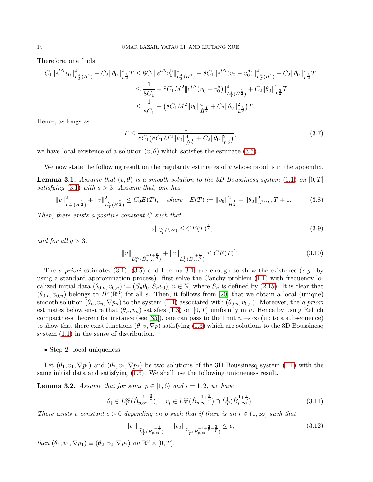Therefore, one finds

$$
C_{1} \|e^{t\Delta}v_{0}\|_{L^{4}_{T}(\dot{H}^{1})}^{4} + C_{2} \|\theta_{0}\|_{L^{\frac{3}{2}}}^{2} T \leq 8C_{1} \|e^{t\Delta}v_{0}^{h}\|_{L^{4}_{T}(\dot{H}^{1})}^{4} + 8C_{1} \|e^{t\Delta}(v_{0} - v_{0}^{h})\|_{L^{4}_{T}(\dot{H}^{1})}^{4} + C_{2} \|\theta_{0}\|_{L^{\frac{3}{2}}}^{2} T
$$
  

$$
\leq \frac{1}{8C_{1}} + 8C_{1}M^{2} \|e^{t\Delta}(v_{0} - v_{0}^{h})\|_{L^{4}_{T}(\dot{H}^{\frac{1}{2}})}^{4} + C_{2} \|\theta_{0}\|_{L^{\frac{3}{2}}}^{2} T
$$
  

$$
\leq \frac{1}{8C_{1}} + (8C_{1}M^{2} \|v_{0}\|_{\dot{H}^{\frac{1}{2}}}^{4} + C_{2} \|\theta_{0}\|_{L^{\frac{3}{2}}}^{2} )T.
$$

Hence, as longs as

$$
T \le \frac{1}{8C_1 \left( 8C_1 M^2 ||v_0||_{\dot{H}^{\frac{1}{2}}}^4 + C_2 ||\theta_0||_{\dot{L}^{\frac{3}{2}}}^2 \right)},\tag{3.7}
$$

we have local existence of a solution  $(v, \theta)$  which satisfies the estimate [\(3.5\)](#page-12-2).

We now state the following result on the regularity estimates of  $v$  whose proof is in the appendix.

<span id="page-13-0"></span>**Lemma 3.1.** Assume that  $(v, \theta)$  is a smooth solution to the 3D Boussinesq system [\(1.1\)](#page-0-0) on [0, T] satisfying  $(3.1)$  with  $s > 3$ . Assume that, one has

$$
||v||_{L_T^{\infty}(\dot{H}^{\frac{1}{2}})}^2 + ||v||_{L_T^2(\dot{H}^{\frac{3}{2}})}^2 \le C_0 E(T), \quad \text{where} \quad E(T) := ||v_0||_{\dot{H}^{\frac{1}{2}}}^2 + ||\theta_0||_{L^1 \cap L^s}^2 T + 1. \tag{3.8}
$$

Then, there exists a positive constant C such that

<span id="page-13-6"></span><span id="page-13-5"></span><span id="page-13-4"></span>
$$
||v||_{L_T^2(L^\infty)} \le CE(T)^{\frac{3}{2}},\tag{3.9}
$$

and for all  $q > 3$ ,

$$
||v||_{L^{\infty}_{T}(\dot{B}_{q,\infty}^{-1+\frac{3}{q}})} + ||v||_{\tilde{L}^{1}_{T}(\dot{B}_{q,\infty}^{1+\frac{3}{q}})} \le CE(T)^{2}.
$$
\n(3.10)

The a priori estimates  $(3.1)$ ,  $(3.5)$  and Lemma [3.1,](#page-13-0) are enough to show the existence  $(e.g.$  by using a standard approximation process). first solve the Cauchy problem [\(1.1\)](#page-0-0) with frequency localized initial data  $(\theta_{0,n}, v_{0,n}) := (S_n \theta_0, S_n v_0), n \in \mathbb{N}$ , where  $S_n$  is defined by [\(2.15\)](#page-8-1). It is clear that  $(\theta_{0,n}, v_{0,n})$  belongs to  $H^s(\mathbb{R}^3)$  for all s. Then, it follows from [\[20\]](#page-36-9) that we obtain a local (unique) smooth solution  $(\theta_n, v_n, \nabla p_n)$  to the system [\(1.1\)](#page-0-0) associated with  $(\theta_{0,n}, v_{0,n})$ . Moreover, the a priori estimates below ensure that  $(\theta_n, v_n)$  satisfies [\(1.3\)](#page-2-2) on [0, T] uniformly in n. Hence by using Rellich compactness theorem for instance (see [\[35\]](#page-36-24)), one can pass to the limit  $n \to \infty$  (up to a subsequence) to show that there exist functions  $(\theta, v, \nabla p)$  satisfying [\(1.3\)](#page-2-2) which are solutions to the 3D Boussinesq system [\(1.1\)](#page-0-0) in the sense of distribution.

• Step 2: local uniqueness.

Let  $(\theta_1, v_1, \nabla p_1)$  and  $(\theta_2, v_2, \nabla p_2)$  be two solutions of the 3D Boussinesq system [\(1.1\)](#page-0-0) with the same initial data and satisfying [\(1.3\)](#page-2-2). We shall use the following uniqueness result.

<span id="page-13-1"></span>**Lemma 3.2.** Assume that for some  $p \in [1,6)$  and  $i = 1,2$ , we have

$$
\theta_i \in L_T^{\infty}(\dot{B}_{p,\infty}^{-1+\frac{3}{p}}), \quad v_i \in L_T^{\infty}(\dot{B}_{p,\infty}^{-1+\frac{3}{p}}) \cap \widetilde{L}_T^1(\dot{B}_{p,\infty}^{1+\frac{3}{p}}).
$$
\n(3.11)

There exists a constant  $c > 0$  depending on p such that if there is an  $r \in (1,\infty]$  such that

<span id="page-13-3"></span><span id="page-13-2"></span>
$$
||v_1||_{\widetilde{L}^1_T(\dot{B}_{p,\infty}^{1+\frac{3}{p}})} + ||v_2||_{\widetilde{L}^r_T(\dot{B}_{p,\infty}^{-1+\frac{2}{r}+\frac{3}{p}})} \leq c,
$$
\n(3.12)

then  $(\theta_1, v_1, \nabla p_1) \equiv (\theta_2, v_2, \nabla p_2)$  on  $\mathbb{R}^3 \times [0, T]$ .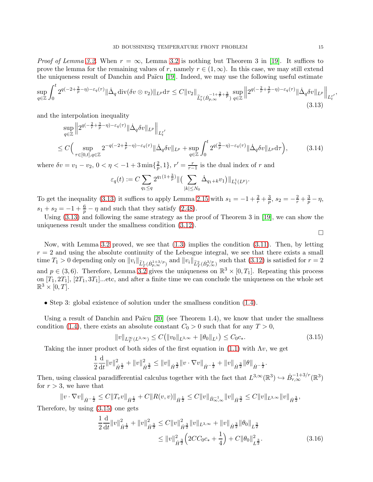*Proof of Lemma [3.2.](#page-13-1)* When  $r = \infty$ , Lemma [3.2](#page-13-1) is nothing but Theorem 3 in [\[19\]](#page-36-4). It suffices to prove the lemma for the remaining values of r, namely  $r \in (1,\infty)$ . In this case, we may still extend the uniqueness result of Danchin and Païcu [\[19\]](#page-36-4). Indeed, we may use the following useful estimate

$$
\sup_{q\in\mathbb{Z}}\int_0^t 2^{q(-2+\frac{3}{p}-\eta)-\varepsilon_q(\tau)}\|\dot{\Delta}_q\operatorname{div}(\delta v\otimes v_2)\|_{L^p}d\tau\leq C\|v_2\|_{\widetilde{L}^r_t(\dot{B}_{p,\infty}^{-1+\frac{2}{r}+\frac{3}{p}})}\sup_{q\in\mathbb{Z}}\left\|2^{q(-\frac{2}{r}+\frac{3}{p}-\eta)-\varepsilon_q(\tau)}\|\dot{\Delta}_q\delta v\|_{L^p}\right\|_{L^r_t},\tag{3.13}
$$

and the interpolation inequality

$$
\sup_{q\in\mathbb{Z}}\left\|2^{q\left(-\frac{2}{r}+\frac{3}{p}-\eta\right)-\varepsilon_{q}(\tau)}\|\dot{\Delta}_{q}\delta v\|_{L^{p}}\right\|_{L^{r'}_{t'}}
$$
\n
$$
\leq C\Big(\sup_{\tau\in[0,t],q\in\mathbb{Z}}2^{-q\left(-2+\frac{3}{p}-\eta\right)-\varepsilon_{q}(\tau)}\|\dot{\Delta}_{q}\delta v\|_{L^{p}}+\sup_{q\in\mathbb{Z}}\int_{0}^{t}2^{q\left(\frac{3}{p}-\eta\right)-\varepsilon_{q}(\tau)}\|\dot{\Delta}_{q}\delta v\|_{L^{p}}d\tau\Big),\tag{3.14}
$$

where  $\delta v = v_1 - v_2, 0 < \eta < -1 + 3 \min\{\frac{2}{n}\}\$  $\frac{2}{p}, 1$ ,  $r' = \frac{r}{r-1}$  $\frac{r}{r-1}$  is the dual index of r and

$$
\varepsilon_q(t) := C \sum_{q_1 \le q} 2^{q_1(1+\frac{3}{p})} \| \left( \sum_{|k| \le N_0} \dot{\Delta}_{q_1+k} v_1 \right) \|_{L_t^1(L^p)}.
$$

To get the inequality [\(3.13\)](#page-14-0) it suffices to apply Lemma [2.15](#page-11-4) with  $s_1 = -1 + \frac{2}{r} + \frac{3}{p}$  $\frac{3}{p}, s_2 = -\frac{2}{r} + \frac{3}{p} - \eta,$  $s_1 + s_2 = -1 + \frac{6}{p} - \eta$  and such that they satisfy [\(2.48\)](#page-11-5).

Using [\(3.13\)](#page-14-0) and following the same strategy as the proof of Theorem 3 in [\[19\]](#page-36-4), we can show the uniqueness result under the smallness condition [\(3.12\)](#page-13-2).

Now, with Lemma [3.2](#page-13-1) proved, we see that  $(1.3)$  implies the condition  $(3.11)$ . Then, by letting  $r = 2$  and using the absolute continuity of the Lebesgue integral, we see that there exists a small time  $T_1 > 0$  depending only on  $||v_i||_{\widetilde{L}^1_T(\dot{B}_{p,\infty}^{1+3/p})}$  and  $||v_i||_{\widetilde{L}^2_T(\dot{B}_{p,\infty}^{3/p})}$  such that  $(3.12)$  is satisfied for  $r = 2$ and  $p \in (3,6)$ . Therefore, Lemma [3.2](#page-13-1) gives the uniqueness on  $\mathbb{R}^3 \times [0,T_1]$ . Repeating this process on  $[T_1, 2T_1], [2T_1, 3T_1]$ ...etc, and after a finite time we can conclude the uniqueness on the whole set  $\mathbb{R}^3 \times [0,T].$ 

• Step 3: global existence of solution under the smallness condition [\(1.4\)](#page-2-3).

Using a result of Danchin and Païcu  $[20]$  (see Theorem 1.4), we know that under the smallness condition [\(1.4\)](#page-2-3), there exists an absolute constant  $C_0 > 0$  such that for any  $T > 0$ ,

<span id="page-14-1"></span>
$$
||v||_{L^{\infty}_{T}(L^{3,\infty})} \leq C(||v_{0}||_{L^{3,\infty}} + ||\theta_{0}||_{L^{1}}) \leq C_{0}c_{*}.
$$
\n(3.15)

Taking the inner product of both sides of the first equation in [\(1.1\)](#page-0-0) with  $\Lambda v$ , we get

$$
\frac{1}{2}\frac{\mathrm{d}}{\mathrm{d}t}||v||_{\dot{H}^{\frac{1}{2}}}^{2} + ||v||_{\dot{H}^{\frac{3}{2}}}^{2} \leq ||v||_{\dot{H}^{\frac{3}{2}}}||v \cdot \nabla v||_{\dot{H}^{-\frac{1}{2}}} + ||v||_{\dot{H}^{\frac{3}{2}}}||\theta||_{\dot{H}^{-\frac{1}{2}}}.
$$

Then, using classical paradifferential calculus together with the fact that  $L^{3,\infty}(\mathbb{R}^3) \hookrightarrow \dot{B}^{-1+3/r}_{r,\infty}(\mathbb{R}^3)$ for  $r > 3$ , we have that

$$
||v\cdot\nabla v||_{\dot{H}^{-\frac{1}{2}}} \leq C||T_v v||_{\dot{H}^{\frac{1}{2}}} + C||R(v,v)||_{\dot{H}^{\frac{1}{2}}} \leq C||v||_{\dot{B}^{-1}_{\infty,\infty}}||v||_{\dot{H}^{\frac{3}{2}}} \leq C||v||_{L^{3,\infty}}||v||_{\dot{H}^{\frac{3}{2}}},
$$

Therefore, by using [\(3.15\)](#page-14-1) one gets

$$
\frac{1}{2}\frac{\mathrm{d}}{\mathrm{d}t}||v||_{\dot{H}^{\frac{1}{2}}}^{2} + ||v||_{\dot{H}^{\frac{3}{2}}}^{2} \leq C||v||_{\dot{H}^{\frac{3}{2}}}^{2}||v||_{L^{3,\infty}} + ||v||_{\dot{H}^{\frac{3}{2}}}||\theta_{0}||_{L^{\frac{3}{2}}} \leq ||v||_{\dot{H}^{\frac{3}{2}}}^{2} \left(2CC_{0}c_{*} + \frac{1}{4}\right) + C||\theta_{0}||_{L^{\frac{3}{2}}}^{2}.
$$
\n(3.16)

<span id="page-14-0"></span> $\Box$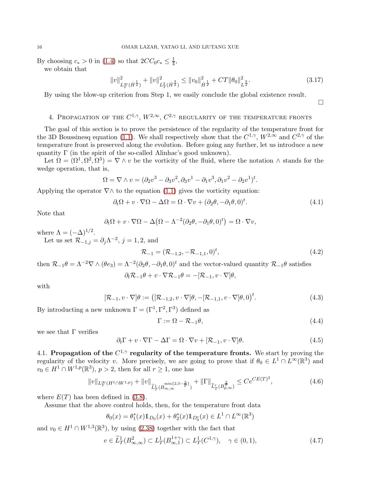By choosing  $c_* > 0$  in [\(1.4\)](#page-2-3) so that  $2CC_0c_* \leq \frac{1}{4}$  $\frac{1}{4}$ , we obtain that

$$
||v||_{L_T^{\infty}(\dot{H}^{\frac{1}{2}})}^2 + ||v||_{L_T^2(\dot{H}^{\frac{3}{2}})}^2 \le ||v_0||_{\dot{H}^{\frac{1}{2}}}^2 + CT ||\theta_0||_{L^{\frac{3}{2}}}^2.
$$
\n(3.17)

<span id="page-15-6"></span> $\Box$ 

<span id="page-15-0"></span>By using the blow-up criterion from Step 1, we easily conclude the global existence result.

4. PROPAGATION OF THE  $C^{1,\gamma},\,W^{2,\infty},\,C^{2,\gamma}$  regularity of the temperature fronts

The goal of this section is to prove the persistence of the regularity of the temperature front for the 3D Boussinesq equation [\(1.1\)](#page-0-0). We shall respectively show that the  $C^{1,\gamma}$ ,  $W^{2,\infty}$  and  $C^{2,\gamma}$  of the temperature front is preserved along the evolution. Before going any further, let us introduce a new quantity Γ (in the spirit of the so-called Alinhac's good unknown).

Let  $\Omega = (\Omega^1, \Omega^2, \Omega^3) = \nabla \wedge v$  be the vorticity of the fluid, where the notation  $\wedge$  stands for the wedge operation, that is,

$$
\Omega = \nabla \wedge v = (\partial_2 v^3 - \partial_3 v^2, \partial_3 v^1 - \partial_1 v^3, \partial_1 v^2 - \partial_2 v^1)^t.
$$

Applying the operator  $\nabla \wedge$  to the equation [\(1.1\)](#page-0-0) gives the vorticity equation:

<span id="page-15-2"></span>
$$
\partial_t \Omega + v \cdot \nabla \Omega - \Delta \Omega = \Omega \cdot \nabla v + (\partial_2 \theta, -\partial_1 \theta, 0)^t. \tag{4.1}
$$

Note that

$$
\partial_t \Omega + v \cdot \nabla \Omega - \Delta \big( \Omega - \Lambda^{-2} (\partial_2 \theta, -\partial_1 \theta, 0)^t \big) = \Omega \cdot \nabla v,
$$

where  $\Lambda = (-\Delta)^{1/2}$ .

Let us set  $\mathcal{R}_{-1,j} = \partial_j \Lambda^{-2}$ ,  $j = 1, 2$ , and

$$
\mathcal{R}_{-1} = (\mathcal{R}_{-1,2}, -\mathcal{R}_{-1,1}, 0)^t, \tag{4.2}
$$

then  $\mathcal{R}_{-1}\theta = \Lambda^{-2}\nabla \wedge (\theta e_3) = \Lambda^{-2}(\partial_2\theta, -\partial_1\theta, 0)^t$  and the vector-valued quantity  $\mathcal{R}_{-1}\theta$  satisfies

$$
\partial_t \mathcal{R}_{-1} \theta + v \cdot \nabla \mathcal{R}_{-1} \theta = -[\mathcal{R}_{-1}, v \cdot \nabla] \theta,
$$

with

$$
[\mathcal{R}_{-1}, v \cdot \nabla]\theta := ([\mathcal{R}_{-1,2}, v \cdot \nabla]\theta, -[\mathcal{R}_{-1,1}, v \cdot \nabla]\theta, 0)^t.
$$
\n(4.3)

By introducting a new unknown  $\Gamma = (\Gamma^1, \Gamma^2, \Gamma^3)$  defined as

<span id="page-15-5"></span><span id="page-15-4"></span>
$$
\Gamma := \Omega - \mathcal{R}_{-1}\theta,\tag{4.4}
$$

we see that  $\Gamma$  verifies

<span id="page-15-3"></span>
$$
\partial_t \Gamma + v \cdot \nabla \Gamma - \Delta \Gamma = \Omega \cdot \nabla v + [\mathcal{R}_{-1}, v \cdot \nabla] \theta.
$$
\n(4.5)

4.1. Propagation of the  $C^{1,\gamma}$  regularity of the temperature fronts. We start by proving the regularity of the velocity v. More precisely, we are going to prove that if  $\theta_0 \in L^1 \cap L^\infty(\mathbb{R}^3)$  and  $v_0 \in H^1 \cap W^{1,p}(\mathbb{R}^3), p > 2$ , then for all  $r \ge 1$ , one has

<span id="page-15-1"></span>
$$
||v||_{L^{\infty}_{T}(H^{1}\cap W^{1,p})} + ||v||_{\widetilde{L}^{1}_{T}(B^{min\{2,3-\frac{3}{p}\}}_{\infty,\infty})} + ||\Gamma||_{\widetilde{L}^{r}_{T}(B^{2}_{p,\infty})} \leq Ce^{CE(T)^{3}},
$$
\n(4.6)

where  $E(T)$  has been defined in [\(3.8\)](#page-13-4).

Assume that the above control holds, then, for the temperature front data

$$
\theta_0(x) = \theta_1^*(x) \mathbb{1}_{D_0}(x) + \theta_2^*(x) \mathbb{1}_{D_0^c}(x) \in L^1 \cap L^{\infty}(\mathbb{R}^3)
$$

and  $v_0 \in H^1 \cap W^{1,3}(\mathbb{R}^3)$ , by using [\(2.38\)](#page-10-6) together with the fact that

$$
v \in \widetilde{L}_T^1(B^2_{\infty,\infty}) \subset L_T^1(B^{1+\gamma}_{\infty,1}) \subset L_T^1(C^{1,\gamma}), \quad \gamma \in (0,1),
$$
\n(4.7)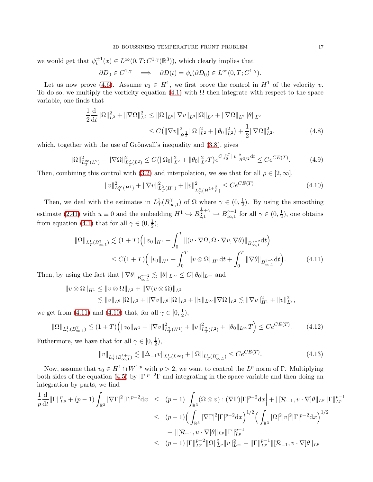we would get that  $\psi_t^{\pm 1}(x) \in L^\infty(0,T;C^{1,\gamma}(\mathbb{R}^3))$ , which clearly implies that

$$
\partial D_0 \in C^{1,\gamma} \quad \Longrightarrow \quad \partial D(t) = \psi_t(\partial D_0) \in L^{\infty}(0,T; C^{1,\gamma}).
$$

Let us now prove [\(4.6\)](#page-15-1). Assume  $v_0 \in H^1$ , we first prove the control in  $H^1$  of the velocity v. To do so, we multiply the vorticity equation [\(4.1\)](#page-15-2) with  $\Omega$  then integrate with respect to the space variable, one finds that

$$
\frac{1}{2}\frac{\mathrm{d}}{\mathrm{d}t} \|\Omega\|_{L^2}^2 + \|\nabla\Omega\|_{L^2}^2 \le \|\Omega\|_{L^6} \|\nabla v\|_{L^3} \|\Omega\|_{L^2} + \|\nabla\Omega\|_{L^2} \|\theta\|_{L^2}
$$
\n
$$
\le C \big( \|\nabla v\|_{\dot{H}^{\frac{1}{2}}}^2 \|\Omega\|_{L^2}^2 + \|\theta_0\|_{L^2}^2 \big) + \frac{1}{2} \|\nabla\Omega\|_{L^2}^2, \tag{4.8}
$$

which, together with the use of Grönwall's inequality and  $(3.8)$ , gives

$$
\|\Omega\|_{L_T^{\infty}(L^2)}^2 + \|\nabla\Omega\|_{L_T^2(L^2)}^2 \le C \left(\|\Omega_0\|_{L^2}^2 + \|\theta_0\|_{L^2}^2 T\right) e^{C \int_0^T \|v\|_{\dot{H}^{3/2}}^2 dt} \le Ce^{CE(T)}.\tag{4.9}
$$

Then, combining this control with [\(3.2\)](#page-12-4) and interpolation, we see that for all  $\rho \in [2,\infty)$ ,

<span id="page-16-1"></span><span id="page-16-0"></span>
$$
||v||_{L_T^{\infty}(H^1)}^2 + ||\nabla v||_{L_T^2(H^1)}^2 + ||v||_{L_T^{\rho}(H^{1+\frac{2}{\rho}})}^2 \le Ce^{CE(T)}.
$$
\n(4.10)

Then, we deal with the estimates in  $L^1_T(B^{\gamma}_\infty)$  $\chi^{\gamma}_{\infty,1}$ ) of Ω where  $\gamma \in (0, \frac{1}{2})$  $\frac{1}{2}$ ). By using the smoothing estimate [\(2.41\)](#page-11-0) with  $u \equiv 0$  and the embedding  $H^1 \hookrightarrow B_{2,1}^{\frac{1}{2}+\gamma} \hookrightarrow B_{\infty,1}^{\gamma-1}$  $\chi_{\infty,1}^{\gamma-1}$  for all  $\gamma \in (0, \frac{1}{2})$  $(\frac{1}{2})$ , one obtains from equation [\(4.1\)](#page-15-2) that for all  $\gamma \in (0, \frac{1}{2})$  $(\frac{1}{2}),$ 

$$
\|\Omega\|_{L^1_T(B^{\gamma}_{\infty,1})} \lesssim (1+T) \Big( \|v_0\|_{H^1} + \int_0^T \|(v \cdot \nabla \Omega, \Omega \cdot \nabla v, \nabla \theta)\|_{B^{\gamma-2}_{\infty,1}} dt \Big) \leq C(1+T) \Big( \|v_0\|_{H^1} + \int_0^T \|v \otimes \Omega\|_{H^1} dt + \int_0^T \|\nabla \theta\|_{B^{\gamma-2}_{\infty,1}} dt \Big).
$$
 (4.11)

Then, by using the fact that  $\|\nabla \theta\|_{B^{ \gamma-2}_{\infty,1}} \lesssim \|\theta\|_{L^\infty} \leq C \|\theta_0\|_{L^\infty}$  and

$$
\|v \otimes \Omega\|_{H^1} \le \|v \otimes \Omega\|_{L^2} + \|\nabla(v \otimes \Omega)\|_{L^2}
$$
  

$$
\lesssim \|v\|_{L^6} \|\Omega\|_{L^3} + \|\nabla v\|_{L^6} \|\Omega\|_{L^3} + \|v\|_{L^\infty} \|\nabla \Omega\|_{L^2} \lesssim \|\nabla v\|_{H^1}^2 + \|v\|_{L^2}^2,
$$

we get from [\(4.11\)](#page-16-0) and [\(4.10\)](#page-16-1) that, for all  $\gamma \in [0, \frac{1}{2}]$  $(\frac{1}{2}),$ 

$$
\|\Omega\|_{L^1_T(B^\gamma_{\infty,1})} \lesssim (1+T) \Big( \|v_0\|_{H^1} + \|\nabla v\|_{L^2_T(H^1)}^2 + \|v\|_{L^2_T(L^2)}^2 + \|\theta_0\|_{L^\infty} T \Big) \le C e^{CE(T)}.\tag{4.12}
$$

Futhermore, we have that for all  $\gamma \in [0, \frac{1}{2}]$  $(\frac{1}{2}),$ 

<span id="page-16-3"></span><span id="page-16-2"></span>
$$
||v||_{L_T^1(B_{\infty,1}^{1+\gamma})} \lesssim ||\Delta_{-1}v||_{L_T^1(L^\infty)} + ||\Omega||_{L_T^1(B_{\infty,1}^\gamma)} \le Ce^{CE(T)}.
$$
\n(4.13)

Now, assume that  $v_0 \in H^1 \cap W^{1,p}$  with  $p > 2$ , we want to control the  $L^p$  norm of  $\Gamma$ . Multiplying both sides of the equation [\(4.5\)](#page-15-3) by  $|\Gamma|^{p-2}\Gamma$  and integrating in the space variable and then doing an integration by parts, we find

$$
\frac{1}{p} \frac{d}{dt} \|\Gamma\|_{L^p}^p + (p-1) \int_{\mathbb{R}^3} |\nabla \Gamma|^2 |\Gamma|^{p-2} dx \le (p-1) \Big| \int_{\mathbb{R}^3} (\Omega \otimes v) : (\nabla \Gamma) |\Gamma|^{p-2} dx \Big| + \|[\mathcal{R}_{-1}, v \cdot \nabla] \theta\|_{L^p} \|\Gamma\|_{L^p}^{p-1} \le (p-1) \Big( \int_{\mathbb{R}^3} |\nabla \Gamma|^2 |\Gamma|^{p-2} dx \Big)^{1/2} \Big( \int_{\mathbb{R}^3} |\Omega|^2 |v|^2 |\Gamma|^{p-2} dx \Big)^{1/2} \n+ \|[\mathcal{R}_{-1}, u \cdot \nabla] \theta\|_{L^p} \|\Gamma\|_{L^p}^{p-1} \le (p-1) \|\Gamma\|_{L^p}^{p-2} \|\Omega\|_{L^p}^2 \|v\|_{L^\infty}^2 + \|\Gamma\|_{L^p}^{p-1} \|[\mathcal{R}_{-1}, v \cdot \nabla] \theta\|_{L^p}
$$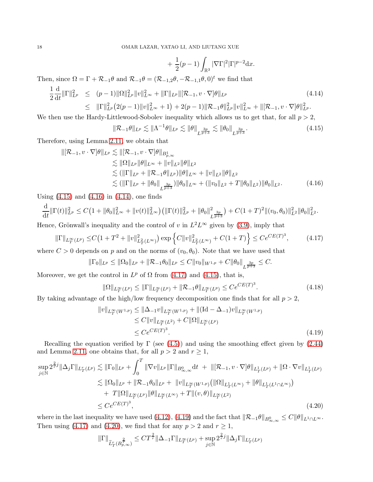<span id="page-17-1"></span><span id="page-17-0"></span>
$$
+ \frac{1}{2}(p-1)\int_{\mathbb{R}^3} |\nabla \Gamma|^2 |\Gamma|^{p-2} \mathrm{d} x.
$$

Then, since  $\Omega = \Gamma + \mathcal{R}_{-1}\theta$  and  $\mathcal{R}_{-1}\theta = (\mathcal{R}_{-1,2}\theta, -\mathcal{R}_{-1,1}\theta, 0)^t$  we find that

<span id="page-17-2"></span>
$$
\frac{1}{2} \frac{\mathrm{d}}{\mathrm{d}t} \|\Gamma\|_{L^p}^2 \le (p-1) \|\Omega\|_{L^p}^2 \|v\|_{L^\infty}^2 + \|\Gamma\|_{L^p} \|[\mathcal{R}_{-1}, v \cdot \nabla] \theta\|_{L^p} \tag{4.14}
$$
\n
$$
\le \|\Gamma\|_{L^p}^2 (2(p-1) \|v\|_{L^\infty}^2 + 1) + 2(p-1) \|\mathcal{R}_{-1} \theta\|_{L^p}^2 \|v\|_{L^\infty}^2 + \|[\mathcal{R}_{-1}, v \cdot \nabla] \theta\|_{L^p}^2.
$$

We then use the Hardy-Littlewood-Sobolev inequality which allows us to get that, for all  $p > 2$ ,

$$
\|\mathcal{R}_{-1}\theta\|_{L^p} \lesssim \|\Lambda^{-1}\theta\|_{L^p} \lesssim \|\theta\|_{L^{\frac{3p}{p+3}}} \lesssim \|\theta_0\|_{L^{\frac{3p}{p+3}}}.\tag{4.15}
$$

Therefore, using Lemma [2.11,](#page-10-1) we obtain that

$$
\|[\mathcal{R}_{-1}, v \cdot \nabla]\theta\|_{L^p} \lesssim \|[\mathcal{R}_{-1}, v \cdot \nabla]\theta\|_{B^1_{p,\infty}}\lesssim \|\Omega\|_{L^p} \|\theta\|_{L^\infty} + \|v\|_{L^2} \|\theta\|_{L^2}\lesssim (\|\Gamma\|_{L^p} + \|\mathcal{R}_{-1}\theta\|_{L^p}) \|\theta\|_{L^\infty} + \|v\|_{L^2} \|\theta\|_{L^2}\lesssim (\|\Gamma\|_{L^p} + \|\theta_0\|_{L^{\frac{3p}{p+3}}}) \|\theta_0\|_{L^\infty} + (\|v_0\|_{L^2} + T \|\theta_0\|_{L^2}) \|\theta_0\|_{L^2}.
$$
\n(4.16)

Using  $(4.15)$  and  $(4.16)$  in  $(4.14)$ , one finds

$$
\frac{\mathrm{d}}{\mathrm{d}t} \|\Gamma(t)\|_{L^p}^2 \leq C\big(1+ \|\theta_0\|_{L^\infty}^2 + \|v(t)\|_{L^\infty}^2\big) \big(\|\Gamma(t)\|_{L^p}^2 + \|\theta_0\|_{L^{\frac{3p}{p+3}}}^2\big) + C(1+T)^2 \| (v_0, \theta_0)\|_{L^2}^2 \|\theta_0\|_{L^2}^2.
$$

Hence, Grönwall's inequality and the control of v in  $L^2 L^\infty$  given by [\(3.9\)](#page-13-5), imply that

$$
\|\Gamma\|_{L_T^{\infty}(L^p)} \le C\left(1 + T^2 + \|v\|_{L_T^2(L^{\infty})}^2\right) \exp\left\{C\|v\|_{L_T^2(L^{\infty})}^2 + C(1+T)\right\} \le Ce^{CE(T)^3},\tag{4.17}
$$

where  $C > 0$  depends on p and on the norms of  $(v_0, \theta_0)$ . Note that we have used that

$$
\|\Gamma_0\|_{L^p}\leq \|\Omega_0\|_{L^p}+\|\mathcal{R}_{-1}\theta_0\|_{L^p}\leq C\|v_0\|_{W^{1,p}}+C\|\theta_0\|_{L^{\frac{3p}{p+3}}}\leq C.
$$

Moreover, we get the control in  $L^p$  of  $\Omega$  from [\(4.17\)](#page-17-3) and [\(4.15\)](#page-17-0), that is,

<span id="page-17-4"></span><span id="page-17-3"></span>
$$
\|\Omega\|_{L_T^{\infty}(L^p)} \le \|\Gamma\|_{L_T^{\infty}(L^p)} + \|\mathcal{R}_{-1}\theta\|_{L_T^{\infty}(L^p)} \le C e^{CE(T)^3}.
$$
\n(4.18)

By taking advantage of the high/low frequency decomposition one finds that for all  $p > 2$ ,

$$
||v||_{L^{\infty}_{T}(W^{1,p})} \le ||\Delta_{-1}v||_{L^{\infty}_{T}(W^{1,p})} + ||(\mathrm{Id} - \Delta_{-1})v||_{L^{\infty}_{T}(W^{1,p})}
$$
  
\n
$$
\le C||v||_{L^{\infty}_{T}(L^{2})} + C||\Omega||_{L^{\infty}_{T}(L^{p})}
$$
  
\n
$$
\le C e^{CE(T)^{3}}.
$$
\n(4.19)

Recalling the equation verified by  $\Gamma$  (see [\(4.5\)](#page-15-3)) and using the smoothing effect given by [\(2.44\)](#page-11-2) and Lemma [2.11,](#page-10-1) one obtains that, for all  $p > 2$  and  $r \ge 1$ ,

$$
\sup_{j \in \mathbb{N}} 2^{\frac{2}{r}j} \|\Delta_j \Gamma\|_{L^r_T(L^p)} \lesssim \|\Gamma_0\|_{L^p} + \int_0^T \|\nabla v\|_{L^p} \|\Gamma\|_{B^0_{\infty,\infty}} dt \ + \ \|[\mathcal{R}_{-1}, v \cdot \nabla] \theta\|_{L^1_T(L^p)} + \|\Omega \cdot \nabla v\|_{L^1_T(L^p)}
$$
  

$$
\lesssim \|\Omega_0\|_{L^p} + \|\mathcal{R}_{-1}\theta_0\|_{L^p} + \|v\|_{L^\infty_T(W^{1,p})} (\|\Omega\|_{L^1_T(L^\infty)} + \|\theta\|_{L^1_T(L^1 \cap L^\infty)})
$$
  

$$
+ T \|\Omega\|_{L^\infty_T(L^p)} \|\theta\|_{L^\infty_T(L^\infty)} + T \|(v, \theta)\|_{L^\infty_T(L^2)}
$$
  

$$
\leq Ce^{CE(T)^3}, \tag{4.20}
$$

where in the last inequality we have used  $(4.12)$ ,  $(4.19)$  and the fact that  $\|\mathcal{R}_{-1}\theta\|_{B^0_{\infty,\infty}} \leq C\|\theta\|_{L^1 \cap L^\infty}$ . Then using [\(4.17\)](#page-17-3) and [\(4.20\)](#page-17-5), we find that for any  $p > 2$  and  $r \ge 1$ ,

<span id="page-17-5"></span>
$$
\|\Gamma\|_{\widetilde{L}_T^r(B_{p,\infty}^{\frac{2}{r}})} \leq CT^{\frac{2}{r}} \|\Delta_{-1}\Gamma\|_{L_T^{\infty}(L^p)} + \sup_{j\in\mathbb{N}} 2^{\frac{2}{r}j} \|\Delta_j\Gamma\|_{L_T^r(L^p)}
$$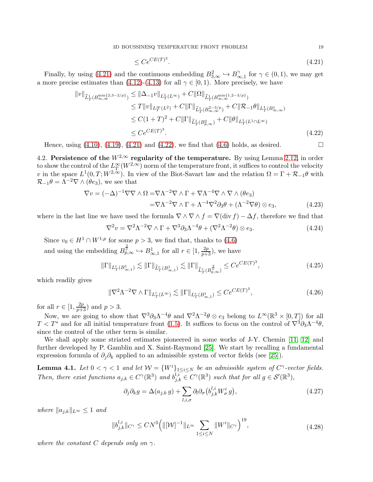$$
\leq Ce^{CE(T)^3}.\tag{4.21}
$$

Finally, by using [\(4.21\)](#page-18-1) and the continuous embedding  $B_{3,\infty}^2 \hookrightarrow B_{\infty}^2$  $\gamma_{\infty,1}^{\gamma}$  for  $\gamma \in (0,1)$ , we may get a more precise estimates than [\(4.12\)](#page-16-2)-[\(4.13\)](#page-16-3) for all  $\gamma \in [0,1)$ . More precisely, we have

$$
\|v\|_{\widetilde{L}^1_T(B_{\infty,\infty}^{\min\{2,3-2/p\}})} \leq \|\Delta_{-1}v\|_{L^1_T(L^{\infty})} + C\|\Omega\|_{\widetilde{L}^1_T(B_{\infty,\infty}^{\min\{1,2-3/p\}})}
$$
  
\n
$$
\leq T\|v\|_{L^\infty_T(L^2)} + C\|\Gamma\|_{\widetilde{L}^1_T(B_{\infty,\infty}^{2-3/p})} + C\|\mathcal{R}_{-1}\theta\|_{L^1_T(B_{\infty,\infty}^1)}
$$
  
\n
$$
\leq C(1+T)^2 + C\|\Gamma\|_{\widetilde{L}^1_T(B_{p,\infty}^2)} + C\|\theta\|_{L^1_T(L^1 \cap L^\infty)}
$$
  
\n
$$
\leq C e^{CE(T)^3}.
$$
\n(4.22)

Hence, using  $(4.10)$ ,  $(4.19)$ ,  $(4.21)$  and  $(4.22)$ , we find that  $(4.6)$  holds, as desired.

4.2. Persistence of the  $W^{2,\infty}$  regularity of the temperature. By using Lemma [2.12,](#page-10-0) in order to show the control of the  $L^{\infty}_T(W^{2,\infty})$  norm of the temperature front, it suffices to control the velocity v in the space  $L^1(0,T;W^{2,\infty})$ . In view of the Biot-Savart law and the relation  $\Omega = \Gamma + \mathcal{R}_{-1}\theta$  with  $\mathcal{R}_{-1}\theta = \Lambda^{-2}\nabla \wedge (\theta e_3)$ , we see that

$$
\nabla v = (-\Delta)^{-1} \nabla \nabla \wedge \Omega = \nabla \Lambda^{-2} \nabla \wedge \Gamma + \nabla \Lambda^{-4} \nabla \wedge \nabla \wedge (\theta e_3)
$$
  
= 
$$
\nabla \Lambda^{-2} \nabla \wedge \Gamma + \Lambda^{-4} \nabla^2 \partial_3 \theta + (\Lambda^{-2} \nabla \theta) \otimes e_3,
$$
 (4.23)

where in the last line we have used the formula  $\nabla \wedge \nabla \wedge f = \nabla(\text{div } f) - \Delta f$ , therefore we find that

$$
\nabla^2 v = \nabla^2 \Lambda^{-2} \nabla \wedge \Gamma + \nabla^3 \partial_3 \Lambda^{-4} \theta + (\nabla^2 \Lambda^{-2} \theta) \otimes e_3.
$$
 (4.24)

Since  $v_0 \in H^1 \cap W^{1,p}$  for some  $p > 3$ , we find that, thanks to [\(4.6\)](#page-15-1) and using the embedding  $B_{p,\infty}^{\frac{2}{r}} \hookrightarrow B_{\infty,1}^1$  for all  $r \in [1, \frac{2p}{p+3})$ , we have

$$
\|\Gamma\|_{L^r_T(B^1_{\infty,1})} \lesssim \|\Gamma\|_{\widetilde{L}^r_T(B^1_{\infty,1})} \lesssim \|\Gamma\|_{\widetilde{L}^r_T(B^{\frac{2}{r}}_{p,\infty})} \le Ce^{CE(T)^3},\tag{4.25}
$$

which readily gives

<span id="page-18-4"></span>
$$
\|\nabla^2 \Lambda^{-2} \nabla \wedge \Gamma\|_{L^r_T(L^\infty)} \lesssim \|\Gamma\|_{L^r_T(B^1_{\infty,1})} \leq Ce^{CE(T)^3},\tag{4.26}
$$

for all  $r \in [1, \frac{2p}{p+3})$  and  $p > 3$ .

Now, we are going to show that  $\nabla^3 \partial_3 \Lambda^{-4} \theta$  and  $\nabla^2 \Lambda^{-2} \theta \otimes e_3$  belong to  $L^{\infty}(\mathbb{R}^3 \times [0, T])$  for all  $T < T^*$  and for all initial temperature front [\(1.5\)](#page-2-0). It suffices to focus on the control of  $\nabla^3 \partial_3 \Lambda^{-4} \theta$ , since the control of the other term is similar.

We shall apply some striated estimates pioneered in some works of J-Y. Chemin [\[11,](#page-36-22) [12\]](#page-36-17) and further developed by P. Gamblin and X. Saint-Raymond [\[25\]](#page-36-18). We start by recalling a fundamental expression formula of  $\partial_i \partial_k$  applied to an admissible system of vector fields (see [\[25\]](#page-36-18)).

<span id="page-18-0"></span>**Lemma 4.1.** Let  $0 < \gamma < 1$  and let  $\mathcal{W} = \{W^i\}_{1 \leq i \leq N}$  be an admissible system of  $C^{\gamma}$ -vector fields. Then, there exist functions  $a_{j,k} \in C^{\gamma}(\mathbb{R}^3)$  and  $b_{j,k}^{l,i} \in C^{\gamma}(\mathbb{R}^3)$  such that for all  $g \in \mathcal{S}'(\mathbb{R}^3)$ ,

<span id="page-18-3"></span>
$$
\partial_j \partial_k g = \Delta(a_{j,k} g) + \sum_{l,i,\sigma} \partial_l \partial_\sigma \left( b_{j,k}^{l,i} W_\sigma^i g \right), \tag{4.27}
$$

where  $||a_{i,k}||_{L^{\infty}} \leq 1$  and

$$
||b_{j,k}^{l,i}||_{C^{\gamma}} \le CN^3 \Big( ||[W]^{-1}||_{L^{\infty}} \sum_{1 \le i \le N} ||W^i||_{C^{\gamma}} \Big)^{19}, \tag{4.28}
$$

where the constant C depends only on  $\gamma$ .

<span id="page-18-6"></span><span id="page-18-5"></span><span id="page-18-2"></span><span id="page-18-1"></span>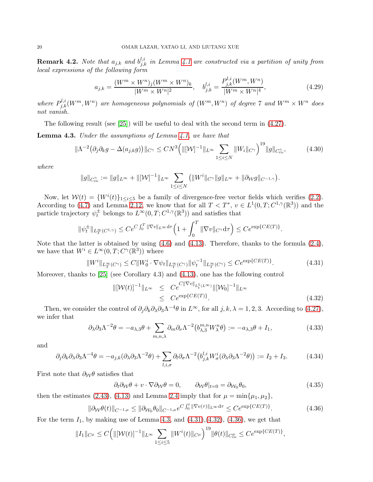**Remark 4.2.** Note that  $a_{j,k}$  and  $b_{j,k}^{l,i}$  in Lemma [4.1](#page-18-0) are constructed via a partition of unity from local expressions of the following form

$$
a_{j,k} = \frac{(W^m \times W^n)_j (W^m \times W^n)_k}{|W^m \times W^n|^2}, \quad b_{j,k}^{l,i} = \frac{P_{j,k}^{l,i} (W^m, W^n)}{|W^m \times W^n|^4},\tag{4.29}
$$

where  $P_{j,k}^{l,i}(W^m, W^n)$  are homogeneous polynomials of  $(W^m, W^n)$  of degree 7 and  $W^m \times W^n$  does not vanish.

The following result (see [\[25\]](#page-36-18)) will be useful to deal with the second term in [\(4.27\)](#page-18-3).

<span id="page-19-0"></span>Lemma 4.3. Under the assumptions of Lemma [4.1,](#page-18-0) we have that

$$
\|\Lambda^{-2}(\partial_j \partial_k g - \Delta(a_{j,k}g))\|_{C^\gamma} \le CN^3 \Big( \|[{\mathcal W}]^{-1}\|_{L^\infty} \sum_{1 \le i \le N} \|W_i\|_{C^\gamma} \Big)^{19} \|g\|_{C^{\gamma}_{\text{co}}},\tag{4.30}
$$

where

$$
\|g\|_{C^{\gamma}_{\text{co}}}:=\|g\|_{L^{\infty}}+\|[\mathcal{W}]^{-1}\|_{L^{\infty}}\sum_{1\leq i\leq N}\left(\|W^i\|_{C^{\gamma}}\|g\|_{L^{\infty}}+\|\partial_{\mathcal{W}} g\|_{C^{-1,\gamma}}\right)
$$

Now, let  $W(t) = \{W^{i}(t)\}_{1 \leq i \leq 5}$  be a family of divergence-free vector fields which verifies [\(2.2\)](#page-5-1). According to [\(4.7\)](#page-15-4) and Lemma [2.12,](#page-10-0) we know that for all  $T < T^*$ ,  $v \in L^1(0,T;C^{1,\gamma}(\mathbb{R}^3))$  and the particle trajectory  $\psi_t^{\pm}$  belongs to  $L^{\infty}(0,T; C^{1,\gamma}(\mathbb{R}^3))$  and satisfies that

$$
\|\psi_t^{\pm}\|_{L_T^{\infty}(C^{1,\gamma})} \le Ce^{C\int_0^T \|\nabla v\|_{L^{\infty}}d\tau} \left(1+\int_0^T \|\nabla v\|_{C^{\gamma}}d\tau\right) \le Ce^{\exp\{CE(T)\}}.
$$

Note that the latter is obtained by using [\(4.6\)](#page-15-1) and [\(4.13\)](#page-16-3). Therefore, thanks to the formula [\(2.4\)](#page-5-4), we have that  $W^i \in L^{\infty}(0,T; C^{\gamma}(\mathbb{R}^3))$  where

$$
||W^{i}||_{L^{\infty}_{T}(C^{\gamma})} \leq C||W^{i}_{0} \cdot \nabla \psi_{t}||_{L^{\infty}_{T}(C^{\gamma})} ||\psi_{t}^{-1}||_{L^{\infty}_{T}(C^{\gamma})} \leq Ce^{\exp\{CE(T)\}}.
$$
\n(4.31)

Moreover, thanks to [\[25\]](#page-36-18) (see Corollary 4.3) and [\(4.13\)](#page-16-3), one has the following control

<span id="page-19-2"></span>
$$
\|[\mathcal{W}(t)]^{-1}\|_{L^{\infty}} \leq C e^{C\|\nabla v\|_{L_t^1(L^{\infty})}} \|\mathcal{W}_0\|^{-1}\|_{L^{\infty}}
$$
  
 
$$
\leq C e^{\exp\{CE(T)\}}.
$$
 (4.32)

<span id="page-19-1"></span>.

Then, we consider the control of  $\partial_j \partial_k \partial_\lambda \partial_3 \Lambda^{-4} \theta$  in  $L^\infty$ , for all  $j, k, \lambda = 1, 2, 3$ . According to [\(4.27\)](#page-18-3), we infer that

$$
\partial_{\lambda}\partial_3 \Lambda^{-2}\theta = -a_{\lambda,3}\theta + \sum_{m,n,\lambda} \partial_m \partial_\nu \Lambda^{-2} \left( b_{\lambda,3}^{m,n} W_{\lambda}^n \theta \right) := -a_{\lambda,3}\theta + I_1,\tag{4.33}
$$

and

$$
\partial_j \partial_k \partial_\lambda \partial_3 \Lambda^{-4} \theta = -a_{j,k} (\partial_\lambda \partial_3 \Lambda^{-2} \theta) + \sum_{l,i,\sigma} \partial_l \partial_\sigma \Lambda^{-2} (b_{j,k}^{l,i} W^i_\sigma (\partial_\lambda \partial_3 \Lambda^{-2} \theta)) := I_2 + I_3. \tag{4.34}
$$

First note that  $\partial_{\mathcal{W}}\theta$  satisfies that

<span id="page-19-4"></span><span id="page-19-3"></span>
$$
\partial_t \partial_{\mathcal{W}} \theta + v \cdot \nabla \partial_{\mathcal{W}} \theta = 0, \qquad \partial_{\mathcal{W}} \theta|_{t=0} = \partial_{\mathcal{W}_0} \theta_0, \tag{4.35}
$$

then the estimates [\(2.43\)](#page-11-1), [\(4.13\)](#page-16-3) and Lemma [2.4](#page-7-0) imply that for  $\mu = \min\{\mu_1, \mu_2\}$ ,

$$
\|\partial_{\mathcal{W}}\theta(t)\|_{C^{-1,\mu}} \le \|\partial_{\mathcal{W}_0}\theta_0\|_{C^{-1,\mu}} e^{C\int_0^t \|\nabla v(\tau)\|_{L^\infty} d\tau} \le Ce^{\exp\{CE(T)\}}.
$$
\n(4.36)

For the term  $I_1$ , by making use of Lemma [4.3,](#page-19-0) and  $(4.31),(4.32),(4.36)$  $(4.31),(4.32),(4.36)$  $(4.31),(4.32),(4.36)$ , we get that

$$
||I_1||_{C^{\mu}} \leq C \Big( ||[W(t)]^{-1}||_{L^{\infty}} \sum_{1 \leq i \leq 5} ||W^i(t)||_{C^{\mu}} \Big)^{19} ||\theta(t)||_{C^{\mu}_{\text{co}}} \leq Ce^{\exp\{CE(T)\}},
$$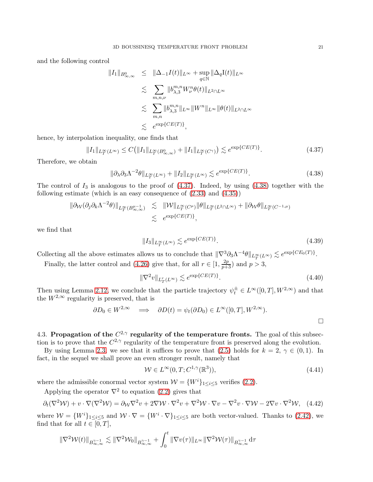and the following control

$$
||I_1||_{B^0_{\infty,\infty}} \leq ||\Delta_{-1}I(t)||_{L^{\infty}} + \sup_{q \in \mathbb{N}} ||\Delta_qI(t)||_{L^{\infty}}
$$
  

$$
\lesssim \sum_{m,n,\nu} ||b^{m,n}_{\lambda,3}W^{n}_{\nu}\theta(t)||_{L^2 \cap L^{\infty}}
$$
  

$$
\lesssim \sum_{m,n} ||b^{m,n}_{\lambda,3}||_{L^{\infty}}||W^n||_{L^{\infty}}||\theta(t)||_{L^2 \cap L^{\infty}}
$$
  

$$
\lesssim e^{\exp\{CE(T)\}},
$$

hence, by interpolation inequality, one finds that

<span id="page-20-0"></span>
$$
||I_1||_{L_T^{\infty}(L^{\infty})} \le C(||I_1||_{L_T^{\infty}(B_{\infty,\infty}^0)} + ||I_1||_{L_T^{\infty}(C^{\gamma})}) \lesssim e^{\exp\{CE(T)\}}.
$$
\n(4.37)

Therefore, we obtain

$$
\|\partial_{\lambda}\partial_3 \Lambda^{-2}\theta\|_{L_T^{\infty}(L^{\infty})} + \|I_2\|_{L_T^{\infty}(L^{\infty})} \lesssim e^{\exp\{CE(T)\}}.
$$
\n(4.38)

The control of  $I_3$  is analogous to the proof of  $(4.37)$ . Indeed, by using  $(4.38)$  together with the following estimate (which is an easy consequence of [\(2.33\)](#page-10-7) and [\(4.35\)](#page-19-4))

$$
\|\partial_{\mathcal{W}}(\partial_j \partial_k \Lambda^{-2}\theta)\|_{L_T^{\infty}(B^{\mu-1}_{\infty,\infty})} \lesssim \|\mathcal{W}\|_{L_T^{\infty}(C^{\mu})} \|\theta\|_{L_T^{\infty}(L^2 \cap L^{\infty})} + \|\partial_{\mathcal{W}}\theta\|_{L_T^{\infty}(C^{-1,\mu})}
$$
  

$$
\lesssim e^{\exp\{CE(T)\}},
$$

we find that

<span id="page-20-1"></span>
$$
||I_3||_{L_T^{\infty}(L^{\infty})} \lesssim e^{\exp\{CE(T)\}}.
$$
\n(4.39)

Collecting all the above estimates allows us to conclude that  $\|\nabla^3 \partial_3 \Lambda^{-4} \theta\|_{L_T^{\infty}(L^{\infty})} \lesssim e^{\exp\{CE_0(T)\}}$ .

Finally, the latter control and [\(4.26\)](#page-18-4) give that, for all  $r \in \left[1, \frac{2p}{p+3}\right)$  and  $p > 3$ ,

<span id="page-20-2"></span>
$$
\|\nabla^2 v\|_{L^r_T(L^\infty)} \lesssim e^{\exp\{CE(T)\}}.\tag{4.40}
$$

Then using Lemma [2.12,](#page-10-0) we conclude that the particle trajectory  $\psi_t^{\pm} \in L^{\infty}([0,T], W^{2,\infty})$  and that the  $W^{2,\infty}$  regularity is preserved, that is

$$
\partial D_0 \in W^{2,\infty} \quad \Longrightarrow \quad \partial D(t) = \psi_t(\partial D_0) \in L^{\infty}([0,T], W^{2,\infty}).
$$

4.3. Propagation of the  $C^{2,\gamma}$  regularity of the temperature fronts. The goal of this subsection is to prove that the  $C^{2,\gamma}$  regularity of the temperature front is preserved along the evolution.

By using Lemma [2.3,](#page-5-0) we see that it suffices to prove that [\(2.5\)](#page-5-5) holds for  $k = 2, \gamma \in (0, 1)$ . In fact, in the sequel we shall prove an even stronger result, namely that

<span id="page-20-3"></span>
$$
\mathcal{W} \in L^{\infty}(0, T; C^{1, \gamma}(\mathbb{R}^3)), \tag{4.41}
$$

where the admissible conormal vector system  $W = \{W^i\}_{1 \leq i \leq 5}$  verifies [\(2.2\)](#page-5-1).

Applying the operator  $\nabla^2$  to equation [\(2.2\)](#page-5-1) gives that

$$
\partial_t(\nabla^2 \mathcal{W}) + v \cdot \nabla(\nabla^2 \mathcal{W}) = \partial_{\mathcal{W}} \nabla^2 v + 2 \nabla \mathcal{W} \cdot \nabla^2 v + \nabla^2 \mathcal{W} \cdot \nabla v - \nabla^2 v \cdot \nabla \mathcal{W} - 2 \nabla v \cdot \nabla^2 \mathcal{W}, \tag{4.42}
$$

where  $W = \{W^i\}_{1 \leq i \leq 5}$  and  $W \cdot \nabla = \{W^i \cdot \nabla\}_{1 \leq i \leq 5}$  are both vector-valued. Thanks to [\(2.42\)](#page-11-6), we find that for all  $t \in [0, T]$ ,

$$
\|\nabla^2 \mathcal{W}(t)\|_{B^{ \gamma-1}_{\infty,\infty}} \lesssim \|\nabla^2 \mathcal{W}_0\|_{B^{ \gamma-1}_{\infty,\infty}} + \int_0^t \|\nabla v(\tau)\|_{L^\infty} \|\nabla^2 \mathcal{W}(\tau)\|_{B^{ \gamma-1}_{\infty,\infty}} \mathrm{d} \tau
$$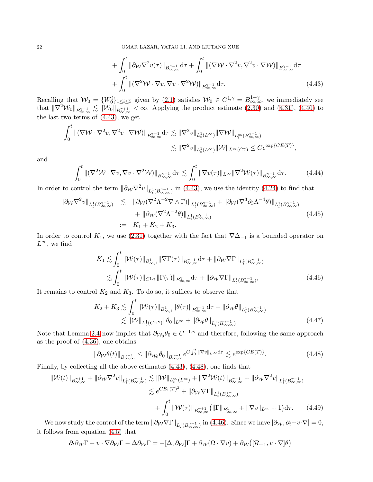<span id="page-21-0"></span>
$$
+ \int_0^t \|\partial_{\mathcal{W}} \nabla^2 v(\tau)\|_{B^{q-1}_{\infty,\infty}} d\tau + \int_0^t \|(\nabla \mathcal{W} \cdot \nabla^2 v, \nabla^2 v \cdot \nabla \mathcal{W})\|_{B^{q-1}_{\infty,\infty}} d\tau + \int_0^t \|(\nabla^2 \mathcal{W} \cdot \nabla v, \nabla v \cdot \nabla^2 \mathcal{W})\|_{B^{q-1}_{\infty,\infty}} d\tau.
$$
\n(4.43)

Recalling that  $\mathcal{W}_0 = \{W_0^i\}_{1 \le i \le 5}$  given by [\(2.1\)](#page-5-3) satisfies  $\mathcal{W}_0 \in C^{1,\gamma} = B^{1+\gamma}_{\infty,\infty}$ , we immediately see that  $\|\nabla^2 W_0\|_{B_{\infty,\infty}^{\gamma-1}} \lesssim \|\mathcal{W}_0\|_{B_{\infty,\infty}^{\gamma+1}} < \infty$ . Applying the product estimate [\(2.30\)](#page-10-3) and [\(4.31\)](#page-19-1), [\(4.40\)](#page-20-2) to the last two terms of [\(4.43\)](#page-21-0), we get

$$
\int_0^t \| (\nabla \mathcal{W} \cdot \nabla^2 v, \nabla^2 v \cdot \nabla \mathcal{W}) \|_{B^{ \gamma - 1}_{\infty, \infty}} \, d\tau \lesssim \| \nabla^2 v \|_{L^1_t(L^\infty)} \| \nabla \mathcal{W} \|_{L^\infty_t(B^{ \gamma - 1 }_{\infty, \infty})} \leq \| \nabla^2 v \|_{L^1_t(L^\infty)} \| \mathcal{W} \|_{L^\infty(C^\gamma)} \leq C e^{\exp\{C E(T)\}},
$$

and

$$
\int_0^t \left\| (\nabla^2 \mathcal{W} \cdot \nabla v, \nabla v \cdot \nabla^2 \mathcal{W}) \right\|_{B^{ \gamma - 1 }_{ \infty, \infty } } d\tau \lesssim \int_0^t \|\nabla v(\tau)\|_{L^{\infty}} \|\nabla^2 \mathcal{W}(\tau)\|_{B^{ \gamma - 1 }_{ \infty, \infty } } d\tau. \tag{4.44}
$$

In order to control the term  $\|\partial_W \nabla^2 v\|_{L^1_t(B_{\infty,\infty}^{\gamma-1})}$  in [\(4.43\)](#page-21-0), we use the identity [\(4.24\)](#page-18-5) to find that

<span id="page-21-4"></span>
$$
\|\partial_{\mathcal{W}}\nabla^{2}v\|_{L_{t}^{1}(B_{\infty,\infty}^{\gamma-1})} \lesssim \|\partial_{\mathcal{W}}(\nabla^{2}\Lambda^{-2}\nabla\wedge\Gamma)\|_{L_{t}^{1}(B_{\infty,\infty}^{\gamma-1})} + \|\partial_{\mathcal{W}}(\nabla^{3}\partial_{3}\Lambda^{-4}\theta)\|_{L_{t}^{1}(B_{\infty,\infty}^{\gamma-1})} + \|\partial_{\mathcal{W}}(\nabla^{2}\Lambda^{-2}\theta)\|_{L_{t}^{1}(B_{\infty,\infty}^{\gamma-1})} := K_{1} + K_{2} + K_{3}.
$$
\n(4.45)

In order to control K<sub>1</sub>, we use [\(2.31\)](#page-10-4) together with the fact that  $\nabla\Delta_{-1}$  is a bounded operator on  $L^{\infty}$ , we find

<span id="page-21-2"></span>
$$
K_1 \lesssim \int_0^t \|\mathcal{W}(\tau)\|_{B^1_{\infty,1}} \|\nabla \Gamma(\tau)\|_{B^{\gamma-1}_{\infty,\infty}} d\tau + \|\partial_{\mathcal{W}} \nabla \Gamma\|_{L^1_t(B^{\gamma-1}_{\infty,\infty})}
$$
  

$$
\lesssim \int_0^t \|\mathcal{W}(\tau)\|_{C^{1,\gamma}} \|\Gamma(\tau)\|_{B^{\gamma}_{\infty,\infty}} d\tau + \|\partial_{\mathcal{W}} \nabla \Gamma\|_{L^1_t(B^{\gamma-1}_{\infty,\infty})},
$$
(4.46)

It remains to control  $K_2$  and  $K_3$ . To do so, it suffices to observe that

$$
K_2 + K_3 \lesssim \int_0^t \|\mathcal{W}(\tau)\|_{B^1_{\infty,1}} \|\theta(\tau)\|_{B^{\gamma-1}_{\infty,\infty}} d\tau + \|\partial_{\mathcal{W}}\theta\|_{L^1_t(B^{\gamma-1}_{\infty,\infty})} \lesssim \|\mathcal{W}\|_{L^1_t(C^{1,\gamma})} \|\theta_0\|_{L^\infty} + \|\partial_{\mathcal{W}}\theta\|_{L^1_t(B^{\gamma-1}_{\infty,\infty})}.
$$
\n(4.47)

Note that Lemma [2.4](#page-7-0) now implies that  $\partial w_0 \theta_0 \in C^{-1,\gamma}$  and therefore, following the same approach as the proof of [\(4.36\)](#page-19-3), one obtains

<span id="page-21-3"></span><span id="page-21-1"></span>
$$
\|\partial_{\mathcal{W}}\theta(t)\|_{B_{\infty,\infty}^{\gamma-1}} \le \|\partial_{\mathcal{W}_0}\theta_0\|_{B_{\infty,\infty}^{\gamma-1}} e^{C \int_0^t \|\nabla v\|_{L^\infty} d\tau} \lesssim e^{\exp\{CE(T)\}}.
$$
\n(4.48)

Finally, by collecting all the above estimates [\(4.43\)](#page-21-0), [\(4.48\)](#page-21-1), one finds that

$$
\|W(t)\|_{B_{\infty,\infty}^{\gamma+1}} + \|\partial_{\mathcal{W}}\nabla^{2}v\|_{L_{t}^{1}(B_{\infty,\infty}^{\gamma-1})} \lesssim \|\mathcal{W}\|_{L_{t}^{\infty}(L^{\infty})} + \|\nabla^{2}\mathcal{W}(t)\|_{B_{\infty,\infty}^{\gamma-1}} + \|\partial_{\mathcal{W}}\nabla^{2}v\|_{L_{t}^{1}(B_{\infty,\infty}^{\gamma-1})}
$$
  

$$
\lesssim e^{CE_{1}(T)^{3}} + \|\partial_{\mathcal{W}}\nabla\Gamma\|_{L_{t}^{1}(B_{\infty,\infty}^{\gamma-1})}
$$
  

$$
+ \int_{0}^{t} \|\mathcal{W}(\tau)\|_{B_{\infty,\infty}^{\gamma+1}} (\|\Gamma\|_{B_{\infty,\infty}^{1}} + \|\nabla v\|_{L^{\infty}} + 1) d\tau.
$$
 (4.49)

We now study the control of the term  $\|\partial_W \nabla \Gamma\|_{L^1_t(B_{\infty,\infty}^{\gamma-1})}$  in [\(4.46\)](#page-21-2). Since we have  $[\partial_W, \partial_t + v \cdot \nabla] = 0$ , it follows from equation [\(4.5\)](#page-15-3) that

$$
\partial_t \partial_{\mathcal{W}} \Gamma + v \cdot \nabla \partial_{\mathcal{W}} \Gamma - \Delta \partial_{\mathcal{W}} \Gamma = - [\Delta, \partial_{\mathcal{W}}] \Gamma + \partial_{\mathcal{W}} (\Omega \cdot \nabla v) + \partial_{\mathcal{W}} \big( [\mathcal{R}_{-1}, v \cdot \nabla] \theta \big)
$$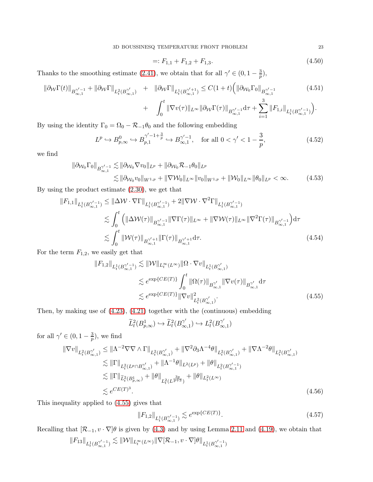$$
=: F_{1,1} + F_{1,2} + F_{1,3}.
$$
\n
$$
(4.50)
$$

Thanks to the smoothing estimate [\(2.41\)](#page-11-0), we obtain that for all  $\gamma' \in (0, 1 - \frac{3}{n})$  $\frac{3}{p}),$ 

<span id="page-22-4"></span>
$$
\|\partial_{\mathcal{W}}\Gamma(t)\|_{B^{2\prime-1}_{\infty,1}} + \|\partial_{\mathcal{W}}\Gamma\|_{L_t^2(B^{2\prime}_{\infty,1})} + \|\partial_{\mathcal{W}}\Gamma\|_{L_t^1(B^{2\prime+1}_{\infty,1})} \leq C(1+t) \Big( \|\partial_{\mathcal{W}_0}\Gamma_0\|_{B^{2\prime-1}_{\infty,1}} \tag{4.51}
$$
  
+ 
$$
\int^t \|\nabla v(\tau)\|_{L^\infty} \|\partial_{\mathcal{W}}\Gamma(\tau)\|_{L^{2\prime-1}} d\tau + \sum_{i=1}^3 \|F_{1,i}\|_{L^1(D^{2\prime-1}_{\infty,1})}.
$$

$$
- \int_0^{\infty} \|\nabla v(\tau)\|_{L^{\infty}} \|\partial_{\mathcal{W}} \Gamma(\tau)\|_{B^{\gamma'-1}_{\infty,1}} d\tau + \sum_{i=1} \|F_{1,i}\|_{L^1_t(B^{\gamma'-1}_{\infty,1})}\big).
$$

By using the identity  $\Gamma_0 = \Omega_0 - \mathcal{R}_{-1}\theta_0$  and the following embedding

$$
L^p \hookrightarrow B_{p,\infty}^0 \hookrightarrow B_{p,1}^{\gamma'-1+\frac{3}{p}} \hookrightarrow B_{\infty,1}^{\gamma'-1}, \quad \text{for all } 0 < \gamma' < 1-\frac{3}{p},\tag{4.52}
$$

we find

$$
\|\partial_{\mathcal{W}_0}\Gamma_0\|_{B^{\gamma'-1}_{\infty,1}} \lesssim \|\partial_{\mathcal{W}_0}\nabla v_0\|_{L^p} + \|\partial_{\mathcal{W}_0}\mathcal{R}_{-1}\theta_0\|_{L^p}
$$
  

$$
\lesssim \|\partial_{\mathcal{W}_0}v_0\|_{W^{1,p}} + \|\nabla \mathcal{W}_0\|_{L^{\infty}}\|v_0\|_{W^{1,p}} + \|\mathcal{W}_0\|_{L^{\infty}}\|\theta_0\|_{L^p} < \infty.
$$
 (4.53)

By using the product estimate [\(2.30\)](#page-10-3), we get that

$$
\|F_{1,1}\|_{L_t^1(B_{\infty,1}^{\gamma'-1})} \leq \|\Delta \mathcal{W} \cdot \nabla \Gamma\|_{L_t^1(B_{\infty,1}^{\gamma'-1})} + 2\|\nabla \mathcal{W} \cdot \nabla^2 \Gamma\|_{L_t^1(B_{\infty,1}^{\gamma'-1})}
$$
  
\n
$$
\lesssim \int_0^t \left( \|\Delta \mathcal{W}(\tau)\|_{B_{\infty,1}^{\gamma'-1}} \|\nabla \Gamma(\tau)\|_{L^\infty} + \|\nabla \mathcal{W}(\tau)\|_{L^\infty} \|\nabla^2 \Gamma(\tau)\|_{B_{\infty,1}^{\gamma'-1}} \right) d\tau
$$
  
\n
$$
\lesssim \int_0^t \|\mathcal{W}(\tau)\|_{B_{\infty,1}^{\gamma'+1}} \|\Gamma(\tau)\|_{B_{\infty,1}^{\gamma'+1}} d\tau.
$$
\n(4.54)

For the term  $F_{1,2}$ , we easily get that

$$
||F_{1,2}||_{L_t^1(B_{\infty,1}^{\gamma'-1})} \lesssim ||\mathcal{W}||_{L_t^{\infty}(L^{\infty})} ||\Omega \cdot \nabla v||_{L_t^1(B_{\infty,1}^{\gamma'})}
$$
  

$$
\lesssim e^{\exp\{CE(T)\}} \int_0^t ||\Omega(\tau)||_{B_{\infty,1}^{\gamma'}} ||\nabla v(\tau)||_{B_{\infty,1}^{\gamma'}} d\tau
$$
  

$$
\lesssim e^{\exp\{CE(T)\}} ||\nabla v||_{L_t^2(B_{\infty,1}^{\gamma'})}^2.
$$
 (4.55)

Then, by making use of [\(4.23\)](#page-18-6), [\(4.21\)](#page-18-1) together with the (continuous) embedding

<span id="page-22-0"></span>
$$
\widetilde{L}_t^2(B_{p,\infty}^1) \hookrightarrow \widetilde{L}_t^2(B_{\infty,1}^{\gamma'}) \hookrightarrow L_t^2(B_{\infty,1}^{\gamma'})
$$

for all  $\gamma' \in (0, 1 - \frac{3}{n})$  $\frac{3}{p}$ ), we find

$$
\|\nabla v\|_{L_t^2(B_{\infty,1}^{\gamma'})} \leq \|\Lambda^{-2}\nabla\nabla\wedge\Gamma\|_{L_t^2(B_{\infty,1}^{\gamma'})} + \|\nabla^2\partial_3\Lambda^{-4}\theta\|_{L_t^2(B_{\infty,1}^{\gamma'})} + \|\nabla\Lambda^{-2}\theta\|_{L_t^2(B_{\infty,1}^{\gamma'})}
$$
  
\n
$$
\lesssim \|\Gamma\|_{L_t^2(L^p\cap B_{\infty,1}^{\gamma'})} + \|\Lambda^{-1}\theta\|_{L^2(L^p)} + \|\theta\|_{L_t^2(B_{\infty,1}^{\gamma'-1})}
$$
  
\n
$$
\lesssim \|\Gamma\|_{\widetilde{L}_t^2(B_{p,\infty}^1)} + \|\theta\|_{L_t^2(L^{\frac{3p}{p+3}})} + \|\theta\|_{L_t^2(L^{\infty})}
$$
  
\n
$$
\lesssim e^{CE(T)^3}.
$$
\n(4.56)

This inequality applied to [\(4.55\)](#page-22-0) gives that

<span id="page-22-5"></span><span id="page-22-3"></span>
$$
||F_{1,2}||_{L_t^1(B_{\infty,1}^{\gamma'-1})} \lesssim e^{\exp\{CE(T)\}}.
$$
\n(4.57)

Recalling that  $[\mathcal{R}_{-1}, v \cdot \nabla]\theta$  is given by [\(4.3\)](#page-15-5) and by using Lemma [2.11](#page-10-1) and [\(4.19\)](#page-17-4), we obtain that  $\|F_{13}\|_{L^1_t(B^{ \gamma' -1 }_{ \infty, 1 }) }\lesssim \| \mathcal{W} \|_{L^\infty_t(L^\infty)} \|\nabla [\mathcal{R}_{-1}, v \cdot \nabla ] \theta \|_{L^1_t(B^{ \gamma' -1 }_{ \infty, 1 }) }$ 

<span id="page-22-2"></span><span id="page-22-1"></span>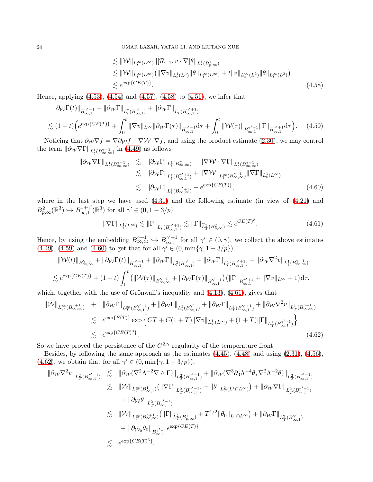<span id="page-23-1"></span><span id="page-23-0"></span>
$$
\leq ||W||_{L_t^{\infty}(L^{\infty})} ||[\mathcal{R}_{-1}, v \cdot \nabla] \theta||_{L_t^1(B_{p,\infty})} \n\lesssim ||W||_{L_t^{\infty}(L^{\infty})} (||\nabla v||_{L_t^1(L^p)} ||\theta||_{L_t^{\infty}(L^{\infty})} + t ||v||_{L_t^{\infty}(L^2)} ||\theta||_{L_t^{\infty}(L^2)}) \n\lesssim e^{\exp\{CE(T)\}}.
$$
\n(4.58)

Hence, applying [\(4.53\)](#page-22-1), [\(4.54\)](#page-22-2) and [\(4.57\)](#page-22-3), [\(4.58\)](#page-23-0) to [\(4.51\)](#page-22-4), we infer that

$$
\|\partial_{\mathcal{W}}\Gamma(t)\|_{B^{ \gamma'-1}_{\infty,1}} + \|\partial_{\mathcal{W}}\Gamma\|_{L^{2}_{t}(B^{\gamma'}_{\infty,1})} + \|\partial_{\mathcal{W}}\Gamma\|_{L^{1}_{t}(B^{\gamma'+1}_{\infty,1})} \n\lesssim (1+t) \Big(e^{\exp\{CE(T)\}} + \int_{0}^{t} \|\nabla v\|_{L^{\infty}} \|\partial_{\mathcal{W}}\Gamma(\tau)\|_{B^{\gamma'-1}_{\infty,1}} d\tau + \int_{0}^{t} \|\mathcal{W}(\tau)\|_{B^{\gamma'+1}_{\infty,1}} \|\Gamma\|_{B^{\gamma'+1}_{\infty,1}} d\tau \Big).
$$
\n(4.59)

Noticing that  $\partial_W \nabla f = \nabla \partial_W f - \nabla W \cdot \nabla f$ , and using the product estimate [\(2.30\)](#page-10-3), we may control the term  $\|\partial \mathbf{\psi} \nabla \Gamma\|_{L^1_t(B_{\infty,\infty}^{\gamma-1})}$  in [\(4.49\)](#page-21-3) as follows

<span id="page-23-2"></span>
$$
\|\partial_{\mathcal{W}}\nabla\Gamma\|_{L_t^1(B_{\infty,\infty}^{\gamma-1})} \leq \|\partial_{\mathcal{W}}\Gamma\|_{L_t^1(B_{\infty,\infty}^{\gamma})} + \|\nabla\mathcal{W}\cdot\nabla\Gamma\|_{L_t^1(B_{\infty,\infty}^{\gamma-1})}
$$
  
\n
$$
\leq \|\partial_{\mathcal{W}}\Gamma\|_{L_t^1(B_{\infty,1}^{\gamma'+1})} + \|\nabla\mathcal{W}\|_{L_t^{\infty}(B_{\infty,\infty}^{\gamma-1})}\|\nabla\Gamma\|_{L_t^1(L^{\infty})}
$$
  
\n
$$
\leq \|\partial_{\mathcal{W}}\Gamma\|_{L_t^1(B_{\infty,\infty}^{\gamma'+1})} + e^{\exp\{CE(T)\}}, \tag{4.60}
$$

where in the last step we have used  $(4.31)$  and the following estimate (in view of  $(4.21)$ ) and  $B_{p,\infty}^2(\mathbb{R}^3) \hookrightarrow B_{\infty,1}^{1+\gamma'}$  $_{\infty,1}^{1+\gamma'}(\mathbb{R}^3)$  for all  $\gamma' \in (0,1-3/p)$ 

<span id="page-23-3"></span>
$$
\|\nabla \Gamma\|_{L_t^1(L^\infty)} \lesssim \|\Gamma\|_{L_t^1(B_{\infty,1}^{\gamma'+1})} \lesssim \|\Gamma\|_{\widetilde{L}_T^1(B_{p,\infty}^2)} \lesssim e^{CE(T)^3}.\tag{4.61}
$$

Hence, by using the embedding  $B_{\infty,\infty}^{\gamma+1} \hookrightarrow B_{\infty,1}^{\gamma'+1}$  $\gamma'^{+1}_{\infty,1}$  for all  $\gamma' \in (0,\gamma)$ , we collect the above estimates [\(4.49\)](#page-21-3), [\(4.59\)](#page-23-1) and [\(4.60\)](#page-23-2) to get that for all  $\gamma' \in (0, \min{\gamma, 1 - 3/p})$ ,

$$
\begin{split} &\|\mathcal{W}(t)\|_{B^{ \gamma+1}_{\infty,\infty}}+\|\partial_{\mathcal{W}}\Gamma(t)\|_{B^{ \gamma'-1}_{\infty,1}}+\|\partial_{\mathcal{W}}\Gamma\|_{L^2_t(B^{ \gamma'}_{\infty,1})}+\|\partial_{\mathcal{W}}\Gamma\|_{L^1_t(B^{ \gamma'+1}_{\infty,1})}+\|\partial_{\mathcal{W}}\nabla^2v\|_{L^1_t(B^{ \gamma'-1}_{\infty,\infty})}\\ &\lesssim e^{\exp\{CE(T)\}}+(1+t)\int_0^t\big(\|\mathcal{W}(\tau)\|_{B^{ \gamma+1}_{\infty,\infty}}+\|\partial_{\mathcal{W}}\Gamma(\tau)\|_{B^{ \gamma'-1}_{\infty,1}}\big)\big(\|\Gamma\|_{B^{ \gamma'+1}_{\infty,1}}+\|\nabla v\|_{L^\infty}+1\big){\rm d}\tau, \end{split}
$$

which, together with the use of Grönwall's inequality and  $(4.13)$ ,  $(4.61)$ , gives that

<span id="page-23-4"></span>
$$
\|\mathcal{W}\|_{L_T^{\infty}(B_{\infty,\infty}^{\gamma+1})} + \|\partial_{\mathcal{W}}\Gamma\|_{L_T^{\infty}(B_{\infty,1}^{\gamma'-1})} + \|\partial_{\mathcal{W}}\Gamma\|_{L_t^2(B_{\infty,1}^{\gamma'}}) + \|\partial_{\mathcal{W}}\Gamma\|_{L_T^1(B_{\infty,1}^{\gamma'+1})} + \|\partial_{\mathcal{W}}\nabla^2 v\|_{L_T^1(B_{\infty,\infty}^{\gamma-1})}
$$
  
\$\leq\$  $e^{\exp\{E(T)\}} \exp\left\{CT + C(1+T)\|\nabla v\|_{L_T^1(L^{\infty})} + (1+T)\|\Gamma\|_{L_T^1(B_{\infty,1}^{\gamma'+1})}\right\}$   
\$\leq\$  $e^{\exp\{CE(T)^3\}}$ . (4.62)

So we have proved the persistence of the  $C^{2,\gamma}$  regularity of the temperature front.

Besides, by following the same approach as the estimates [\(4.45\)](#page-21-4), [\(4.48\)](#page-21-1) and using [\(2.31\)](#page-10-4), [\(4.56\)](#page-22-5), [\(4.62\)](#page-23-4), we obtain that for all  $\gamma' \in (0, \min{\gamma, 1 - 3/p}),$ 

$$
\begin{array}{lcl} \|\partial_{\mathcal{W}}\nabla^{2}v\|_{L^{2}_{T}(B^{ \gamma'-1}_{\infty,1})} & \lesssim & \|\partial_{\mathcal{W}}(\nabla^{2}\Lambda^{-2}\nabla\wedge\Gamma)\|_{L^{2}_{T}(B^{ \gamma'-1}_{\infty,1})} + \|\partial_{\mathcal{W}}(\nabla^{3}\partial_{3}\Lambda^{-4}\theta,\nabla^{2}\Lambda^{-2}\theta)\|_{L^{2}_{T}(B^{ \gamma'-1}_{\infty,1})} \\ & \lesssim & \|\mathcal{W}\|_{L^{\infty}_{T}(B^{1}_{\infty,1})}\big(\|\nabla\Gamma\|_{L^{2}_{T}(B^{ \gamma'-1}_{\infty,1})} + \|\theta\|_{L^{2}_{T}(L^{1}\cap L^{\infty})}\big) + \|\partial_{\mathcal{W}}\nabla\Gamma\|_{L^{2}_{T}(B^{ \gamma'-1}_{\infty,1})} \\ & & + \|\partial_{\mathcal{W}}\theta\|_{L^{2}_{T}(B^{ \gamma'-1}_{\infty,1})} \\ & \lesssim & \|\mathcal{W}\|_{L^{\infty}_{T}(B^{2+1}_{\infty,1})}\big(\|\Gamma\|_{\widetilde{L}^{2}_{T}(B^{1}_{p,\infty})} + T^{1/2}\|\theta_{0}\|_{L^{1}\cap L^{\infty}}\big) + \|\partial_{\mathcal{W}}\Gamma\|_{L^{2}_{T}(B^{ \gamma'}_{\infty,1})} \\ & & + \|\partial_{\mathcal{W}_{0}}\theta_{0}\|_{B^{\gamma'-1}_{\infty,1}}e^{\exp\{CE(T)\}} \\ & \lesssim & e^{\exp\{CE(T)^{3}\}}, \end{array}
$$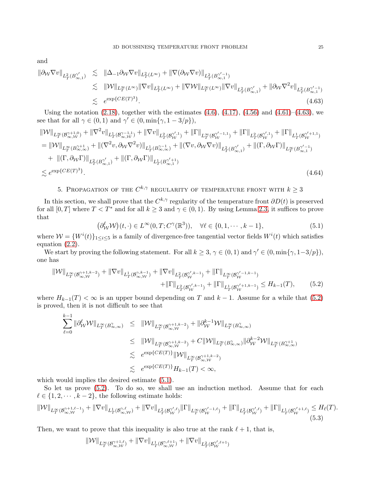and

<span id="page-24-3"></span>
$$
\|\partial_{\mathcal{W}}\nabla v\|_{L^2_T(B^{\gamma'}_{\infty,1})} \leq \|\Delta_{-1}\partial_{\mathcal{W}}\nabla v\|_{L^2_T(L^\infty)} + \|\nabla(\partial_{\mathcal{W}}\nabla v)\|_{L^2_T(B^{\gamma'-1}_{\infty,1})}
$$
  
\n
$$
\leq \|\mathcal{W}\|_{L^\infty_T(L^\infty)} \|\nabla v\|_{L^2_T(L^\infty)} + \|\nabla \mathcal{W}\|_{L^\infty_T(L^\infty)} \|\nabla v\|_{L^2_T(B^{\gamma'}_{\infty,1})} + \|\partial_{\mathcal{W}}\nabla^2 v\|_{L^2_T(B^{\gamma'-1}_{\infty,1})}
$$
  
\n
$$
\leq e^{\exp\{CE(T)^3\}}.
$$
\n(4.63)

Using the notation  $(2.18)$ , together with the estimates  $(4.6)$ ,  $(4.17)$ ,  $(4.56)$  and  $(4.61)$ – $(4.63)$ , we see that for all  $\gamma \in (0,1)$  and  $\gamma' \in (0,\min{\gamma,1-3/p\}})$ ,

$$
\begin{split} \|\mathcal{W}\|_{L^{\infty}_{T}(\mathcal{B}^{\gamma+1,0}_{\infty,\mathcal{W}})} + \|\nabla^{2}v\|_{L^{1}_{T}(\mathcal{B}^{\gamma-1,1}_{\infty,\mathcal{W}})} + \|\nabla v\|_{L^{2}_{T}(\mathcal{B}^{\gamma',1}_{\mathcal{W}})} + \|\Gamma\|_{L^{\infty}_{T}(\mathcal{B}^{\gamma'-1,1}_{\mathcal{W}})} + \|\Gamma\|_{L^{2}_{T}(\mathcal{B}^{\gamma',1}_{\mathcal{W}})} + \|\Gamma\|_{L^{1}_{T}(\mathcal{B}^{\gamma'+1,1}_{\mathcal{W}})} \\ &= \|\mathcal{W}\|_{L^{\infty}_{T}(\mathcal{B}^{\gamma+1}_{\infty,\infty})} + \|(\nabla^{2}v,\partial_{\mathcal{W}}\nabla^{2}v)\|_{L^{1}_{T}(\mathcal{B}^{\gamma-1}_{\infty,\infty})} + \|(\nabla v,\partial_{\mathcal{W}}\nabla v)\|_{L^{2}_{T}(\mathcal{B}^{\gamma'}_{\infty,1})} + \|(\Gamma,\partial_{\mathcal{W}}\Gamma)\|_{L^{\infty}_{T}(\mathcal{B}^{\gamma'-1}_{\infty,1})} \\ &\quad + \|(\Gamma,\partial_{\mathcal{W}}\Gamma)\|_{L^{2}_{T}(\mathcal{B}^{\gamma'}_{\infty,1})} + \|(\Gamma,\partial_{\mathcal{W}}\Gamma)\|_{L^{1}_{T}(\mathcal{B}^{\gamma'+1}_{\infty,1})} \end{split} \tag{4.64}
$$

## 5. PROPAGATION OF THE  $C^{k,\gamma}$  regularity of temperature front with  $k\geq 3$

<span id="page-24-2"></span>In this section, we shall prove that the  $C^{k,\gamma}$  regularity of the temperature front  $\partial D(t)$  is preserved for all  $[0, T]$  where  $T < T^*$  and for all  $k \geq 3$  and  $\gamma \in (0, 1)$ . By using Lemma [2.3,](#page-5-0) it suffices to prove that

<span id="page-24-5"></span><span id="page-24-4"></span><span id="page-24-1"></span>
$$
(\partial_V^{\ell} \mathcal{W})(t, \cdot) \in L^{\infty}(0, T; C^{\gamma}(\mathbb{R}^3)), \quad \forall \ell \in \{0, 1, \cdots, k-1\},
$$
\n
$$
(5.1)
$$

where  $W = \{W^i(t)\}_{1 \le i \le 5}$  is a family of divergence-free tangential vector fields  $W^i(t)$  which satisfies equation [\(2.2\)](#page-5-1).

We start by proving the following statement. For all  $k \geq 3$ ,  $\gamma \in (0, 1)$  and  $\gamma' \in (0, \min\{\gamma, 1-3/p\})$ , one has

$$
\|\mathcal{W}\|_{L^{\infty}_{T}(\mathcal{B}^{\gamma+1,k-2}_{\infty,\mathcal{W}})} + \|\nabla v\|_{L^{1}_{T}(\mathcal{B}^{\gamma,k-1}_{\infty,\mathcal{W}})} + \|\nabla v\|_{L^{2}_{T}(\mathcal{B}^{\gamma',k-1}_{\mathcal{W}})} + \|\Gamma\|_{L^{\infty}_{T}(\mathcal{B}^{\gamma',k-1}_{\mathcal{W}})} + \|\Gamma\|_{L^{1}_{T}(\mathcal{B}^{\gamma',k-1}_{\mathcal{W}})} \leq H_{k-1}(T),
$$
\n(5.2)

where  $H_{k-1}(T) < \infty$  is an upper bound depending on T and  $k-1$ . Assume for a while that [\(5.2\)](#page-24-1) is proved, then it is not difficult to see that

$$
\sum_{\ell=0}^{k-1} \|\partial_W^{\ell} \mathcal{W}\|_{L^{\infty}_T(B^{\gamma}_{\infty,\infty})} \leq \| \mathcal{W}\|_{L^{\infty}_T(B^{\gamma+1,k-2}_{\infty,\mathcal{W}})} + \|\partial_W^{k-1} \mathcal{W}\|_{L^{\infty}_T(B^{\gamma}_{\infty,\infty})}
$$
\n
$$
\leq \| \mathcal{W}\|_{L^{\infty}_T(B^{\gamma+1,k-2}_{\infty,\mathcal{W}})} + C \| \mathcal{W}\|_{L^{\infty}_T(B^{\gamma}_{\infty,\infty})} \|\partial_W^{k-2} \mathcal{W}\|_{L^{\infty}_T(B^{\gamma+1}_{\infty,\infty})}
$$
\n
$$
\lesssim e^{\exp\{CE(T)\}} \|\mathcal{W}\|_{L^{\infty}_T(B^{\gamma+1,k-2}_{\infty,\mathcal{W}})}
$$
\n
$$
\lesssim e^{\exp\{CE(T)\}} H_{k-1}(T) < \infty,
$$

which would implies the desired estimate  $(5.1)$ .

So let us prove  $(5.2)$ . To do so, we shall use an induction method. Assume that for each  $\ell \in \{1, 2, \dots, k-2\}$ , the following estimate holds:

$$
\|\mathcal{W}\|_{L^{\infty}_{T}(\mathcal{B}^{\gamma+1,\ell-1}_{\infty,\mathcal{W}})}+\|\nabla v\|_{L^{1}_{T}(\mathcal{B}^{\gamma,\ell}_{\infty,\mathcal{W}})}+\|\nabla v\|_{L^{2}_{T}(\mathcal{B}^{\gamma',\ell}_{\mathcal{W}})}\|\Gamma\|_{L^{\infty}_{T}(\mathcal{B}^{\gamma'-1,\ell}_{\mathcal{W}})}+\|\Gamma\|_{L^{2}_{T}(\mathcal{B}^{\gamma',\ell}_{\mathcal{W}})}+\|\Gamma\|_{L^{1}_{T}(\mathcal{B}^{\gamma'+1,\ell}_{\mathcal{W}})}\leq H_{\ell}(T). \tag{5.3}
$$

Then, we want to prove that this inequality is also true at the rank  $\ell + 1$ , that is,

<span id="page-24-0"></span>
$$
\|\mathcal W\|_{L^\infty_T(\mathcal B^{ \gamma+1,\ell}_{\infty,\mathcal W})}+\|\nabla v\|_{L^1_T(\mathcal B^{ \gamma,\ell+1}_{\infty,\mathcal W})}+\|\nabla v\|_{L^2_T(\mathcal B^{ \gamma',\ell+1}_{\mathcal W})}
$$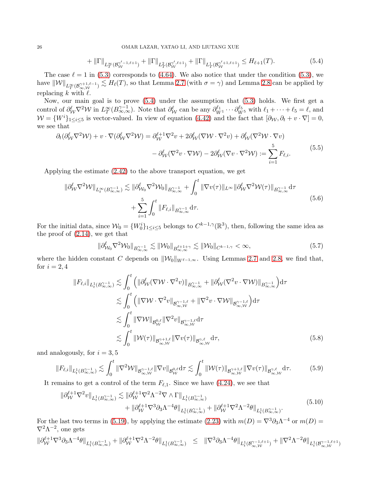<span id="page-25-0"></span>
$$
+ \|\Gamma\|_{L_T^{\infty}(\mathcal{B}_{\mathcal{W}}^{\gamma'-1,\ell+1})} + \|\Gamma\|_{L_T^2(\mathcal{B}_{\mathcal{W}}^{\gamma',\ell+1})} + \|\Gamma\|_{L_T^1(\mathcal{B}_{\mathcal{W}}^{\gamma'+1,\ell+1})} \leq H_{\ell+1}(T). \tag{5.4}
$$

The case  $\ell = 1$  in [\(5.3\)](#page-24-0) corresponds to [\(4.64\)](#page-24-5). We also notice that under the condition (5.3), we have  $\|\mathcal{W}\|_{L_T^{\infty}(\mathcal{B}_{\infty,\mathcal{W}}^{\gamma+1,\ell-1})} \lesssim H_{\ell}(T)$ , so that Lemma [2.7](#page-9-1) (with  $\sigma = \gamma$ ) and Lemma [2.8](#page-9-2) can be applied by replacing k with  $\ell$ .

Now, our main goal is to prove [\(5.4\)](#page-25-0) under the assumption that [\(5.3\)](#page-24-0) holds. We first get a control of  $\partial_W^{\ell} \nabla^2 W$  in  $L_T^{\infty}(B_{\infty,\infty}^{\gamma-1})$ . Note that  $\partial_W^{\ell}$  can be any  $\partial_{W^1}^{\ell_1} \cdots \partial_{W^5}^{\ell_5}$  with  $\ell_1 + \cdots + \ell_5 = \ell$ , and  $W = \{W^i\}_{1 \leq i \leq 5}$  is vector-valued. In view of equation [\(4.42\)](#page-20-3) and the fact that  $[\partial_{\mathcal{W}}, \partial_t + v \cdot \nabla] = 0$ , we see that

$$
\partial_t(\partial_W^{\ell} \nabla^2 \mathcal{W}) + v \cdot \nabla(\partial_W^{\ell} \nabla^2 \mathcal{W}) = \partial_W^{\ell+1} \nabla^2 v + 2\partial_W^{\ell} (\nabla \mathcal{W} \cdot \nabla^2 v) + \partial_W^{\ell} (\nabla^2 \mathcal{W} \cdot \nabla v) \n- \partial_W^{\ell} (\nabla^2 v \cdot \nabla \mathcal{W}) - 2\partial_W^{\ell} (\nabla v \cdot \nabla^2 \mathcal{W}) := \sum_{i=1}^5 F_{\ell,i}.
$$
\n(5.5)

Applying the estimate [\(2.42\)](#page-11-6) to the above transport equation, we get

$$
\|\partial_{\mathcal{W}}^{\ell} \nabla^{2} \mathcal{W}\|_{L_{t}^{\infty}(B_{\infty,\infty}^{\gamma-1})} \lesssim \|\partial_{\mathcal{W}_{0}}^{\ell} \nabla^{2} \mathcal{W}_{0}\|_{B_{\infty,\infty}^{\gamma-1}} + \int_{0}^{t} \|\nabla v(\tau)\|_{L^{\infty}} \|\partial_{\mathcal{W}}^{\ell} \nabla^{2} \mathcal{W}(\tau)\|_{B_{\infty,\infty}^{\gamma-1}} d\tau + \sum_{i=1}^{5} \int_{0}^{t} \|F_{\ell,i}\|_{B_{\infty,\infty}^{\gamma-1}} d\tau.
$$
\n(5.6)

<span id="page-25-2"></span>For the initial data, since  $W_0 = \{W_0^i\}_{1 \le i \le 5}$  belongs to  $C^{k-1,\gamma}(\mathbb{R}^3)$ , then, following the same idea as the proof of [\(2.14\)](#page-7-4), we get that

$$
\|\partial_{\mathcal{W}_0}^{\ell} \nabla^2 \mathcal{W}_0\|_{B_{\infty,\infty}^{\gamma-1}} \lesssim \|\mathcal{W}_0\|_{B_{\infty,\infty}^{\ell+1+\gamma}} \lesssim \|\mathcal{W}_0\|_{C^{k-1,\gamma}} < \infty,
$$
\n(5.7)

where the hidden constant C depends on  $\|\mathcal{W}_0\|_{W^{\ell-1,\infty}}$ . Using Lemmas [2.7](#page-9-1) and [2.8,](#page-9-2) we find that, for  $i = 2, 4$ 

$$
||F_{\ell,i}||_{L_t^1(B_{\infty,\infty}^{\gamma-1})} \lesssim \int_0^t \left( ||\partial_W^{\ell}(\nabla \mathcal{W} \cdot \nabla^2 v)||_{B_{\infty,\infty}^{\gamma-1}} + ||\partial_W^{\ell}(\nabla^2 v \cdot \nabla \mathcal{W})||_{B_{\infty,\infty}^{\gamma-1}} \right) d\tau
$$
  

$$
\lesssim \int_0^t \left( ||\nabla \mathcal{W} \cdot \nabla^2 v||_{\mathcal{B}_{\infty,\mathcal{W}}^{\gamma-1,\ell}} + ||\nabla^2 v \cdot \nabla \mathcal{W}||_{\mathcal{B}_{\infty,\mathcal{W}}^{\gamma-1,\ell}} \right) d\tau
$$
  

$$
\lesssim \int_0^t ||\nabla \mathcal{W}||_{\mathcal{B}_{\infty}^{0,\ell}} ||\nabla^2 v||_{\mathcal{B}_{\infty,\mathcal{W}}^{\gamma-1,\ell}} d\tau
$$
  

$$
\lesssim \int_0^t ||\mathcal{W}(\tau)||_{\mathcal{B}_{\infty,\mathcal{W}}^{\gamma+1,\ell}} ||\nabla v(\tau)||_{\mathcal{B}_{\infty,\mathcal{W}}^{\gamma,\ell}} d\tau,
$$
(5.8)

and analogously, for  $i = 3, 5$ 

$$
\|F_{\ell,i}\|_{L_t^1(B_{\infty,\infty}^{\gamma-1})} \lesssim \int_0^t \|\nabla^2 \mathcal{W}\|_{\mathcal{B}_{\infty,\mathcal{W}}^{\gamma-1,\ell}} \|\nabla v\|_{\mathcal{B}_{\mathcal{W}}^{0,\ell}} d\tau \lesssim \int_0^t \|\mathcal{W}(\tau)\|_{\mathcal{B}_{\infty,\mathcal{W}}^{\gamma+1,\ell}} \|\nabla v(\tau)\|_{\mathcal{B}_{\infty,\mathcal{W}}^{\gamma,\ell}} d\tau. \tag{5.9}
$$

It remains to get a control of the term  $F_{\ell,1}$ . Since we have [\(4.24\)](#page-18-5), we see that

$$
\begin{split} \|\partial_{\mathcal{W}}^{\ell+1} \nabla^2 v\|_{L_t^1(B_{\infty,\infty}^{\gamma-1})} &\lesssim \|\partial_{\mathcal{W}}^{\ell+1} \nabla^2 \Lambda^{-2} \nabla \wedge \Gamma\|_{L_t^1(B_{\infty,\infty}^{\gamma-1})} \\ &+ \|\partial_{\mathcal{W}}^{\ell+1} \nabla^3 \partial_3 \Lambda^{-4} \theta\|_{L_t^1(B_{\infty,\infty}^{\gamma-1})} + \|\partial_{\mathcal{W}}^{\ell+1} \nabla^2 \Lambda^{-2} \theta\|_{L_t^1(B_{\infty,\infty}^{\gamma-1})} . \end{split} \tag{5.10}
$$

For the last two terms in [\(5.19\)](#page-27-0), by applying the estimate [\(2.23\)](#page-9-3) with  $m(D) = \nabla^3 \partial_3 \Lambda^{-4}$  or  $m(D) =$  $\nabla^2 \Lambda^{-2}$ , one gets

<span id="page-25-1"></span>
$$
\|\partial^{\ell+1}_{\mathcal{W}}\nabla^3 \partial_3 \Lambda^{-4}\theta\|_{L^1_t(B_{\infty,\infty}^{\gamma-1})} + \|\partial^{\ell+1}_{\mathcal{W}}\nabla^2 \Lambda^{-2}\theta\|_{L^1_t(B_{\infty,\infty}^{\gamma-1})} \;\;\leq\;\; \|\nabla^3 \partial_3 \Lambda^{-4}\theta\|_{L^1_t(B_{\infty,\mathcal{W}}^{\gamma-1,\ell+1})} + \|\nabla^2 \Lambda^{-2}\theta\|_{L^1_t(B_{\infty,\mathcal{W}}^{\gamma-1,\ell+1})}
$$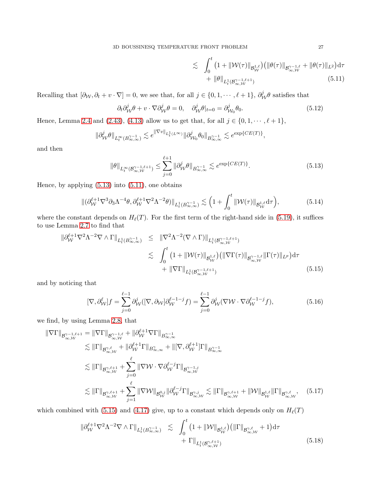$$
\lesssim \int_0^t \left(1 + \|\mathcal{W}(\tau)\|_{\mathcal{B}^{1,\ell}_{\mathcal{W}}}\right) \left( \|\theta(\tau)\|_{\mathcal{B}^{\gamma-1,\ell}_{\infty,\mathcal{W}}} + \|\theta(\tau)\|_{L^2} \right) d\tau + \|\theta\|_{L^1_t(\mathcal{B}^{\gamma-1,\ell+1}_{\infty,\mathcal{W}})} \tag{5.11}
$$

Recalling that  $[\partial_\mathcal{W}, \partial_t + v \cdot \nabla] = 0$ , we see that, for all  $j \in \{0, 1, \dots, \ell + 1\}$ ,  $\partial_{\mathcal{W}}^j \theta$  satisfies that

$$
\partial_t \partial^j_{\mathcal{W}} \theta + v \cdot \nabla \partial^j_{\mathcal{W}} \theta = 0, \quad \partial^j_{\mathcal{W}} \theta |_{t=0} = \partial^j_{\mathcal{W}_0} \theta_0. \tag{5.12}
$$

Hence, Lemma [2.4](#page-7-0) and [\(2.43\)](#page-11-1), [\(4.13\)](#page-16-3) allow us to get that, for all  $j \in \{0, 1, \dots, \ell + 1\}$ ,

$$
\|\partial_{\mathcal{W}}^j \theta\|_{L_t^{\infty}(B_{\infty,\infty}^{\gamma-1})} \lesssim e^{\|\nabla v\|_{L_t^1(L^{\infty})}} \|\partial_{\mathcal{W}_0}^j \theta_0\|_{B_{\infty,\infty}^{\gamma-1}} \lesssim e^{\exp\{CE(T)\}},
$$

and then

$$
\|\theta\|_{L_t^{\infty}(\mathcal{B}_{\infty,\mathcal{W}}^{\gamma-1,\ell+1})} \leq \sum_{j=0}^{\ell+1} \|\partial_{\mathcal{W}}^j \theta\|_{B_{\infty,\infty}^{\gamma-1}} \lesssim e^{\exp\{CE(T)\}}.
$$
\n(5.13)

Hence, by applying [\(5.13\)](#page-26-0) into [\(5.11\)](#page-25-1), one obtains

$$
\|(\partial_{\mathcal{W}}^{\ell+1}\nabla^3\partial_3\Lambda^{-4}\theta, \partial_{\mathcal{W}}^{\ell+1}\nabla^2\Lambda^{-2}\theta)\|_{L_t^1(B_{\infty,\infty}^{\gamma-1})} \lesssim \left(1+\int_0^t \|\mathcal{W}(\tau)\|_{\mathcal{B}_{\mathcal{W}}^{1,\ell}}d\tau\right),\tag{5.14}
$$

where the constant depends on  $H_{\ell}(T)$ . For the first term of the right-hand side in [\(5.19\)](#page-27-0), it suffices to use Lemma [2.7](#page-9-1) to find that

<span id="page-26-1"></span>
$$
\|\partial_{\mathcal{W}}^{\ell+1} \nabla^2 \Lambda^{-2} \nabla \wedge \Gamma\|_{L_t^1(B_{\infty,\infty}^{\gamma-1})} \leq \|\nabla^2 \Lambda^{-2} (\nabla \wedge \Gamma)\|_{L_t^1(B_{\infty,\mathcal{W}}^{\gamma-1,\ell+1})}
$$
  
\$\leq \int\_0^t \left(1 + \|\mathcal{W}(\tau)\|\_{\mathcal{B}\_{\mathcal{W}}^{1,\ell}}\right) \left(\|\nabla \Gamma(\tau)\|\_{\mathcal{B}\_{\infty,\mathcal{W}}^{\gamma-1,\ell}}\|\Gamma(\tau)\|\_{L^p}\right) d\tau\$  
\$+ \|\nabla \Gamma\|\_{L\_t^1(B\_{\infty,\mathcal{W}}^{\gamma-1,\ell+1})}\$ (5.15)

and by noticing that

<span id="page-26-3"></span>
$$
[\nabla, \partial_W^{\ell}]f = \sum_{j=0}^{\ell-1} \partial_W^j([\nabla, \partial_W] \partial_W^{\ell-1-j} f) = \sum_{j=0}^{\ell-1} \partial_W^j(\nabla W \cdot \nabla \partial_W^{\ell-1-j} f), \tag{5.16}
$$

we find, by using Lemma [2.8,](#page-9-2) that

$$
\|\nabla\Gamma\|_{\mathcal{B}_{\infty,\mathcal{W}}^{\gamma-1,\ell+1}} = \|\nabla\Gamma\|_{\mathcal{B}_{\infty,\mathcal{W}}^{\gamma-1,\ell}} + \|\partial_{\mathcal{W}}^{\ell+1}\nabla\Gamma\|_{B_{\infty,\infty}^{\gamma-1}} \n\lesssim \|\Gamma\|_{\mathcal{B}_{\infty,\mathcal{W}}^{\gamma,\ell}} + \|\partial_{\mathcal{W}}^{\ell+1}\Gamma\|_{B_{\infty,\infty}^{\gamma}} + \|[\nabla,\partial_{\mathcal{W}}^{\ell+1}]\Gamma\|_{B_{\infty,\infty}^{\gamma-1}} \n\lesssim \|\Gamma\|_{\mathcal{B}_{\infty,\mathcal{W}}^{\gamma,\ell+1}} + \sum_{j=0}^{\ell} \|\nabla\mathcal{W}\cdot\nabla\partial_{\mathcal{W}}^{\ell-j}\Gamma\|_{\mathcal{B}_{\infty,\mathcal{W}}^{\gamma-1,j}} \n\lesssim \|\Gamma\|_{\mathcal{B}_{\infty,\mathcal{W}}^{\gamma,\ell+1}} + \sum_{j=1}^{\ell} \|\nabla\mathcal{W}\|_{\mathcal{B}_{\mathcal{W}}^{0,j}} \|\partial_{\mathcal{W}}^{\ell-j}\Gamma\|_{\mathcal{B}_{\infty,\mathcal{W}}^{\gamma,j}} \lesssim \|\Gamma\|_{\mathcal{B}_{\infty,\mathcal{W}}^{\gamma,\ell+1}} + \|\mathcal{W}\|_{\mathcal{B}_{\infty,\mathcal{W}}^{1,\ell}} \|\Gamma\|_{\mathcal{B}_{\infty,\mathcal{W}}^{\gamma,\ell}},
$$
\n(5.17)

which combined with [\(5.15\)](#page-26-1) and [\(4.17\)](#page-17-3) give, up to a constant which depends only on  $H_{\ell}(T)$ 

<span id="page-26-2"></span>
$$
\|\partial_{\mathcal{W}}^{\ell+1} \nabla^2 \Lambda^{-2} \nabla \wedge \Gamma\|_{L_t^1(B_{\infty,\infty}^{\gamma-1})} \lesssim \int_0^t \left(1 + \|\mathcal{W}\|_{\mathcal{B}_{\mathcal{W}}^{1,\ell}}\right) \left(\|\Gamma\|_{\mathcal{B}_{\infty,\mathcal{W}}^{\gamma,\ell}} + 1\right) d\tau + \Gamma\|_{L_t^1(B_{\infty,\mathcal{W}}^{\gamma,\ell+1})}
$$
(5.18)

<span id="page-26-0"></span>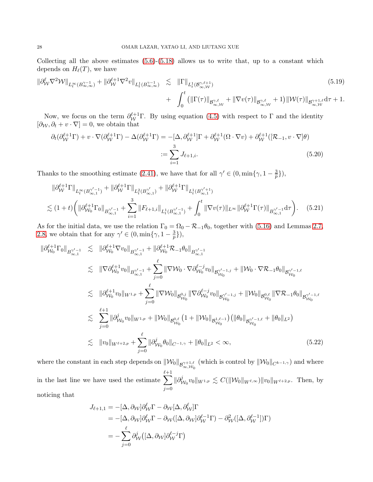Collecting all the above estimates  $(5.6)-(5.18)$  $(5.6)-(5.18)$  allows us to write that, up to a constant which depends on  $H_{\ell}(T)$ , we have

<span id="page-27-0"></span>
$$
\|\partial_{\mathcal{W}}^{\ell} \nabla^{2} \mathcal{W}\|_{L_{t}^{\infty}(B_{\infty,\infty}^{\gamma-1})} + \|\partial_{\mathcal{W}}^{\ell+1} \nabla^{2} v\|_{L_{t}^{1}(B_{\infty,\infty}^{\gamma-1})} \lesssim \| \Gamma \|_{L_{t}^{1}(B_{\infty,\mathcal{W}}^{\gamma,\ell+1})} + \int_{0}^{t} \left( \|\Gamma(\tau)\|_{B_{\infty,\mathcal{W}}^{\gamma,\ell}} + \|\nabla v(\tau)\|_{B_{\infty,\mathcal{W}}^{\gamma,\ell}} + 1 \right) \|\mathcal{W}(\tau)\|_{B_{\infty,\mathcal{W}}^{\gamma+1,\ell}} d\tau + 1.
$$
\n(5.19)

Now, we focus on the term  $\partial_W^{\ell+1}\Gamma$ . By using equation [\(4.5\)](#page-15-3) with respect to  $\Gamma$  and the identity  $[\partial_W, \partial_t + v \cdot \nabla] = 0$ , we obtain that

$$
\partial_t(\partial_{\mathcal{W}}^{\ell+1}\Gamma) + v \cdot \nabla(\partial_{\mathcal{W}}^{\ell+1}\Gamma) - \Delta(\partial_{\mathcal{W}}^{\ell+1}\Gamma) = -[\Delta, \partial_{\mathcal{W}}^{\ell+1}]\Gamma + \partial_{\mathcal{W}}^{\ell+1}(\Omega \cdot \nabla v) + \partial_{\mathcal{W}}^{\ell+1}([\mathcal{R}_{-1}, v \cdot \nabla]\theta)
$$

$$
:= \sum_{i=1}^{3} J_{\ell+1,i}.
$$
(5.20)

Thanks to the smoothing estimate [\(2.41\)](#page-11-0), we have that for all  $\gamma' \in (0, \min{\gamma, 1-\frac{3}{n}})$  $\frac{3}{p}\}),$ 

$$
\|\partial_{\mathcal{W}}^{\ell+1}\Gamma\|_{L_t^{\infty}(B_{\infty,1}^{\gamma'-1})} + \|\partial_{\mathcal{W}}^{\ell+1}\Gamma\|_{L_t^2(B_{\infty,1}^{\gamma'})} + \|\partial_{\mathcal{W}}^{\ell+1}\Gamma\|_{L_t^1(B_{\infty,1}^{\gamma'+1})}
$$
  

$$
\lesssim (1+t) \bigg( \|\partial_{\mathcal{W}_0}^{\ell+1}\Gamma_0\|_{B_{\infty,1}^{\gamma'-1}} + \sum_{i=1}^3 \|F_{\ell+1,i}\|_{L_t^1(B_{\infty,1}^{\gamma'-1})} + \int_0^t \|\nabla v(\tau)\|_{L^{\infty}} \|\partial_{\mathcal{W}}^{\ell+1}\Gamma(\tau)\|_{B_{\infty,1}^{\gamma'-1}} d\tau \bigg). \tag{5.21}
$$

As for the initial data, we use the relation  $\Gamma_0 = \Omega_0 - \mathcal{R}_{-1}\theta_0$ , together with [\(5.16\)](#page-26-3) and Lemmas [2.7,](#page-9-1) [2.8,](#page-9-2) we obtain that for any  $\gamma' \in (0, \min{\gamma, 1-\frac{3}{n}})$  $\frac{3}{p}\},$ 

<span id="page-27-1"></span>
$$
\|\partial_{\mathcal{W}_{0}}^{\ell+1}\Gamma_{0}\|_{B_{\infty,1}^{\gamma'-1}} \leq \|\partial_{\mathcal{W}_{0}}^{\ell+1}\nabla v_{0}\|_{B_{\infty,1}^{\gamma'-1}} + \|\partial_{\mathcal{W}_{0}}^{\ell+1}\mathcal{R}_{-1}\theta_{0}\|_{B_{\infty,1}^{\gamma'-1}} \n\leq \|\nabla \partial_{\mathcal{W}_{0}}^{\ell+1}v_{0}\|_{B_{\infty,1}^{\gamma'-1}} + \sum_{j=0}^{\ell} \|\nabla \mathcal{W}_{0} \cdot \nabla \partial_{\mathcal{W}_{0}}^{\ell-j}v_{0}\|_{B_{\mathcal{W}_{0}}^{\gamma'-1,j}} + \|\mathcal{W}_{0} \cdot \nabla \mathcal{R}_{-1}\theta_{0}\|_{B_{\mathcal{W}_{0}}^{\gamma'-1,\ell}} \n\leq \|\partial_{\mathcal{W}_{0}}^{\ell+1}v_{0}\|_{W^{1,p}} + \sum_{j=0}^{\ell} \|\nabla \mathcal{W}_{0}\|_{B_{\mathcal{W}_{0}}^{0,j}} \|\nabla \partial_{\mathcal{W}_{0}}^{\ell-j}v_{0}\|_{B_{\mathcal{W}_{0}}^{\gamma'-1,j}} + \|\mathcal{W}_{0}\|_{B_{\mathcal{W}_{0}}^{\alpha,\ell}} \|\nabla \mathcal{R}_{-1}\theta_{0}\|_{B_{\mathcal{W}_{0}}^{\gamma'-1,\ell}} \n\leq \sum_{j=0}^{\ell+1} \|\partial_{\mathcal{W}_{0}}^{j}v_{0}\|_{W^{1,p}} + \|\mathcal{W}_{0}\|_{B_{\mathcal{W}_{0}}^{0,\ell}} \left(1 + \|\mathcal{W}_{0}\|_{B_{\mathcal{W}_{0}}^{1,\ell-1}}\right) \left(\|\theta_{0}\|_{B_{\mathcal{W}_{0}}^{\gamma'-1,\ell}} + \|\theta_{0}\|_{L^{2}}\right) \n\leq \|\mathcal{V}_{0}\|_{W^{\ell+2,p}} + \sum_{j=0}^{\ell} \|\partial_{\mathcal{W}_{0}}^{j} \theta_{0}\|_{C^{-1,\gamma}} + \|\theta_{0}\|_{L^{2}} < \infty, \tag{5.22}
$$

where the constant in each step depends on  $\|\mathcal{W}_0\|_{\mathcal{B}^{\gamma+1,\ell}_{\infty,\mathcal{W}_0}}$  (which is control by  $\|\mathcal{W}_0\|_{C^{k-1,\gamma}}$ ) and where in the last line we have used the estimate  $\sum_{n=1}^{\ell+1}$  $j=0$  $\|\partial_\nu^j\|$  $\mathcal{W}_{\mathcal{W}_0} v_0 \|_{W^{1,p}} \lesssim C ( \| \mathcal{W}_0 \|_{W^{\ell,\infty}} ) \| v_0 \|_{W^{\ell+2,p}}. \ \ \text{Then, by}$ noticing that

$$
J_{\ell+1,1} = -[\Delta, \partial_{\mathcal{W}}] \partial_{\mathcal{W}}^{\ell} \Gamma - \partial_{\mathcal{W}} [\Delta, \partial_{\mathcal{W}}^{\ell}] \Gamma
$$
  
= -[\Delta, \partial\_{\mathcal{W}}] \partial\_{\mathcal{W}}^{\ell} \Gamma - \partial\_{\mathcal{W}} ([\Delta, \partial\_{\mathcal{W}}] \partial\_{\mathcal{W}}^{\ell-1} \Gamma) - \partial\_{\mathcal{W}}^2 ([\Delta, \partial\_{\mathcal{W}}^{\ell-1}]) \Gamma)  
= -\sum\_{j=0}^{\ell} \partial\_{\mathcal{W}}^j ([\Delta, \partial\_{\mathcal{W}}] \partial\_{\mathcal{W}}^{\ell-j} \Gamma)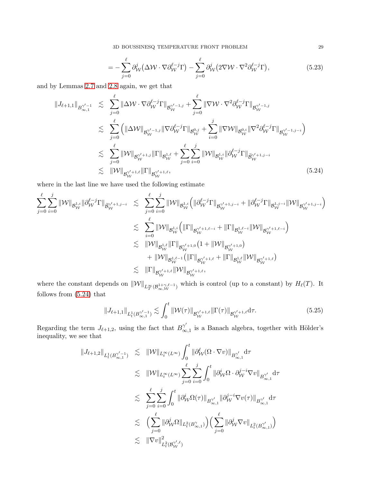3D BOUSSINESQ TEMPERATURE FRONT PROBLEM 29

$$
= -\sum_{j=0}^{\ell} \partial_{\mathcal{W}}^{j} \left( \Delta \mathcal{W} \cdot \nabla \partial_{\mathcal{W}}^{\ell-j} \Gamma \right) - \sum_{j=0}^{\ell} \partial_{\mathcal{W}}^{j} \left( 2 \nabla \mathcal{W} \cdot \nabla^{2} \partial_{\mathcal{W}}^{\ell-j} \Gamma \right), \tag{5.23}
$$

and by Lemmas [2.7](#page-9-1) and [2.8](#page-9-2) again, we get that

<span id="page-28-0"></span>
$$
\|J_{\ell+1,1}\|_{B_{\infty,1}^{\gamma'-1}} \leq \sum_{j=0}^{\ell} \|\Delta \mathcal{W} \cdot \nabla \partial_{\mathcal{W}}^{\ell-j} \Gamma\|_{\mathcal{B}_{\mathcal{W}}^{\gamma'-1,j}} + \sum_{j=0}^{\ell} \|\nabla \mathcal{W} \cdot \nabla^{2} \partial_{\mathcal{W}}^{\ell-j} \Gamma\|_{\mathcal{B}_{\mathcal{W}}^{\gamma'-1,j}} \n\lesssim \sum_{j=0}^{\ell} \left( \|\Delta \mathcal{W}\|_{\mathcal{B}_{\mathcal{W}}^{\gamma'-1,j}} \|\nabla \partial_{\mathcal{W}}^{\ell-j} \Gamma\|_{\mathcal{B}_{\mathcal{W}}^{0,j}} + \sum_{i=0}^{j} \|\nabla \mathcal{W}\|_{\mathcal{B}_{\mathcal{W}}^{0,i}} \|\nabla^{2} \partial_{\mathcal{W}}^{\ell-j} \Gamma\|_{\mathcal{B}_{\mathcal{W}}^{\gamma'-1,j-i}} \right) \n\lesssim \sum_{j=0}^{\ell} \|\mathcal{W}\|_{\mathcal{B}_{\mathcal{W}}^{\gamma'+1,j}} \|\Gamma\|_{\mathcal{B}_{\mathcal{W}}^{1,\ell}} + \sum_{j=0}^{\ell} \sum_{i=0}^{j} \|\mathcal{W}\|_{\mathcal{B}_{\mathcal{W}}^{1,i}} \|\partial_{\mathcal{W}}^{\ell-j} \Gamma\|_{\widetilde{\mathcal{B}}_{\mathcal{W}}^{\gamma'+1,j-i}} \n\lesssim \|\mathcal{W}\|_{\mathcal{B}_{\mathcal{W}}^{\gamma'+1,\ell}} \|\Gamma\|_{\mathcal{B}_{\mathcal{W}}^{\gamma'+1,\ell}},
$$
\n(5.24)

where in the last line we have used the following estimate

$$
\begin{array}{lcl} \displaystyle \sum_{j=0}^{\ell}\sum_{i=0}^{j}\|\mathcal{W}\|_{\mathcal{B}^{1,i}_\mathcal{W}}\|\partial_{\mathcal{W}}^{\ell-j}\Gamma\|_{\widetilde{\mathcal{B}}^{r/+1,j-i}_\mathcal{W}} & \lesssim & \displaystyle \sum_{j=0}^{\ell}\sum_{i=0}^{j}\|\mathcal{W}\|_{\mathcal{B}^{1,i}_\mathcal{W}}\left(\|\partial_{\mathcal{W}}^{\ell-j}\Gamma\|_{\mathcal{B}^{\gamma'+1,j-i}_\mathcal{W}}+\|\partial_{\mathcal{W}}^{\ell-j}\Gamma\|_{\mathcal{B}^{1,j-i}_\mathcal{W}}\|\mathcal{W}\|_{\mathcal{B}^{\gamma'+1,j-i}_\mathcal{W}}\right)\\ & \lesssim & \displaystyle \sum_{i=0}^{\ell}\|\mathcal{W}\|_{\mathcal{B}^{1,i}_\mathcal{W}}\left(\|\Gamma\|_{\mathcal{B}^{\gamma'+1,\ell-i}_\mathcal{W}}+\|\Gamma\|_{\mathcal{B}^{1,\ell-i}_\mathcal{W}}\|\mathcal{W}\|_{\mathcal{B}^{\gamma'+1,\ell-i}_\mathcal{W}}\right)\\ & \lesssim & \displaystyle \|\mathcal{W}\|_{\mathcal{B}^{1,\ell}_\mathcal{W}}\|\Gamma\|_{\mathcal{B}^{\gamma'+1,0}_\mathcal{W}}\left(1+\|\mathcal{W}\|_{\mathcal{B}^{\gamma'+1,0}_\mathcal{W}}\right)\\ & & \displaystyle +\|\mathcal{W}\|_{\mathcal{B}^{1,\ell-1}_\mathcal{W}}\left(\|\Gamma\|_{\mathcal{B}^{\gamma'+1,\ell}_\mathcal{W}}+\|\Gamma\|_{\mathcal{B}^{1,\ell}_\mathcal{W}}\|\mathcal{W}\|_{\mathcal{B}^{\gamma'+1,\ell}_\mathcal{W}}\right)\\ & \lesssim & \displaystyle \|\Gamma\|_{\mathcal{B}^{\gamma'+1,\ell}_\mathcal{W}}\|\mathcal{W}\|_{\mathcal{B}^{\gamma'+1,\ell}_\mathcal{W}},\end{array}
$$

where the constant depends on  $\|\mathcal{W}\|_{L^{\infty}_T(\mathcal{B}^{1+\gamma,\ell-1}_{\infty},\mathcal{W})}$  which is control (up to a constant) by  $H_{\ell}(T)$ . It follows from [\(5.24\)](#page-28-0) that

<span id="page-28-1"></span>
$$
||J_{\ell+1,1}||_{L_t^1(B_{\infty,1}^{\gamma'-1})} \lesssim \int_0^t ||\mathcal{W}(\tau)||_{\mathcal{B}_{\mathcal{W}}^{\gamma'+1,\ell}} ||\Gamma(\tau)||_{\mathcal{B}_{\mathcal{W}}^{\gamma'+1,\ell}} d\tau. \tag{5.25}
$$

Regarding the term  $J_{\ell+1,2}$ , using the fact that  $B_{\infty}^{\gamma'}$  $\alpha_{\infty,1}^{\gamma}$  is a Banach algebra, together with Hölder's inequality, we see that

<span id="page-28-2"></span>
$$
\begin{array}{lcl} \|J_{\ell+1,2}\|_{L_{t}^{1}(B^{\gamma'-1}_{\infty,1})} & \lesssim & \displaystyle \| \mathcal{W} \|_{L_{t}^{\infty}(L^{\infty})} \int_{0}^{t} \| \partial_{\mathcal{W}}^{\ell}(\Omega \cdot \nabla v) \|_{B^{\gamma'}_{\infty,1}} \mathrm{d} \tau \\ \\ & \lesssim & \displaystyle \| \mathcal{W} \|_{L_{t}^{\infty}(L^{\infty})} \sum_{j=0}^{\ell} \sum_{i=0}^{j} \int_{0}^{t} \| \partial_{\mathcal{W}}^{i} \Omega \cdot \partial_{\mathcal{W}}^{j-i} \nabla v \|_{B^{\gamma'}_{\infty,1}} \mathrm{d} \tau \\ \\ & \lesssim & \displaystyle \sum_{j=0}^{\ell} \sum_{i=0}^{j} \int_{0}^{t} \| \partial_{\mathcal{W}}^{i} \Omega(\tau) \|_{B^{\gamma'}_{\infty,1}} \| \partial_{\mathcal{W}}^{j-i} \nabla v(\tau) \|_{B^{\gamma'}_{\infty,1}} \mathrm{d} \tau \\ \\ & \lesssim & \displaystyle \Big( \sum_{j=0}^{\ell} \| \partial_{\mathcal{W}}^{j} \Omega \|_{L_{t}^{2}(B^{\gamma}_{\infty,1})} \Big) \Big( \sum_{j=0}^{\ell} \| \partial_{\mathcal{W}}^{j} \nabla v \|_{L_{t}^{2}(B^{\gamma'}_{\infty,1})} \Big) \\ & \lesssim & \displaystyle \| \nabla v \|_{L_{t}^{2}(B^{\gamma'}_{\mathcal{W}})}^{2} \end{array}
$$

<span id="page-28-3"></span>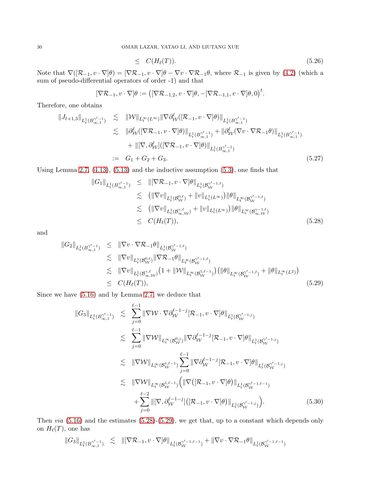$$
\leq C(H_{\ell}(T)). \tag{5.26}
$$

Note that  $\nabla([\mathcal{R}_{-1}, v \cdot \nabla]\theta) = [\nabla \mathcal{R}_{-1}, v \cdot \nabla]\theta - \nabla v \cdot \nabla \mathcal{R}_{-1}\theta$ , where  $\mathcal{R}_{-1}$  is given by [\(4.2\)](#page-15-6) (which a sum of pseudo-differential operators of order -1) and that

$$
[\nabla \mathcal{R}_{-1}, v \cdot \nabla] \theta := \big( [\nabla \mathcal{R}_{-1,2}, v \cdot \nabla] \theta, -[\nabla \mathcal{R}_{-1,1}, v \cdot \nabla] \theta, 0 \big)^t.
$$

Therefore, one obtains

$$
\|J_{\ell+1,3}\|_{L_t^1(B_{\infty,1}^{\gamma'-1})} \leq \|W\|_{L_t^{\infty}(L^{\infty})} \|\nabla \partial_W^{\ell}([\mathcal{R}_{-1}, v \cdot \nabla]\theta)\|_{L_t^1(B_{\infty,1}^{\gamma'-1})} \n\lesssim \|\partial_W^{\ell}([\nabla \mathcal{R}_{-1}, v \cdot \nabla]\theta)\|_{L_t^1(B_{\infty,1}^{\gamma'-1})} + \|\partial_W^{\ell}(\nabla v \cdot \nabla \mathcal{R}_{-1}\theta)\|_{L_t^1(B_{\infty,1}^{\gamma'-1})} \n+ \|[ \nabla, \partial_W^{\ell}]([\nabla \mathcal{R}_{-1}, v \cdot \nabla]\theta)\|_{L_t^1(B_{\infty,1}^{\gamma'-1})} \n:= G_1 + G_2 + G_3.
$$
\n(5.27)

Using Lemma [2.7,](#page-9-1) [\(4.13\)](#page-16-3), [\(5.13\)](#page-26-0) and the inductive assumption [\(5.3\)](#page-24-0), one finds that

<span id="page-29-0"></span>
$$
\|G_{1}\|_{L_{t}^{1}(B_{\infty,1}^{\gamma'-1})} \leq \|[\nabla \mathcal{R}_{-1}, v \cdot \nabla]\theta\|_{L_{t}^{1}(B_{\mathcal{W}}^{\gamma'-1,\ell})}\n\n\lesssim ( \|\nabla v\|_{L_{t}^{1}(B_{\mathcal{W}}^{0,\ell})} + \|v\|_{L_{t}^{1}(L^{\infty})}) \|\theta\|_{L_{t}^{\infty}(B_{\mathcal{W}}^{\gamma'-1,\ell})}\n\n\lesssim ( \|\nabla v\|_{L_{t}^{1}(B_{\infty,\mathcal{W}}^{\gamma,\ell})} + \|v\|_{L_{t}^{1}(L^{\infty})}) \|\theta\|_{L_{t}^{\infty}(B_{\infty,\mathcal{W}}^{\gamma-1,\ell})}\n\n\leq C(H_{\ell}(T)), \n\n(5.28)
$$

and

<span id="page-29-1"></span>
$$
\|G_{2}\|_{L_{t}^{1}(B_{\infty,1}^{\gamma'-1})} \leq \| \nabla v \cdot \nabla \mathcal{R}_{-1} \theta \|_{L_{t}^{1}(B_{\mathcal{W}}^{\gamma'-1,\ell})} \n\lesssim \| \nabla v \|_{L_{t}^{1}(B_{\mathcal{W}}^{0,\ell})} \| \nabla \mathcal{R}_{-1} \theta \|_{L_{t}^{\infty}(B_{\mathcal{W}}^{\gamma'-1,\ell})} \n\lesssim \| \nabla v \|_{L_{t}^{1}(B_{\infty,\mathcal{W}}^{\gamma,\ell})} (1 + \| \mathcal{W} \|_{L_{t}^{\infty}(B_{\mathcal{W}}^{1,\ell-1})}) \left( \| \theta \|_{L_{t}^{\infty}(B_{\mathcal{W}}^{\gamma'-1,\ell})} + \| \theta \|_{L_{t}^{\infty}(L^{2})} \right) \n\leq C(H_{\ell}(T)),
$$
\n(5.29)

Since we have [\(5.16\)](#page-26-3) and by Lemma [2.7,](#page-9-1) we deduce that

$$
\|G_3\|_{L_t^1(B_{\infty,1}^{\gamma'-1})} \leq \sum_{j=0}^{\ell-1} \|\nabla \mathcal{W} \cdot \nabla \partial_{\mathcal{W}}^{\ell-1-j} [\mathcal{R}_{-1}, v \cdot \nabla] \theta\|_{L_t^1(B_{\mathcal{W}}^{\gamma'-1,j})} \n\leq \sum_{j=0}^{\ell-1} \|\nabla \mathcal{W}\|_{L_t^{\infty}(B_{\mathcal{W}}^{0,j})} \|\nabla \partial_{\mathcal{W}}^{\ell-1-j} [\mathcal{R}_{-1}, v \cdot \nabla] \theta\|_{L_t^1(B_{\mathcal{W}}^{\gamma'-1,j})} \n\leq \|\nabla \mathcal{W}\|_{L_t^{\infty}(B_{\mathcal{W}}^{1,\ell-1})} \sum_{j=0}^{\ell-1} \|\nabla \partial_{\mathcal{W}}^{\ell-1-j} [\mathcal{R}_{-1}, v \cdot \nabla] \theta\|_{L_t^1(B_{\mathcal{W}}^{\gamma'-1,j})} \n\leq \|\nabla \mathcal{W}\|_{L_t^{\infty}(B_{\mathcal{W}}^{1,\ell-1})} \Big( \|\nabla \big([\mathcal{R}_{-1}, v \cdot \nabla] \theta\big)\|_{L_t^1(B_{\mathcal{W}}^{\gamma'-1,\ell-1})} + \sum_{j=0}^{\ell-2} \|[\nabla, \partial_{\mathcal{W}}^{\ell-1-j}][[\mathcal{R}_{-1}, v \cdot \nabla] \theta]\|_{L_t^1(B_{\mathcal{W}}^{\gamma'-1,j})} \Big). \tag{5.30}
$$

Then *via*  $(5.16)$  and the estimates  $(5.28)-(5.29)$  $(5.28)-(5.29)$ , we get that, up to a constant which depends only on  $H_{\ell}(T)$ , one has

$$
\|G_3\|_{L^1_t(B^{\gamma'-1}_{\infty,1})} \hspace{2mm} \lesssim \hspace{2mm} \left\|[\nabla \mathcal{R}_{-1}, v \cdot \nabla]\theta\right\|_{L^1_t(\mathcal{B}^{\gamma'-1,\ell-1}_{\mathcal{W}})} + \left\|\nabla v \cdot \nabla \mathcal{R}_{-1}\theta\right\|_{L^1_t(\mathcal{B}^{\gamma'-1,\ell-1}_{\mathcal{W}})} \\
$$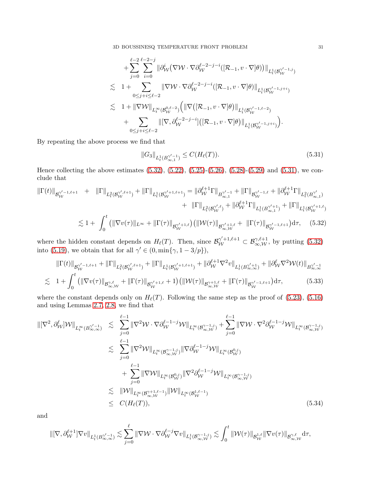3D BOUSSINESQ TEMPERATURE FRONT PROBLEM 31

$$
+\sum_{j=0}^{\ell-2}\sum_{i=0}^{\ell-2-j} \|\partial_W^i(\nabla W\cdot\nabla\partial_W^{\ell-2-j-i}([\mathcal{R}_{-1},v\cdot\nabla]\theta))\|_{L_t^1(\mathcal{B}_W^{\gamma'-1,j})} \n\lesssim 1+\sum_{0\leq j+i\leq \ell-2} \|\nabla W\cdot\nabla\partial_W^{\ell-2-j-i}([\mathcal{R}_{-1},v\cdot\nabla]\theta)\|_{L_t^1(\mathcal{B}_W^{\gamma'-1,j+i})} \n\lesssim 1+\|\nabla W\|_{L_t^\infty(\mathcal{B}_W^{0,\ell-2})}\Big(\|\nabla([\mathcal{R}_{-1},v\cdot\nabla]\theta)\|_{L_t^1(\mathcal{B}_W^{\gamma'-1,\ell-2})} \n+\sum_{0\leq j+i\leq \ell-2} \|\nabla,\partial_W^{\ell-2-j-i}]([\mathcal{R}_{-1},v\cdot\nabla]\theta)\|_{L_t^1(\mathcal{B}_W^{\gamma'-1,j+i})}\Big).
$$

By repeating the above process we find that

<span id="page-30-1"></span>
$$
||G_3||_{L_t^1(B_{\infty,1}^{\gamma'-1})} \le C(H_\ell(T)).
$$
\n(5.31)

Hence collecting the above estimates  $(5.32)$ ,  $(5.22)$ ,  $(5.25)$ - $(5.26)$ ,  $(5.28)$ - $(5.29)$  and  $(5.31)$ , we conclude that

<span id="page-30-0"></span>
$$
\begin{split} \left\| \Gamma(t) \right\|_{\mathcal{B}_{\mathcal{W}}^{\gamma'-1,\ell+1}} &+ \left\| \Gamma \right\|_{L_{t}^{2}(\mathcal{B}_{\mathcal{W}}^{\gamma',\ell+1})} + \left\| \Gamma \right\|_{L_{t}^{1}(\mathcal{B}_{\mathcal{W}}^{\gamma'+1,\ell+1})} = \left\| \partial_{\mathcal{W}}^{\ell+1} \Gamma \right\|_{\mathcal{B}_{\infty,1}^{\gamma'-1}} + \left\| \Gamma \right\|_{\mathcal{B}_{\mathcal{W}}^{\gamma'-1,\ell}} + \left\| \partial_{\mathcal{W}}^{\ell+1} \Gamma \right\|_{L_{t}^{2}(\mathcal{B}_{\infty,1}^{\gamma'})} \\ &+ \left\| \Gamma \right\|_{L_{t}^{2}(\mathcal{B}_{\mathcal{W}}^{\gamma',\ell})} + \left\| \partial_{\mathcal{W}}^{\ell+1} \Gamma \right\|_{L_{t}^{1}(\mathcal{B}_{\infty,1}^{\gamma'+1})} + \left\| \Gamma \right\|_{L_{t}^{1}(\mathcal{B}_{\mathcal{W}}^{\gamma'+1,\ell})} \\ &\lesssim 1 + \left. \int_{0}^{t} \left( \|\nabla v(\tau)\|_{L^{\infty}} + \|\Gamma(\tau)\|_{\mathcal{B}_{\mathcal{W}}^{\gamma'+1,\ell}} \right) \left( \|\mathcal{W}(\tau)\|_{\mathcal{B}_{\infty,\mathcal{W}}^{\gamma'+1,\ell}} + \|\Gamma(\tau)\|_{\mathcal{B}_{\mathcal{W}}^{\gamma'-1,\ell+1}} \right) \mathrm{d}\tau, \end{split} \tag{5.32}
$$

where the hidden constant depends on  $H_{\ell}(T)$ . Then, since  $\mathcal{B}_{\mathcal{W}}^{\gamma'+1,\ell+1} \subset \mathcal{B}_{\infty,\mathcal{W}}^{\gamma,\ell+1}$ , by putting [\(5.32\)](#page-30-0) into [\(5.19\)](#page-27-0), we obtain that for all  $\gamma' \in (0, \min{\gamma, 1 - 3/p}),$ 

<span id="page-30-2"></span>
$$
\|\Gamma(t)\|_{\mathcal{B}_{\mathcal{W}}^{\gamma'-1,\ell+1}} + \|\Gamma\|_{L_t^2(\mathcal{B}_{\mathcal{W}}^{\gamma',\ell+1})} + \|\Gamma\|_{L_t^1(\mathcal{B}_{\mathcal{W}}^{\gamma'+1,\ell+1})} + \|\partial_{\mathcal{W}}^{\ell+1}\nabla^2 v\|_{L_t^1(\mathcal{B}_{\infty,\infty}^{\gamma'+1})} + \|\partial_{\mathcal{W}}^{\ell}\nabla^2 \mathcal{W}(t)\|_{\mathcal{B}_{\infty,\infty}^{\gamma'-1}} \n\lesssim 1 + \int_0^t \left( \|\nabla v(\tau)\|_{\mathcal{B}_{\infty,\mathcal{W}}^{\gamma,\ell}} + \|\Gamma(\tau)\|_{\mathcal{B}_{\mathcal{W}}^{\gamma'+1,\ell}} + 1 \right) \left( \|\mathcal{W}(\tau)\|_{\mathcal{B}_{\infty,\mathcal{W}}^{\gamma+1,\ell}} + \|\Gamma(\tau)\|_{\mathcal{B}_{\mathcal{W}}^{\gamma'-1,\ell+1}} \right) d\tau, \tag{5.33}
$$

where the constant depends only on  $H_{\ell}(T)$ . Following the same step as the proof of [\(5.23\)](#page-28-3), [\(5.16\)](#page-26-3) and using Lemmas [2.7,](#page-9-1) [2.8,](#page-9-2) we find that

$$
\begin{split} \left\| [\nabla^2, \partial_W^{\ell}] \mathcal{W} \right\|_{L_t^{\infty}(B_{\infty,\infty}^{\gamma'-1})} &\lesssim \sum_{j=0}^{\ell-1} \|\nabla^2 \mathcal{W} \cdot \nabla \partial_W^{\ell-1-j} \mathcal{W} \right\|_{L_t^{\infty}(B_{\infty,\mathcal{W}}^{\gamma-1,j})} + \sum_{j=0}^{\ell-1} \|\nabla \mathcal{W} \cdot \nabla^2 \partial_W^{\ell-1-j} \mathcal{W} \right\|_{L_t^{\infty}(B_{\infty,\mathcal{W}}^{\gamma-1,j})} \\ &\lesssim \sum_{j=0}^{\ell-1} \|\nabla^2 \mathcal{W} \|_{L_t^{\infty}(B_{\infty,\mathcal{W}}^{\gamma-1,j})} \|\nabla \partial_W^{\ell-1-j} \mathcal{W} \|_{L_t^{\infty}(B_{\mathcal{W}}^{0,j})} \\ &+ \sum_{j=0}^{\ell-1} \|\nabla \mathcal{W} \|_{L_t^{\infty}(B_{\mathcal{W}}^{0,j})} \|\nabla^2 \partial_W^{\ell-1-j} \mathcal{W} \|_{L_t^{\infty}(B_{\infty,\mathcal{W}}^{\gamma-1,j})} \\ &\lesssim \|\mathcal{W} \|_{L_t^{\infty}(B_{\infty,\mathcal{W}}^{\gamma+1,\ell-1})} \|\mathcal{W} \|_{L_t^{\infty}(B_{\mathcal{W}}^{1,\ell-1})} \\ &\leq C(H_{\ell}(T)), \end{split} \tag{5.34}
$$

and

$$
\|[\nabla,\partial^{\ell+1}_{\mathcal{W}}]\nabla v\|_{L^1_t(B^{ \gamma'-1}_{\infty,\infty})}\lesssim \sum_{j=0}^\ell \|\nabla \mathcal{W}\cdot \nabla \partial^{\ell-j}_{\mathcal{W}}\nabla v\|_{L^1_t(B^{ \gamma-1,j}_{\infty,\mathcal{W}})}\lesssim \int_0^t \|\mathcal{W}(\tau)\|_{\mathcal{B}^{1,\ell}_{\mathcal{W}}}\|\nabla v(\tau)\|_{\mathcal{B}^{\gamma,\ell}_{\infty,\mathcal{W}}} \mathrm{d} \tau,
$$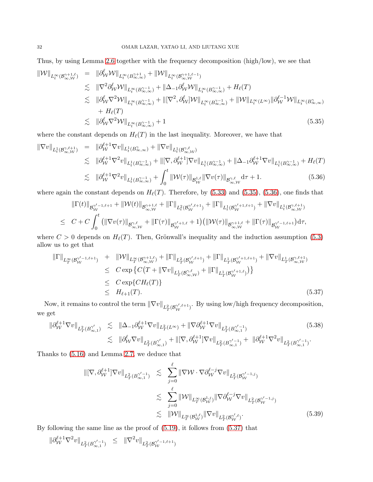Thus, by using Lemma [2.6](#page-9-4) together with the frequency decomposition (high/low), we see that

<span id="page-31-0"></span>
$$
\begin{split} \|\mathcal{W}\|_{L^{\infty}_{t}(\mathcal{B}^{\gamma+1,\ell}_{\infty,\mathcal{W}})} &= \|\partial_{\mathcal{W}}^{\ell} \mathcal{W}\|_{L^{\infty}_{t}(\mathcal{B}^{\gamma+1}_{\infty,\infty})} + \|\mathcal{W}\|_{L^{\infty}_{t}(\mathcal{B}^{\gamma+1,\ell-1}_{\infty,\mathcal{W}})} \\ &\lesssim \|\nabla^{2} \partial_{\mathcal{W}}^{\ell} \mathcal{W}\|_{L^{\infty}_{t}(\mathcal{B}^{\gamma-1}_{\infty,\infty})} + \|\Delta_{-1} \partial_{\mathcal{W}}^{\ell} \mathcal{W}\|_{L^{\infty}_{t}(\mathcal{B}^{\gamma-1}_{\infty,\infty})} + H_{\ell}(T) \\ &\lesssim \|\partial_{\mathcal{W}}^{\ell} \nabla^{2} \mathcal{W}\|_{L^{\infty}_{t}(\mathcal{B}^{\gamma-1}_{\infty,\infty})} + \|\nabla^{2} \partial_{\mathcal{W}}^{\ell} \mathcal{W}\|_{L^{\infty}_{t}(\mathcal{B}^{\gamma-1}_{\infty,\infty})} + \|\mathcal{W}\|_{L^{\infty}_{t}(\mathcal{L}^{\infty})}\|\partial_{\mathcal{W}}^{\ell-1} \mathcal{W}\|_{L^{\infty}_{t}(\mathcal{B}^{\gamma}_{\infty,\infty})} \\ &\quad + H_{\ell}(T) \\ &\lesssim \|\partial_{\mathcal{W}}^{\ell} \nabla^{2} \mathcal{W}\|_{L^{\infty}_{t}(\mathcal{B}^{\gamma-1}_{\infty,\infty})} + 1 \end{split} \tag{5.35}
$$

where the constant depends on  $H_{\ell}(T)$  in the last inequality. Moreover, we have that

<span id="page-31-1"></span>
$$
\|\nabla v\|_{L_t^1(\mathcal{B}_{\infty,\mathcal{W}}^{\gamma,\ell+1})} = \|\partial_{\mathcal{W}}^{\ell+1} \nabla v\|_{L_t^1(\mathcal{B}_{\infty,\infty}^{\gamma})} + \|\nabla v\|_{L_t^1(\mathcal{B}_{\infty,\mathcal{W}}^{\gamma,\ell})} \n\lesssim \|\partial_{\mathcal{W}}^{\ell+1} \nabla^2 v\|_{L_t^1(\mathcal{B}_{\infty,\infty}^{\gamma-1})} + \|\nabla v\|_{L_t^1(\mathcal{B}_{\infty,\infty}^{\gamma,\ell})} + \|\Delta_{-1}\partial_{\mathcal{W}}^{\ell+1} \nabla v\|_{L_t^1(\mathcal{B}_{\infty,\infty}^{\gamma-1})} + H_{\ell}(T) \n\lesssim \|\partial_{\mathcal{W}}^{\ell+1} \nabla^2 v\|_{L_t^1(\mathcal{B}_{\infty,\infty}^{\gamma-1})} + \int_0^t \|\mathcal{W}(\tau)\|_{\mathcal{B}_{\infty}^{1,\ell}} \|\nabla v(\tau)\|_{\mathcal{B}_{\infty,\mathcal{W}}^{\gamma,\ell}} d\tau + 1.
$$
\n(5.36)

where again the constant depends on  $H_{\ell}(T)$ . Therefore, by [\(5.33\)](#page-30-2) and [\(5.35\)](#page-31-0), [\(5.36\)](#page-31-1), one finds that

$$
\|\Gamma(t)\|_{\mathcal{B}^{\gamma'-1,\ell+1}_{\mathcal{W}}} + \|\mathcal{W}(t)\|_{\mathcal{B}^{\gamma+1,\ell}_{\infty,\mathcal{W}}} + \|\Gamma\|_{L^{2}_{t}(\mathcal{B}^{\gamma',\ell+1}_{\mathcal{W}})} + \|\Gamma\|_{L^{1}_{t}(\mathcal{B}^{\gamma'+1,\ell+1}_{\mathcal{W}})} + \|\nabla v\|_{L^{1}_{t}(\mathcal{B}^{\gamma,\ell+1}_{\infty,\mathcal{W}})} \leq C + C \int_{0}^{t} \left( \|\nabla v(\tau)\|_{\mathcal{B}^{\gamma,\ell}_{\infty,\mathcal{W}}} + \|\Gamma(\tau)\|_{\mathcal{B}^{\gamma'+1,\ell}_{\mathcal{W}}} + 1 \right) \left( \|\mathcal{W}(\tau)\|_{\mathcal{B}^{\gamma+1,\ell}_{\infty,\mathcal{W}}} + \|\Gamma(\tau)\|_{\mathcal{B}^{\gamma'-1,\ell+1}_{\mathcal{W}}} \right) d\tau,
$$

where  $C > 0$  depends on  $H_{\ell}(T)$ . Then, Grönwall's inequality and the induction assumption [\(5.3\)](#page-24-0) allow us to get that

<span id="page-31-2"></span>
$$
\|\Gamma\|_{L_T^{\infty}(\mathcal{B}_{\mathcal{W}}^{\gamma'-1,\ell+1})} + \|\mathcal{W}\|_{L_T^{\infty}(\mathcal{B}_{\infty,\mathcal{W}}^{\gamma+1,\ell})} + \|\Gamma\|_{L_T^2(\mathcal{B}_{\infty,\mathcal{W}}^{\gamma',\ell+1})} + \|\Gamma\|_{L_T^1(\mathcal{B}_{\infty,\mathcal{W}}^{\gamma'+1,\ell+1})} + \|\nabla v\|_{L_T^1(\mathcal{B}_{\infty,\mathcal{W}}^{\gamma,\ell+1})}
$$
\n
$$
\leq C \exp\left\{C(T + \|\nabla v\|_{L_T^1(\mathcal{B}_{\infty,\mathcal{W}}^{\gamma,\ell})} + \|\Gamma\|_{L_T^1(\mathcal{B}_{\mathcal{W}}^{\gamma'+1,\ell})}\right)\right\}
$$
\n
$$
\leq C \exp\{CH_{\ell}(T)\}
$$
\n
$$
\leq H_{\ell+1}(T).
$$
\n(5.37)

Now, it remains to control the term  $\|\nabla v\|_{L^2_T(\mathcal{B}_\mathcal{W}^{\gamma',\ell+1})}$ . By using low/high frequency decomposition, we get

<span id="page-31-3"></span>
$$
\|\partial_{\mathcal{W}}^{\ell+1} \nabla v\|_{L^2_T(B_{\infty,1}^{\gamma'}} \lesssim \|\Delta_{-1} \partial_{\mathcal{W}}^{\ell+1} \nabla v\|_{L^2_T(L^\infty)} + \|\nabla \partial_{\mathcal{W}}^{\ell+1} \nabla v\|_{L^2_T(B_{\infty,1}^{\gamma'-1})}
$$
\n
$$
\lesssim \|\partial_{\mathcal{W}}^{\ell} \nabla v\|_{L^2_T(B_{\infty,1}^{\gamma'}} + \|\nabla, \partial_{\mathcal{W}}^{\ell+1} \nabla v\|_{L^2_T(B_{\infty,1}^{\gamma'-1})} + \|\partial_{\mathcal{W}}^{\ell+1} \nabla^2 v\|_{L^2_T(B_{\infty,1}^{\gamma'-1})}.
$$
\n(5.38)

Thanks to [\(5.16\)](#page-26-3) and Lemma [2.7,](#page-9-1) we deduce that

$$
\|[\nabla, \partial_{\mathcal{W}}^{\ell+1}]\nabla v\|_{L_T^2(B_{\infty,1}^{\gamma'-1})} \leq \sum_{j=0}^{\ell} \|\nabla \mathcal{W} \cdot \nabla \partial_{\mathcal{W}}^{\ell-j} \nabla v\|_{L_T^2(B_{\mathcal{W}}^{\gamma'-1,j})}
$$
  

$$
\lesssim \sum_{j=0}^{\ell} \|\mathcal{W}\|_{L_T^{\infty}(B_{\mathcal{W}}^{1,j})} \|\nabla \partial_{\mathcal{W}}^{\ell-j} \nabla v\|_{L_T^2(B_{\mathcal{W}}^{\gamma'-1,j})}
$$
  

$$
\lesssim \|\mathcal{W}\|_{L_T^{\infty}(B_{\mathcal{W}}^{1,\ell})} \|\nabla v\|_{L_T^2(B_{\mathcal{W}}^{\gamma',\ell})}.
$$
 (5.39)

By following the same line as the proof of [\(5.19\)](#page-27-0), it follows from [\(5.37\)](#page-31-2) that

<span id="page-31-4"></span>
$$
\|\partial^{\ell+1}_\mathcal{W} \nabla^2 v\|_{L^2_T(B^{\gamma'-1}_{\infty,1})} \ \leq \ \|\nabla^2 v\|_{L^2_T(B^{\gamma'-1,\ell+1}_{\mathcal{W}})}
$$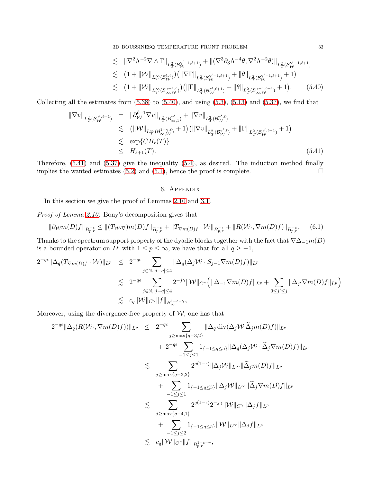3D BOUSSINESQ TEMPERATURE FRONT PROBLEM 33

$$
\lesssim \| \nabla^2 \Lambda^{-2} \nabla \wedge \Gamma \|_{L^2_T(\mathcal{B}_\mathcal{W}^{\gamma'-1,\ell+1})} + \| (\nabla^3 \partial_3 \Lambda^{-4} \theta, \nabla^2 \Lambda^{-2} \theta) \|_{L^2_T(\mathcal{B}_\mathcal{W}^{\gamma'-1,\ell+1})}
$$
  
\n
$$
\lesssim (1 + \| \mathcal{W} \|_{L^\infty_T(\mathcal{B}_\mathcal{W}^{1,\ell})} ) ( \| \nabla \Gamma \|_{L^2_T(\mathcal{B}_\mathcal{W}^{\gamma'-1,\ell+1})} + \| \theta \|_{L^2_T(\mathcal{B}_\mathcal{W}^{\gamma'-1,\ell+1})} + 1 )
$$
  
\n
$$
\lesssim (1 + \| \mathcal{W} \|_{L^\infty_T(\mathcal{B}_\infty^{\gamma+1,\ell})} ) ( \| \Gamma \|_{L^2_T(\mathcal{B}_\mathcal{W}^{\gamma',\ell+1})} + \| \theta \|_{L^2_T(\mathcal{B}_\infty^{\gamma-1,\ell+1})} + 1 ). \tag{5.40}
$$

Collecting all the estimates from  $(5.38)$  to  $(5.40)$ , and using  $(5.3)$ ,  $(5.13)$  and  $(5.37)$ , we find that

<span id="page-32-0"></span>
$$
\|\nabla v\|_{L^2_T(\mathcal{B}_{\mathcal{W}}^{\gamma',\ell+1})} = \|\partial_{\mathcal{W}}^{\ell+1} \nabla v\|_{L^2_T(\mathcal{B}_{\infty,1}^{\gamma'})} + \|\nabla v\|_{L^2_T(\mathcal{B}_{\mathcal{W}}^{\gamma',\ell})} \n\lesssim (\|\mathcal{W}\|_{L^\infty_T(\mathcal{B}_{\infty,\mathcal{W}}^{\gamma+\gamma,\ell})} + 1) (\|\nabla v\|_{L^2_T(\mathcal{B}_{\mathcal{W}}^{\gamma',\ell})} + \|\Gamma\|_{L^2_T(\mathcal{B}_{\mathcal{W}}^{\gamma',\ell+1})} + 1) \n\lesssim \exp\{CH_\ell(T)\} \n\leq H_{\ell+1}(T).
$$
\n(5.41)

Therefore, [\(5.41\)](#page-32-0) and [\(5.37\)](#page-31-2) give the inequality [\(5.4\)](#page-25-0), as desired. The induction method finally implies the wanted estimates [\(5.2\)](#page-24-1) and [\(5.1\)](#page-24-4), hence the proof is complete.  $\square$ 

## 6. Appendix

In this section we give the proof of Lemmas [2.10](#page-10-2) and [3.1.](#page-13-0)

Proof of Lemma [2.10.](#page-10-2) Bony's decomposition gives that

$$
\|\partial_{\mathcal{W}}m(D)f\|_{B_{p,r}^{-\epsilon}} \le \|(T_{\mathcal{W}}\cdot \nabla)m(D)f\|_{B_{p,r}^{-\epsilon}} + \|T_{\nabla m(D)f} \cdot \mathcal{W}\|_{B_{p,r}^{-\epsilon}} + \|R(\mathcal{W}\cdot \nabla m(D)f)\|_{B_{p,r}^{-\epsilon}}.\tag{6.1}
$$

Thanks to the spectrum support property of the dyadic blocks together with the fact that  $\nabla\Delta_{-1}m(D)$ is a bounded operator on  $L^p$  with  $1 \leq p \leq \infty$ , we have that for all  $q \geq -1$ ,

$$
\begin{array}{lcl} 2^{-q\epsilon}\|\Delta_q(T_{\nabla m(D)f}\cdot \mathcal W)\|_{L^p}&\leq& 2^{-q\epsilon}\sum_{j\in \mathbb N, |j-q|\leq 4}\|\Delta_q(\Delta_j \mathcal W\cdot S_{j-1} \nabla m(D)f)\|_{L^p}\\&\lesssim& 2^{-q\epsilon}\sum_{j\in \mathbb N, |j-q|\leq 4} 2^{-j\gamma}\|\mathcal W\|_{C^\gamma}\Big(\|\Delta_{-1}\nabla m(D)f\|_{L^p}+\sum_{0\leq j'\leq j}\|\Delta_{j'}\nabla m(D)f\|_{L^p}\Big)\\&\lesssim& c_q\|\mathcal W\|_{C^\gamma}\|f\|_{B^{1-\epsilon-\gamma}_{p,r}}, \end{array}
$$

Moreover, using the divergence-free property of  $W$ , one has that

$$
2^{-q\epsilon} \|\Delta_q(R(W\cdot, \nabla m(D)f))\|_{L^p} \leq 2^{-q\epsilon} \sum_{j\geq \max\{q-3,2\}} \|\Delta_q \operatorname{div}(\Delta_j W \widetilde{\Delta}_j m(D)f)\|_{L^p} + 2^{-q\epsilon} \sum_{-1\leq j\leq 1} 1_{\{-1\leq q\leq 5\}} \|\Delta_q(\Delta_j W \cdot \widetilde{\Delta}_j \nabla m(D)f)\|_{L^p} \n\lesssim \sum_{j\geq \max\{q-3,2\}} 2^{q(1-\epsilon)} \|\Delta_j W\|_{L^{\infty}} \|\widetilde{\Delta}_j m(D)f\|_{L^p} + \sum_{-1\leq j\leq 1} 1_{\{-1\leq q\leq 5\}} \|\Delta_j W\|_{L^{\infty}} \|\widetilde{\Delta}_j \nabla m(D)f\|_{L^p} \n\lesssim \sum_{j\geq \max\{q-4,1\}} 2^{q(1-\epsilon)} 2^{-j\gamma} \|\mathcal{W}\|_{C\gamma} \|\Delta_j f\|_{L^p} + \sum_{-1\leq j\leq 2} 1_{\{-1\leq q\leq 5\}} \|\mathcal{W}\|_{L^{\infty}} \|\Delta_j f\|_{L^p} \n\lesssim c_q \|\mathcal{W}\|_{C^{\gamma}} \|f\|_{B^{1-\epsilon-\gamma}_{p,r}},
$$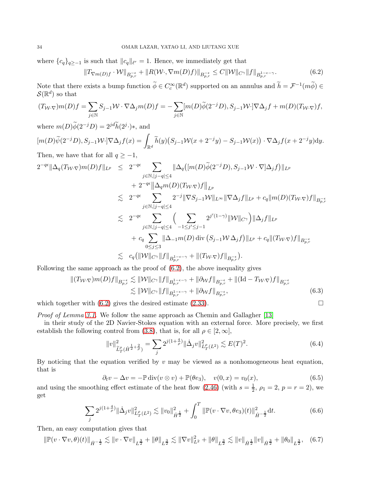where  ${c_q}_{q \ge -1}$  is such that  $||c_q||_{\ell^r} = 1$ . Hence, we immediately get that

<span id="page-33-1"></span>
$$
||T_{\nabla m(D)f} \cdot \mathcal{W}||_{B_{p,r}^{-\epsilon}} + ||R(\mathcal{W} \cdot, \nabla m(D)f)||_{B_{p,r}^{-\epsilon}} \leq C||\mathcal{W}||_{C^{\gamma}}||f||_{B_{p,r}^{1-\epsilon-\gamma}}.
$$
\n(6.2)

Note that there exists a bump function  $\widetilde{\phi} \in C_c^{\infty}(\mathbb{R}^d)$  supported on an annulus and  $\widetilde{h} = \mathcal{F}^{-1}(m\widetilde{\phi}) \in$  $\mathcal{S}(\mathbb{R}^d)$  so that

$$
(T_{\mathcal W\cdot\nabla})m(D)f=\sum_{j\in\mathbb N}S_{j-1}\mathcal W\cdot\nabla\Delta_jm(D)f=-\sum_{j\in\mathbb N} [m(D)\widetilde\phi(2^{-j}D),S_{j-1}\mathcal W\cdot]\nabla\Delta_jf+m(D)(T_{\mathcal W\cdot\nabla})f,
$$

where  $m(D)\tilde{\phi}(2^{-j}D) = 2^{jd}\tilde{h}(2^j\cdot)$ \*, and

 $[m(D)\widetilde{\psi}(2^{-j}D),S_{j-1}\mathcal{W}\cdot]\nabla\Delta_{j}f(x)=\int_{\mathbb{R}^{d}}\widetilde{h}(y)\big(S_{j-1}\mathcal{W}(x+2^{-j}y)-S_{j-1}\mathcal{W}(x)\big)\cdot\nabla\Delta_{j}f(x+2^{-j}y)\mathrm{d}y.$ Then, we have that for all  $q \geq -1$ ,

$$
2^{-q\epsilon} \|\Delta_q(T_{\mathcal{W}}\cdot \nabla)m(D)f\|_{L^p} \leq 2^{-q\epsilon} \sum_{j\in\mathbb{N},|j-q|\leq 4} \|\Delta_q([m(D)\widetilde{\phi}(2^{-j}D),S_{j-1}\mathcal{W}\cdot\nabla]\Delta_j f)\|_{L^p} + 2^{-q\epsilon} \|\Delta_q m(D)(T_{\mathcal{W}}\cdot \nabla)f\|_{L^p} \n\lesssim 2^{-q\epsilon} \sum_{j\in\mathbb{N},|j-q|\leq 4} 2^{-j} \|\nabla S_{j-1}\mathcal{W}\|_{L^\infty} \|\nabla \Delta_j f\|_{L^p} + c_q \|m(D)(T_{\mathcal{W}}\cdot \nabla)f\|_{B^{-\epsilon}_{p,r}} \n\lesssim 2^{-q\epsilon} \sum_{j\in\mathbb{N},|j-q|\leq 4} \Big(\sum_{-1\leq j'\leq j-1} 2^{j'(1-\gamma)} \|\mathcal{W}\|_{C^{\gamma}}\Big) \|\Delta_j f\|_{L^p} + c_q \sum_{0\leq j\leq 3} \|\Delta_{-1}m(D)\operatorname{div}(S_{j-1}\mathcal{W}\Delta_j f)\|_{L^p} + c_q \|(T_{\mathcal{W}}\cdot \nabla)f\|_{B^{-\epsilon}_{p,r}} \n\lesssim c_q (\|\mathcal{W}\|_{C^{\gamma}} \|f\|_{B^{1-\epsilon-\gamma}_{p,r}} + \|(T_{\mathcal{W}}\cdot \nabla)f\|_{B^{-\epsilon}_{p,r}}).
$$

Following the same approach as the proof of  $(6.2)$ , the above inequality gives

$$
\begin{split} \|(T_{\mathcal{W}}\cdot \nabla)m(D)f\|_{B_{p,r}^{-\epsilon}} &\lesssim \|\mathcal{W}\|_{C^{\gamma}}\|f\|_{B_{p,r}^{1-\epsilon-\gamma}} + \|\partial_{\mathcal{W}}f\|_{B_{p,r}^{-\epsilon}} + \|({\rm Id}-T_{\mathcal{W}}\cdot \nabla)f\|_{B_{p,r}^{-\epsilon}} \\ &\lesssim \|\mathcal{W}\|_{C^{\gamma}}\|f\|_{B_{p,r}^{1-\epsilon-\gamma}} + \|\partial_{\mathcal{W}}f\|_{B_{p,r}^{-\epsilon}}, \end{split} \tag{6.3}
$$

which together with  $(6.2)$  gives the desired estimate  $(2.33)$ .

Proof of Lemma [3.1.](#page-13-0) We follow the same approach as Chemin and Gallagher [\[13\]](#page-36-25)

in their study of the 2D Navier-Stokes equation with an external force. More precisely, we first establish the following control from [\(3.8\)](#page-13-4), that is, for all  $\rho \in [2,\infty]$ ,

<span id="page-33-3"></span>
$$
||v||_{\widetilde{L}^{\rho}_{T}(\dot{H}^{\frac{1}{2}+\frac{2}{\rho}})}^{2} = \sum_{j} 2^{j(1+\frac{4}{\rho})} ||\dot{\Delta}_{j}v||_{L^{p}_{T}(L^{2})}^{2} \lesssim E(T)^{2}.
$$
\n(6.4)

By noticing that the equation verified by  $v$  may be viewed as a nonhomogeneous heat equation, that is

<span id="page-33-4"></span><span id="page-33-2"></span><span id="page-33-0"></span>
$$
\partial_t v - \Delta v = -\mathbb{P} \operatorname{div}(v \otimes v) + \mathbb{P}(\theta e_3), \quad v(0, x) = v_0(x), \tag{6.5}
$$

and using the smoothing effect estimate of the heat flow [\(2.46\)](#page-11-7) (with  $s = \frac{1}{2}$ ,  $\rho_1 = 2$ ,  $p = r = 2$ ), we get

$$
\sum_{j} 2^{j(1+\frac{4}{\rho})} \|\dot{\Delta}_{j}v\|_{L_{T}^{\rho}(L^{2})}^{2} \lesssim \|v_{0}\|_{\dot{H}^{\frac{1}{2}}}^{2} + \int_{0}^{T} \|\mathbb{P}(v \cdot \nabla v, \theta e_{3})(t)\|_{\dot{H}^{-\frac{1}{2}}}^{2} dt.
$$
 (6.6)

Then, an easy computation gives that

$$
\|\mathbb{P}(v\cdot\nabla v,\theta)(t)\|_{\dot{H}^{-\frac{1}{2}}}\lesssim \|v\cdot\nabla v\|_{L^{\frac{3}{2}}}+\|\theta\|_{L^{\frac{3}{2}}}\lesssim \|\nabla v\|_{L^2}^2+\|\theta\|_{L^{\frac{3}{2}}}\lesssim \|v\|_{\dot{H}^{\frac{1}{2}}}\|v\|_{\dot{H}^{\frac{3}{2}}}+\|\theta_0\|_{L^{\frac{3}{2}}},\quad (6.7)
$$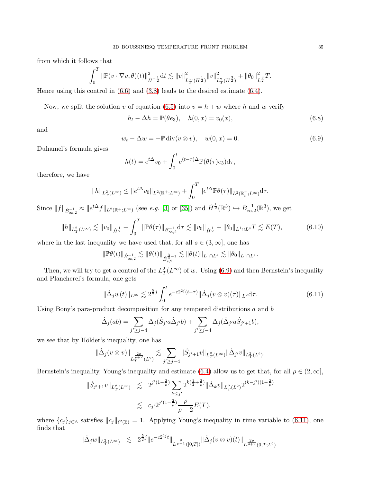from which it follows that

$$
\int_0^T \|\mathbb{P}(v \cdot \nabla v, \theta)(t)\|_{\dot{H}^{-\frac{1}{2}}}^2 dt \lesssim \|v\|_{L_T^\infty(\dot{H}^{\frac{1}{2}})}^2 \|v\|_{L_T^2(\dot{H}^{\frac{3}{2}})}^2 + \|\theta_0\|_{L^{\frac{3}{2}}}^2 T.
$$

Hence using this control in  $(6.6)$  and  $(3.8)$  leads to the desired estimate  $(6.4)$ .

Now, we split the solution v of equation [\(6.5\)](#page-33-4) into  $v = h + w$  where h and w verify

$$
h_t - \Delta h = \mathbb{P}(\theta e_3), \quad h(0, x) = v_0(x), \tag{6.8}
$$

and

<span id="page-34-0"></span>
$$
w_t - \Delta w = -\mathbb{P}\operatorname{div}(v \otimes v), \quad w(0, x) = 0. \tag{6.9}
$$

Duhamel's formula gives

<span id="page-34-2"></span>
$$
h(t) = e^{t\Delta}v_0 + \int_0^t e^{(t-\tau)\Delta} \mathbb{P}(\theta(\tau)e_3) d\tau,
$$

therefore, we have

$$
\|h\|_{L^2_T(L^\infty)}\leq \|e^{t\Delta}v_0\|_{L^2(\mathbb R^+;L^\infty)}+\int_0^T\|e^{t\Delta} \mathbb P\theta(\tau)\|_{L^2(\mathbb R^+_t;L^\infty)}\mathrm d\tau.
$$

Since  $||f||_{\dot{B}^{-1}_{\infty,2}} \approx ||e^{t\Delta}f||_{L^2(\mathbb{R}^+;L^{\infty})}$  (see e.g. [\[3\]](#page-35-7) or [\[35\]](#page-36-24)) and  $\dot{H}^{\frac{1}{2}}(\mathbb{R}^3) \hookrightarrow \dot{B}^{-1}_{\infty,2}(\mathbb{R}^3)$ , we get

$$
||h||_{L_T^2(L^\infty)} \lesssim ||v_0||_{\dot{H}^{\frac{1}{2}}} + \int_0^T ||\mathbb{P}\theta(\tau)||_{\dot{B}_{\infty,2}^{-1}} d\tau \lesssim ||v_0||_{\dot{H}^{\frac{1}{2}}} + ||\theta_0||_{L^1 \cap L^s} T \lesssim E(T),
$$
(6.10)

where in the last inequality we have used that, for all  $s \in (3,\infty]$ , one has

$$
\|\mathbb{P}\theta(t)\|_{\dot{B}^{-1}_{\infty,2}} \lesssim \|\theta(t)\|_{\dot{B}^{\frac{3}{s}-1}_{s,2}} \lesssim \|\theta(t)\|_{L^1 \cap L^s} \lesssim \|\theta_0\|_{L^1 \cap L^s}.
$$

Then, we will try to get a control of the  $L_T^2(L^{\infty})$  of w. Using [\(6.9\)](#page-34-0) and then Bernstein's inequality and Plancherel's formula, one gets

<span id="page-34-1"></span>
$$
\|\dot{\Delta}_j w(t)\|_{L^\infty} \lesssim 2^{\frac{5}{2}j} \int_0^t e^{-c2^{2j}(t-\tau)} \|\dot{\Delta}_j(v \otimes v)(\tau)\|_{L^2} d\tau. \tag{6.11}
$$

Using Bony's para-product decomposition for any tempered distributions  $a$  and  $b$ 

$$
\dot{\Delta}_j(ab) = \sum_{j' \ge j-4} \Delta_j(\dot{S}_{j'}a\dot{\Delta}_{j'}b) + \sum_{j' \ge j-4} \Delta_j(\dot{\Delta}_{j'}a\dot{S}_{j'+1}b),
$$

we see that by Hölder's inequality, one has

$$
\|\dot \Delta_j (v\otimes v)\|_{L_T^{\frac{2\rho}{\rho+2}}(L^2)}\lesssim \sum_{j'\geq j-4} \|\dot S_{j'+1}v\|_{L_T^{\rho}(L^\infty)}\|\dot \Delta_{j'}v\|_{L_T^2(L^2)}.
$$

Bernstein's inequality, Young's inequality and estimate [\(6.4\)](#page-33-3) allow us to get that, for all  $\rho \in (2,\infty]$ ,

$$
\|\dot{S}_{j'+1}v\|_{L^{\rho}_{T}(L^{\infty})} \leq 2^{j'(1-\frac{2}{\rho})} \sum_{k \leq j'} 2^{k(\frac{1}{2}+\frac{2}{\rho})} \|\dot{\Delta}_{k}v\|_{L^{\rho}_{T}(L^{2})} 2^{(k-j')(1-\frac{2}{\rho})}
$$
  

$$
\leq c_{j'} 2^{j'(1-\frac{2}{\rho})} \frac{\rho}{\rho-2} E(T),
$$

where  $\{c_j\}_{j\in\mathbb{Z}}$  satisfies  $||c_j||_{\ell^2(\mathbb{Z})} = 1$ . Applying Young's inequality in time variable to [\(6.11\)](#page-34-1), one finds that

$$
\|\dot{\Delta}_j w\|_{L^2_T(L^\infty)} \leq 2^{\frac{5}{2}j} \|e^{-c2^{2j}t}\|_{L^{\frac{\rho}{\rho-1}}([0,T])} \|\dot{\Delta}_j(v \otimes v)(t)\|_{L^{\frac{2\rho}{\rho+2}}(0,T;L^2)}
$$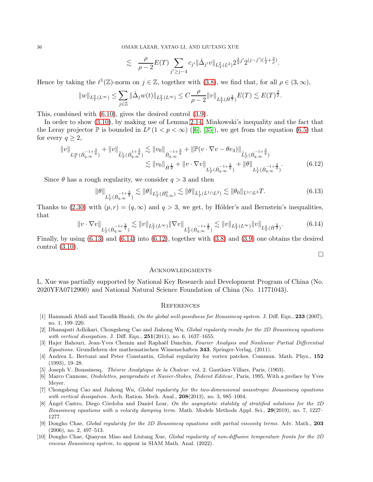$$
\lesssim \quad \frac{\rho}{\rho-2} E(T) \sum_{j' \geq j-4} c_{j'} \| \dot{\Delta}_{j'} v \|_{L^2_T(L^2)} 2^{\frac{3}{2}j'} 2^{(j-j') (\frac{1}{2}+\frac{2}{\rho})}.
$$

Hence by taking the  $\ell^1(\mathbb{Z})$ -norm on  $j \in \mathbb{Z}$ , together with  $(3.8)$ , we find that, for all  $\rho \in (3,\infty)$ ,

$$
\|w\|_{L^2_T(L^\infty)}\leq \sum_{j\in\mathbb{Z}}\|\dot \Delta_j w(t)\|_{L^2_T(L^\infty)}\leq C \frac{\rho}{\rho-2}\|v\|_{L^2_T(\dot H^{\frac{3}{2}})}E(T)\lesssim E(T)^{\frac{3}{2}}.
$$

This, combined with [\(6.10\)](#page-34-2), gives the desired control [\(3.9\)](#page-13-5).

In order to show [\(3.10\)](#page-13-6), by making use of Lemma [2.14,](#page-11-8) Minkowski's inequality and the fact that theLeray projector  $\mathbb P$  is bounded in  $L^p(1 < p < \infty)$  ([\[6\]](#page-35-8), [\[35\]](#page-36-24)), we get from the equation [\(6.5\)](#page-33-4) that for every  $q \geq 2$ ,

$$
\|v\|_{L_T^{\infty}(\dot{B}_{q,\infty}^{-1+\frac{3}{q}})} + \|v\|_{\tilde{L}_T^1(\dot{B}_{q,\infty}^{1+\frac{3}{q}})} \lesssim \|v_0\|_{\dot{B}_{q,\infty}^{-1+\frac{3}{q}}} + \|\mathbb{P}(v \cdot \nabla v - \theta e_3)\|_{\tilde{L}_T^1(\dot{B}_{q,\infty}^{-1+\frac{3}{q}})} \lesssim \|v_0\|_{\dot{H}^{\frac{1}{2}}} + \|v \cdot \nabla v\|_{L_T^1(\dot{B}_{q,\infty}^{-1+\frac{3}{q}})} + \|\theta\|_{L_T^1(\dot{B}_{q,\infty}^{-1+\frac{3}{q}})}.
$$
\n(6.12)

Since  $\theta$  has a rough regularity, we consider  $q > 3$  and then

$$
\|\theta\|_{L^1_T(\dot{B}_{q,\infty}^{-1+\frac{3}{q}})} \lesssim \|\theta\|_{L^1_T(\dot{B}_{3,\infty}^0)} \lesssim \|\theta\|_{L^1_T(L^1 \cap L^3)} \lesssim \|\theta_0\|_{L^1 \cap L^3} T. \tag{6.13}
$$

Thanks to [\(2.30\)](#page-10-3) with  $(p, r) = (q, \infty)$  and  $q > 3$ , we get, by Hölder's and Bernstein's inequalities, that

<span id="page-35-10"></span>
$$
\|v \cdot \nabla v\|_{L^1_T(\dot{B}_{q,\infty}^{-1+\frac{3}{q}})} \lesssim \|v\|_{L^2_T(L^\infty)} \|\nabla v\|_{L^2_T(\dot{B}_{q,\infty}^{-1+\frac{3}{q}})} \lesssim \|v\|_{L^2_T(L^\infty)} \|v\|_{L^2_T(\dot{H}^{\frac{3}{2}})}.
$$
(6.14)

Finally, by using [\(6.13\)](#page-35-9) and [\(6.14\)](#page-35-10) into [\(6.12\)](#page-35-11), together with [\(3.8\)](#page-13-4) and [\(3.9\)](#page-13-5) one obtains the desired control [\(3.10\)](#page-13-6).

<span id="page-35-11"></span><span id="page-35-9"></span>
$$
\Box
$$

#### **ACKNOWLEDGMENTS**

L. Xue was partially supported by National Key Research and Development Program of China (No. 2020YFA0712900) and National Natural Science Foundation of China (No. 11771043).

#### **REFERENCES**

- <span id="page-35-1"></span>[1] Hammadi Abidi and Taoufik Hmidi, On the global well-posedness for Boussinesq system. J. Diff. Equ., 233 (2007), no. 1, 199–220.
- <span id="page-35-2"></span>[2] Dhanapati Adhikari, Chongsheng Cao and Jiahong Wu, Global regularity results for the 2D Boussinesq equations with vertical dissipation. J. Diff. Equ., **251**(2011), no. 6, 1637–1655.
- <span id="page-35-7"></span>[3] Hajer Bahouri, Jean-Yves Chemin and Raphaël Danchin, Fourier Analysis and Nonlinear Partial Differential Equations. Grundlehren der mathematischen Wissenschaften 343, Springer-Verlag, (2011).
- <span id="page-35-5"></span>[4] Andrea L. Bertozzi and Peter Constantin, Global regularity for vortex patches. Commun. Math. Phys., 152 (1993), 19–28.
- <span id="page-35-8"></span>[5] Joseph V. Boussinesq, *Théorie Analytique de la Chaleur.* vol. 2. Gauthier-Villars, Paris, (1903).
- [6] Marco Cannone, Ondelettes, paraproduits et Navier-Stokes, Diderot Editeur, Paris, 1995, With a preface by Yves Meyer.
- <span id="page-35-3"></span>[7] Chongsheng Cao and Jiahong Wu, Global regularity for the two-dimensional anisotropic Boussinesq equations with vertical dissipation. Arch. Ration. Mech. Anal.,  $208(2013)$ , no. 3, 985–1004.
- <span id="page-35-4"></span>[8] Angel Castro, Diego Córdoba and Daniel Lear, On the asymptotic stability of stratified solutions for the 2D Boussinesq equations with a velocity damping term. Math. Models Methods Appl. Sci., 29(2019), no. 7, 1227– 1277.
- <span id="page-35-0"></span>[9] Dongho Chae, Global regularity for the 2D Boussinesq equations with partial viscosity terms. Adv. Math., 203 (2006), no. 2, 497–513.
- <span id="page-35-6"></span>[10] Dongho Chae, Qianyun Miao and Liutang Xue, Global regularity of non-diffusive temperature fronts for the 2D viscous Boussinesq system, to appear in SIAM Math. Anal. (2022).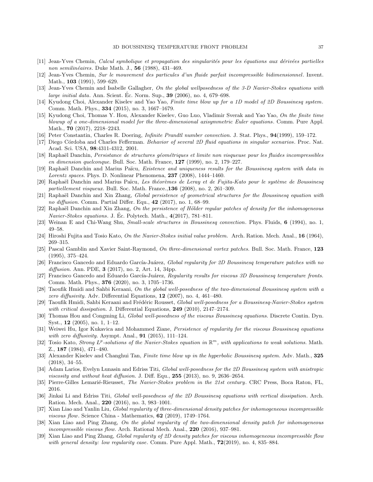- <span id="page-36-22"></span><span id="page-36-17"></span>[11] Jean-Yves Chemin, Calcul symbolique et propagation des singularités pour les équations aux dérivées partielles non semilinéaires. Duke Math. J.,  $56$  (1988), 431–469.
- <span id="page-36-25"></span>[12] Jean-Yves Chemin, Sur le mouvement des particules d'un fluide parfait incompressible bidimensionnel. Invent. Math., **103** (1991), 599–629.
- [13] Jean-Yves Chemin and Isabelle Gallagher, On the global wellposedness of the 3-D Navier-Stokes equations with large initial data. Ann. Scient. Éc. Norm. Sup.,  $39$  (2006), no. 4, 679–698.
- <span id="page-36-14"></span>[14] Kyudong Choi, Alexander Kiselev and Yao Yao, Finite time blow up for a 1D model of 2D Boussinesq system. Comm. Math. Phys., 334 (2015), no. 3, 1667–1679.
- <span id="page-36-15"></span>[15] Kyudong Choi, Thomas Y. Hou, Alexander Kiselev, Guo Luo, Vladimir Sverak and Yao Yao, On the finite time blowup of a one-dimensional model for the three-dimensional axisymmetric Euler equations. Comm. Pure Appl. Math., **70** (2017), 2218-2243.
- <span id="page-36-13"></span><span id="page-36-1"></span>[16] Peter Constantin, Charles R. Doering, Infinite Prandtl number convection. J. Stat. Phys., 94(1999), 159–172.
- <span id="page-36-19"></span>[17] Diego Córdoba and Charles Fefferman. Behavior of several 2D fluid equations in singular scenarios. Proc. Nat. Acad. Sci. USA, 98:4311-4312, 2001.
- <span id="page-36-4"></span>[18] Raphaël Danchin, Persistance de structures géométriques et limite non visqueuse pour les fluides incompressibles en dimension quelconque. Bull. Soc. Math. France, 127 (1999), no. 2, 179–227.
- [19] Raphaël Danchin and Marius Païcu, Existence and uniqueness results for the Boussinesq system with data in Lorentz spaces. Phys. D. Nonlinear Phenomena,  $237$  (2008), 1444–1460.
- <span id="page-36-9"></span>[20] Raphaël Danchin and Marius Païcu, Les théorèmes de Leray et de Fujita-Kato pour le système de Boussinesq partiellement visqueux. Bull. Soc. Math. France., $136$  (2008), no. 2, 261–309.
- <span id="page-36-20"></span>[21] Raphaël Danchin and Xin Zhang, Global persistence of geometrical structures for the Boussinesq equation with no diffusion. Comm. Partial Differ. Equ., 42 (2017), no. 1, 68–99.
- $[22]$  Raphaël Danchin and Xin Zhang, On the persistence of Hölder regular patches of density for the inhomogeneous Navier-Stokes equations. J. Éc. Polytech. Math.,  $4(2017)$ , 781–811.
- <span id="page-36-12"></span><span id="page-36-10"></span>[23] Weinan E and Chi-Wang Shu, Small-scale structures in Boussinesq convection. Phys. Fluids, 6 (1994), no. 1, 49–58.
- <span id="page-36-18"></span>[24] Hiroshi Fujita and Tosio Kato, On the Navier-Stokes initial value problem. Arch. Ration. Mech. Anal., 16 (1964), 269–315.
- [25] Pascal Gamblin and Xavier Saint-Raymond, On three-dimensional vortex patches. Bull. Soc. Math. France, 123 (1995), 375–424.
- <span id="page-36-21"></span>[26] Francisco Gancedo and Eduardo García-Juárez, Global regularity for 2D Boussinesq temperature patches with no *diffusion.* Ann. PDE,  $3(2017)$ , no. 2, Art. 14, 34pp.
- <span id="page-36-0"></span>[27] Francisco Gancedo and Eduardo García-Juárez, Regularity results for viscous 3D Boussinesq temperature fronts. Comm. Math. Phys., **376** (2020), no. 3, 1705–1736.
- <span id="page-36-3"></span>[28] Taoufik Hmidi and Sahbi Keraani, On the global well-posedness of the two-dimensional Boussinesg system with a zero diffusivity. Adv. Differential Equations, 12 (2007), no. 4, 461–480.
- <span id="page-36-6"></span>[29] Taoufik Hmidi, Sahbi Keraani and Frédéric Rousset, Global well-posedness for a Boussinesq-Navier-Stokes system with critical dissipation. J. Differential Equations, 249 (2010), 2147–2174.
- <span id="page-36-2"></span>[30] Thomas Hou and Congming Li, Global well-posedness of the viscous Boussinesq equations. Discrete Contin. Dyn. Syst., 12 (2005), no. 1, 1–12.
- <span id="page-36-5"></span>[31] Weiwei Hu, Igor Kukavica and Mohammed Ziane, *Persistence of regularity for the viscous Boussinesq equations* with zero diffusivity. Asympt. Anal.,  $91$  (2015), 111–124.
- <span id="page-36-11"></span>[32] Tosio Kato, Strong  $L^p$ -solutions of the Navier-Stokes equation in  $\mathbb{R}^m$ , with applications to weak solutions. Math. Z., 187 (1984), 471–480.
- <span id="page-36-16"></span>[33] Alexander Kiselev and Changhui Tan, Finite time blow up in the hyperbolic Boussinesq system. Adv. Math., 325 (2018), 34–55.
- <span id="page-36-7"></span>[34] Adam Larios, Evelyn Lunasin and Edriss Titi, Global well-posedness for the 2D Boussinesq system with anistropic viscosity and without heat diffusion. J. Diff. Equ.,  $255$  (2013), no. 9, 2636–2654.
- <span id="page-36-24"></span><span id="page-36-8"></span>[35] Pierre-Gilles Lemarié-Rieusset, The Navier-Stokes problem in the 21st century. CRC Press, Boca Raton, FL, 2016.
- [36] Jinkai Li and Edriss Titi, Global well-posedness of the 2D Boussinesq equations with vertical dissipation. Arch. Ration. Mech. Anal., 220 (2016), no. 3, 983–1001.
- <span id="page-36-23"></span>[37] Xian Liao and Yanlin Liu, Global regularity of three-dimensional density patches for inhomogeneous incompressible viscous flow. Science China - Mathematics,  $62$  (2019), 1749–1764.
- [38] Xian Liao and Ping Zhang, On the global regularity of the two-dimensional density patch for inhomogeneous incompressible viscous flow. Arch. Rational Mech. Anal., 220 (2016), 937–981.
- [39] Xian Liao and Ping Zhang, Global regularity of 2D density patches for viscous inhomogeneous incompressible flow with general density: low regularity case. Comm. Pure Appl. Math.,  $72(2019)$ , no. 4, 835–884.